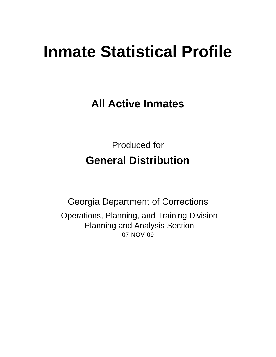# **Inmate Statistical Profile**

**All Active Inmates**

Produced for **General Distribution**

07-NOV-09 Georgia Department of Corrections Operations, Planning, and Training Division Planning and Analysis Section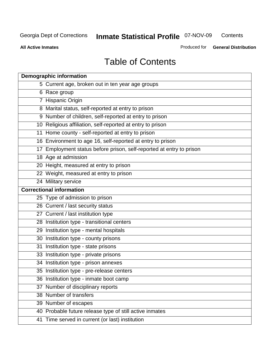**Contents** 

**All Active Inmates**

Produced for **General Distribution**

# Table of Contents

|    | <b>Demographic information</b>                                       |
|----|----------------------------------------------------------------------|
|    | 5 Current age, broken out in ten year age groups                     |
|    | 6 Race group                                                         |
|    | 7 Hispanic Origin                                                    |
|    | 8 Marital status, self-reported at entry to prison                   |
|    | 9 Number of children, self-reported at entry to prison               |
|    | 10 Religious affiliation, self-reported at entry to prison           |
|    | 11 Home county - self-reported at entry to prison                    |
|    | 16 Environment to age 16, self-reported at entry to prison           |
|    | 17 Employment status before prison, self-reported at entry to prison |
|    | 18 Age at admission                                                  |
|    | 20 Height, measured at entry to prison                               |
|    | 22 Weight, measured at entry to prison                               |
|    | 24 Military service                                                  |
|    | <b>Correctional information</b>                                      |
|    | 25 Type of admission to prison                                       |
|    | 26 Current / last security status                                    |
|    | 27 Current / last institution type                                   |
|    | 28 Institution type - transitional centers                           |
|    | 29 Institution type - mental hospitals                               |
|    | 30 Institution type - county prisons                                 |
| 31 | Institution type - state prisons                                     |
|    | 33 Institution type - private prisons                                |
|    | 34 Institution type - prison annexes                                 |
|    | 35 Institution type - pre-release centers                            |
|    | 36 Institution type - inmate boot camp                               |
|    | 37 Number of disciplinary reports                                    |
|    | 38 Number of transfers                                               |
|    | 39 Number of escapes                                                 |
|    | 40 Probable future release type of still active inmates              |
|    | 41 Time served in current (or last) institution                      |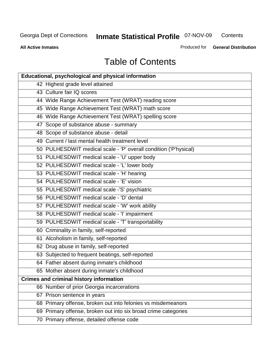**Contents** 

**All Active Inmates**

Produced for **General Distribution**

# Table of Contents

| <b>Educational, psychological and physical information</b>       |
|------------------------------------------------------------------|
| 42 Highest grade level attained                                  |
| 43 Culture fair IQ scores                                        |
| 44 Wide Range Achievement Test (WRAT) reading score              |
| 45 Wide Range Achievement Test (WRAT) math score                 |
| 46 Wide Range Achievement Test (WRAT) spelling score             |
| 47 Scope of substance abuse - summary                            |
| 48 Scope of substance abuse - detail                             |
| 49 Current / last mental health treatment level                  |
| 50 PULHESDWIT medical scale - 'P' overall condition ('P'hysical) |
| 51 PULHESDWIT medical scale - 'U' upper body                     |
| 52 PULHESDWIT medical scale - 'L' lower body                     |
| 53 PULHESDWIT medical scale - 'H' hearing                        |
| 54 PULHESDWIT medical scale - 'E' vision                         |
| 55 PULHESDWIT medical scale -'S' psychiatric                     |
| 56 PULHESDWIT medical scale - 'D' dental                         |
| 57 PULHESDWIT medical scale - 'W' work ability                   |
| 58 PULHESDWIT medical scale - 'I' impairment                     |
| 59 PULHESDWIT medical scale - 'T' transportability               |
| 60 Criminality in family, self-reported                          |
| 61 Alcoholism in family, self-reported                           |
| 62 Drug abuse in family, self-reported                           |
| 63 Subjected to frequent beatings, self-reported                 |
| 64 Father absent during inmate's childhood                       |
| 65 Mother absent during inmate's childhood                       |
| <b>Crimes and criminal history information</b>                   |
| 66 Number of prior Georgia incarcerations                        |
| 67 Prison sentence in years                                      |
| 68 Primary offense, broken out into felonies vs misdemeanors     |
| 69 Primary offense, broken out into six broad crime categories   |
| 70 Primary offense, detailed offense code                        |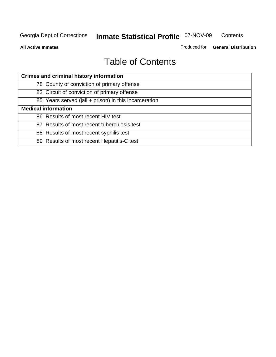**Contents** 

**All Active Inmates**

Produced for **General Distribution**

# Table of Contents

| <b>Crimes and criminal history information</b>        |
|-------------------------------------------------------|
| 78 County of conviction of primary offense            |
| 83 Circuit of conviction of primary offense           |
| 85 Years served (jail + prison) in this incarceration |
| <b>Medical information</b>                            |
| 86 Results of most recent HIV test                    |
| 87 Results of most recent tuberculosis test           |
| 88 Results of most recent syphilis test               |
| 89 Results of most recent Hepatitis-C test            |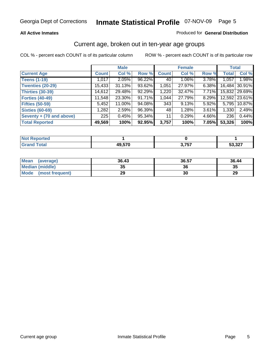#### **All Active Inmates**

#### Produced for **General Distribution**

#### Current age, broken out in ten-year age groups

|                          |              | <b>Male</b> |        |              | <b>Female</b> |          |              | <b>Total</b>  |
|--------------------------|--------------|-------------|--------|--------------|---------------|----------|--------------|---------------|
| <b>Current Age</b>       | <b>Count</b> | Col %       | Row %  | <b>Count</b> | Col %         | Row %    | <b>Total</b> | Col %         |
| <b>Teens (1-19)</b>      | 1,017        | $2.05\%$    | 96.22% | 40           | $1.06\%$      | 3.78%    | 1,057        | 1.98%         |
| <b>Twenties (20-29)</b>  | 15,433       | 31.13%      | 93.62% | 1,051        | 27.97%        | $6.38\%$ | 16,484       | 30.91%        |
| <b>Thirties (30-39)</b>  | 14,612       | 29.48%      | 92.29% | 1,220        | 32.47%        | $7.71\%$ |              | 15,832 29.69% |
| <b>Forties (40-49)</b>   | 11.548       | 23.30%      | 91.71% | 1,044        | 27.79%        | 8.29%    |              | 12,592 23.61% |
| <b>Fifties (50-59)</b>   | 5,452        | 11.00%      | 94.08% | 343          | 9.13%         | $5.92\%$ | 5,795        | 10.87%        |
| <b>Sixties (60-69)</b>   | 1,282        | 2.59%       | 96.39% | 48           | 1.28%         | 3.61%    | 1,330        | 2.49%         |
| Seventy + (70 and above) | 225          | 0.45%       | 95.34% | 11           | 0.29%         | 4.66%    | 236          | 0.44%         |
| <b>Total Reported</b>    | 49,569       | 100%        | 92.95% | 3,757        | 100%          | 7.05%    | 53,326       | 100%          |

| للمراجع بالنوار<br>теа<br>NOT |        |                 |                |
|-------------------------------|--------|-----------------|----------------|
| <b>Fotal</b>                  | 19 570 | ? フドフ<br>ו טווי | 50.22<br>، ے د |

| <b>Mean</b><br>(average) | 36.43     | 36.57 | 36.44 |
|--------------------------|-----------|-------|-------|
| Median (middle)          | 25<br>JJ. | 36    | 35    |
| Mode<br>(most frequent)  | 29        | 30    | 29    |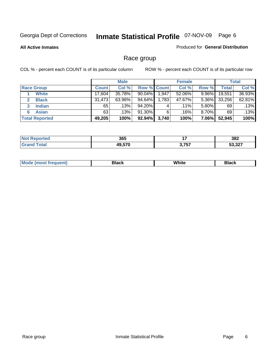**All Active Inmates**

#### Produced for **General Distribution**

### Race group

|                       |              | <b>Male</b> |                    |       | <b>Female</b> |          |        | <b>Total</b> |
|-----------------------|--------------|-------------|--------------------|-------|---------------|----------|--------|--------------|
| <b>Race Group</b>     | <b>Count</b> | Col %       | <b>Row % Count</b> |       | Col %         | Row %    | Total  | Col %        |
| <b>White</b>          | 17,604       | 35.78%      | $90.04\%$          | 1,947 | 52.06%        | 9.96%    | 19,551 | 36.93%       |
| <b>Black</b>          | 31,473       | 63.96%      | 94.64%             | 1,783 | 47.67%        | $5.36\%$ | 33,256 | 62.81%       |
| <b>Indian</b><br>3    | 65           | .13%        | 94.20%             | 4     | $.11\%$       | $5.80\%$ | 69     | .13%         |
| <b>Asian</b>          | 63           | .13%        | 91.30%             | 6     | .16%          | $8.70\%$ | 69     | .13%         |
| <b>Total Reported</b> | 49,205       | 100%        | 92.94%             | 3,740 | 100%          | $7.06\%$ | 52,945 | 100%         |

| 365            | . .<br>. . | 382   |
|----------------|------------|-------|
| 10.570<br>⁄1 U | ヽ ファフ<br>  | E2022 |

|  | $Mc$ | Black | White<br>$ -$ | 21904<br>DIACK |
|--|------|-------|---------------|----------------|
|--|------|-------|---------------|----------------|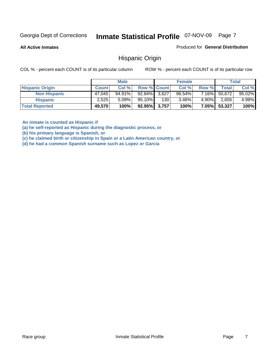**All Active Inmates**

Produced for **General Distribution**

#### Hispanic Origin

COL % - percent each COUNT is of its particular column ROW % - percent each COUNT is of its particular row

|                        |              | <b>Male</b> |                    |     | <b>Female</b> |          |        | <b>Total</b> |
|------------------------|--------------|-------------|--------------------|-----|---------------|----------|--------|--------------|
| <b>Hispanic Origin</b> | <b>Count</b> | Col %       | <b>Row % Count</b> |     | Col %         | Row %    | Total  | Col %        |
| <b>Non Hispanic</b>    | 47,045       | 94.91%      | $92.84\%$ 3,627    |     | $96.54\%$     | 7.16%    | 50,672 | 95.02%       |
| <b>Hispanic</b>        | 2,525        | $5.09\%$    | 95.10%             | 130 | $3.46\%$      | 4.90%    | 2,655  | 4.98%        |
| <b>Total Reported</b>  | 49,570       | 100%        | 92.95% 3,757       |     | 100%          | $7.05\%$ | 53,327 | 100%         |

**An inmate is counted as Hispanic if** 

**(a) he self-reported as Hispanic during the diagnostic process, or** 

**(b) his primary language is Spanish, or** 

**(c) he claimed birth or citizenship in Spain or a Latin American country, or** 

**(d) he had a common Spanish surname such as Lopez or Garcia**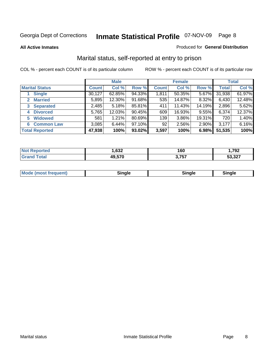**All Active Inmates**

#### Produced for **General Distribution**

### Marital status, self-reported at entry to prison

|                                  |              | <b>Male</b> |        |              | <b>Female</b> |          |              | <b>Total</b> |
|----------------------------------|--------------|-------------|--------|--------------|---------------|----------|--------------|--------------|
| <b>Marital Status</b>            | <b>Count</b> | Col %       | Row %  | <b>Count</b> | Col %         | Row %    | <b>Total</b> | Col %        |
| <b>Single</b>                    | 30,127       | 62.85%      | 94.33% | 1,811        | 50.35%        | $5.67\%$ | 31,938       | 61.97%       |
| <b>Married</b><br>$\overline{2}$ | 5,895        | 12.30%      | 91.68% | 535          | 14.87%        | 8.32%    | 6,430        | 12.48%       |
| <b>Separated</b><br>3            | 2,485        | 5.18%       | 85.81% | 411          | 11.43%        | 14.19%   | 2,896        | 5.62%        |
| <b>Divorced</b><br>4             | 5,765        | 12.03%      | 90.45% | 609          | 16.93%        | 9.55%    | 6,374        | 12.37%       |
| <b>Widowed</b><br>5              | 581          | 1.21%       | 80.69% | 139          | 3.86%         | 19.31%   | 720          | 1.40%        |
| <b>Common Law</b><br>6           | 3,085        | 6.44%       | 97.10% | 92           | 2.56%         | 2.90%    | 3,177        | 6.16%        |
| <b>Total Reported</b>            | 47,938       | 100%        | 93.02% | 3,597        | 100%          | 6.98%    | 51,535       | 100%         |

| ,632 | 160                    | 202<br>אל י    |
|------|------------------------|----------------|
| --^  | ----<br>$\overline{6}$ | E2027<br>، ے د |

|  | Mode (most f<br>freauent) | . | 'inale | nale |  |
|--|---------------------------|---|--------|------|--|
|--|---------------------------|---|--------|------|--|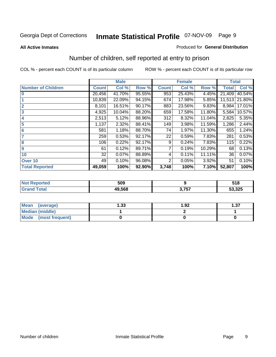#### **All Active Inmates**

#### Produced for **General Distribution**

### Number of children, self reported at entry to prison

|                           |              | <b>Male</b> |        |                | <b>Female</b> |          | <b>Total</b> |        |
|---------------------------|--------------|-------------|--------|----------------|---------------|----------|--------------|--------|
| <b>Number of Children</b> | <b>Count</b> | Col %       | Row %  | <b>Count</b>   | Col %         | Row %    | <b>Total</b> | Col %  |
| $\bf{0}$                  | 20,456       | 41.70%      | 95.55% | 953            | 25.43%        | 4.45%    | 21,409       | 40.54% |
|                           | 10,839       | 22.09%      | 94.15% | 674            | 17.98%        | 5.85%    | 11,513       | 21.80% |
| $\overline{2}$            | 8,101        | 16.51%      | 90.17% | 883            | 23.56%        | 9.83%    | 8,984        | 17.01% |
| 3                         | 4,925        | 10.04%      | 88.20% | 659            | 17.58%        | 11.80%   | 5,584        | 10.57% |
| 4                         | 2,513        | 5.12%       | 88.96% | 312            | 8.32%         | 11.04%   | 2,825        | 5.35%  |
| 5                         | 1,137        | 2.32%       | 88.41% | 149            | 3.98%         | 11.59%   | 1,286        | 2.44%  |
| $6\phantom{a}$            | 581          | 1.18%       | 88.70% | 74             | 1.97%         | 11.30%   | 655          | 1.24%  |
| 7                         | 259          | 0.53%       | 92.17% | 22             | 0.59%         | 7.83%    | 281          | 0.53%  |
| 8                         | 106          | 0.22%       | 92.17% | 9              | 0.24%         | 7.83%    | 115          | 0.22%  |
| 9                         | 61           | 0.12%       | 89.71% | $\overline{7}$ | 0.19%         | 10.29%   | 68           | 0.13%  |
| 10                        | 32           | 0.07%       | 88.89% | 4              | 0.11%         | 11.11%   | 36           | 0.07%  |
| Over 10                   | 49           | 0.10%       | 96.08% | 2              | 0.05%         | $3.92\%$ | 51           | 0.10%  |
| <b>Total Reported</b>     | 49,059       | 100%        | 92.90% | 3,748          | 100%          | 7.10%    | 52,807       | 100%   |

| . . | 509    |     | 518    |
|-----|--------|-----|--------|
|     | 49.568 | フロフ | 53,325 |

| <b>Mean</b><br>(average) | l.33 | 1.92 | ົາ<br>، ن |
|--------------------------|------|------|-----------|
| <b>Median (middle)</b>   |      |      |           |
| Mode<br>(most frequent)  |      |      |           |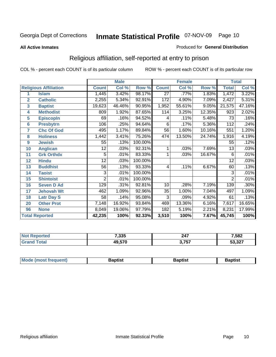#### **All Active Inmates**

#### Produced for **General Distribution**

### Religious affiliation, self-reported at entry to prison

|                  |                              | <b>Male</b>     |        |         | <b>Female</b>   |        |        | <b>Total</b>    |        |
|------------------|------------------------------|-----------------|--------|---------|-----------------|--------|--------|-----------------|--------|
|                  | <b>Religious Affiliation</b> | <b>Count</b>    | Col %  | Row %   | <b>Count</b>    | Col %  | Row %  | <b>Total</b>    | Col %  |
| 1                | <b>Islam</b>                 | 1,445           | 3.42%  | 98.17%  | $\overline{27}$ | .77%   | 1.83%  | 1,472           | 3.22%  |
| $\overline{2}$   | <b>Catholic</b>              | 2,255           | 5.34%  | 92.91%  | 172             | 4.90%  | 7.09%  | 2,427           | 5.31%  |
| 3                | <b>Baptist</b>               | 19,623          | 46.46% | 90.95%  | 1,952           | 55.61% | 9.05%  | 21,575          | 47.16% |
| 4                | <b>Methodist</b>             | 809             | 1.92%  | 87.65%  | 114             | 3.25%  | 12.35% | 923             | 2.02%  |
| 5                | <b>EpiscopIn</b>             | 69              | .16%   | 94.52%  | 4               | .11%   | 5.48%  | 73              | .16%   |
| 6                | <b>Presbytrn</b>             | 106             | .25%   | 94.64%  | 6               | .17%   | 5.36%  | 112             | .24%   |
| 7                | <b>Chc Of God</b>            | 495             | 1.17%  | 89.84%  | 56              | 1.60%  | 10.16% | 551             | 1.20%  |
| 8                | <b>Holiness</b>              | 1,442           | 3.41%  | 75.26%  | 474             | 13.50% | 24.74% | 1,916           | 4.19%  |
| $\boldsymbol{9}$ | <b>Jewish</b>                | 55              | .13%   | 100.00% |                 |        |        | 55              | .12%   |
| 10               | <b>Anglican</b>              | $\overline{12}$ | .03%   | 92.31%  |                 | .03%   | 7.69%  | $\overline{13}$ | .03%   |
| 11               | <b>Grk Orthdx</b>            | 5               | .01%   | 83.33%  |                 | .03%   | 16.67% | 6               | .01%   |
| 12               | <b>Hindu</b>                 | 12              | .03%   | 100.00% |                 |        |        | 12              | .03%   |
| 13               | <b>Buddhist</b>              | 56              | .13%   | 93.33%  | 4               | .11%   | 6.67%  | 60              | .13%   |
| 14               | <b>Taoist</b>                | 3               | .01%   | 100.00% |                 |        |        | 3               | .01%   |
| 15               | <b>Shintoist</b>             | $\overline{2}$  | .01%   | 100.00% |                 |        |        | $\bar{2}$       | .01%   |
| 16               | <b>Seven D Ad</b>            | 129             | .31%   | 92.81%  | 10              | .28%   | 7.19%  | 139             | .30%   |
| 17               | <b>Jehovah Wt</b>            | 462             | 1.09%  | 92.96%  | $\overline{35}$ | 1.00%  | 7.04%  | 497             | 1.09%  |
| 18               | <b>Latr Day S</b>            | 58              | .14%   | 95.08%  | 3               | .09%   | 4.92%  | 61              | .13%   |
| 20               | <b>Other Prot</b>            | 7,148           | 16.92% | 93.84%  | 469             | 13.36% | 6.16%  | 7,617           | 16.65% |
| 96               | <b>None</b>                  | 8,049           | 19.06% | 97.79%  | 182             | 5.19%  | 2.21%  | 8,231           | 17.99% |
|                  | <b>Total Reported</b>        | 42,235          | 100%   | 92.33%  | 3,510           | 100%   | 7.67%  | 45,745          | 100%   |

| 7,335  | 247            | 7,582  |
|--------|----------------|--------|
| 49.570 | ? 757<br>וט וי | 53,327 |

|  | <b>Mode</b><br>reduent)<br>ns | ำotist | 3aptist | Baptıst |
|--|-------------------------------|--------|---------|---------|
|--|-------------------------------|--------|---------|---------|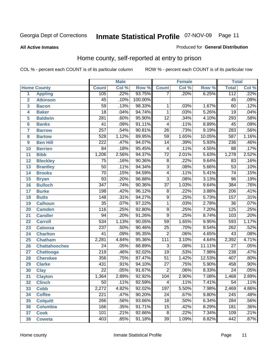**All Active Inmates**

#### Produced for **General Distribution**

### Home county, self-reported at entry to prison

|                 |                      |                  | <b>Male</b> |         |                  | <b>Female</b> |        | <b>Total</b>     |       |
|-----------------|----------------------|------------------|-------------|---------|------------------|---------------|--------|------------------|-------|
|                 | <b>Home County</b>   | <b>Count</b>     | Col %       | Row %   | <b>Count</b>     | Col %         | Row %  | <b>Total</b>     | Col % |
| 1               | <b>Appling</b>       | 105              | .22%        | 93.75%  | 7                | .20%          | 6.25%  | 112              | .22%  |
| $\overline{2}$  | <b>Atkinson</b>      | $\overline{45}$  | .10%        | 100.00% |                  |               |        | $\overline{45}$  | .09%  |
| 3               | <b>Bacon</b>         | $\overline{59}$  | .13%        | 98.33%  | 1                | .03%          | 1.67%  | 60               | .12%  |
| 4               | <b>Baker</b>         | $\overline{18}$  | .04%        | 94.74%  | $\mathbf{1}$     | .03%          | 5.26%  | 19               | .04%  |
| 5               | <b>Baldwin</b>       | $\overline{281}$ | .60%        | 95.90%  | $\overline{12}$  | .34%          | 4.10%  | 293              | .58%  |
| $6\phantom{a}$  | <b>Banks</b>         | $\overline{41}$  | .09%        | 91.11%  | 4                | .11%          | 8.89%  | $\overline{45}$  | .09%  |
| $\overline{7}$  | <b>Barrow</b>        | $\overline{257}$ | .54%        | 90.81%  | $\overline{26}$  | .73%          | 9.19%  | 283              | .56%  |
| 8               | <b>Bartow</b>        | $\overline{528}$ | 1.12%       | 89.95%  | $\overline{59}$  | 1.65%         | 10.05% | $\overline{587}$ | 1.16% |
| 9               | <b>Ben Hill</b>      | $\overline{222}$ | .47%        | 94.07%  | $\overline{14}$  | .39%          | 5.93%  | 236              | .46%  |
| 10              | <b>Berrien</b>       | $\overline{84}$  | .18%        | 95.45%  | 4                | .11%          | 4.55%  | $\overline{88}$  | .17%  |
| 11              | <b>Bibb</b>          | 1,206            | 2.56%       | 94.37%  | $\overline{72}$  | 2.01%         | 5.63%  | 1,278            | 2.52% |
| 12              | <b>Bleckley</b>      | $\overline{75}$  | .16%        | 90.36%  | $\overline{8}$   | .22%          | 9.64%  | $\overline{83}$  | .16%  |
| $\overline{13}$ | <b>Brantley</b>      | $\overline{50}$  | .11%        | 94.34%  | $\overline{3}$   | .08%          | 5.66%  | $\overline{53}$  | .10%  |
| $\overline{14}$ | <b>Brooks</b>        | $\overline{70}$  | .15%        | 94.59%  | $\overline{4}$   | .11%          | 5.41%  | $\overline{74}$  | .15%  |
| 15              | <b>Bryan</b>         | $\overline{93}$  | .20%        | 96.88%  | $\overline{3}$   | .08%          | 3.13%  | $\overline{96}$  | .19%  |
| 16              | <b>Bulloch</b>       | $\overline{347}$ | .74%        | 90.36%  | $\overline{37}$  | 1.03%         | 9.64%  | 384              | .76%  |
| $\overline{17}$ | <b>Burke</b>         | 198              | .42%        | 96.12%  | $\overline{8}$   | .22%          | 3.88%  | $\overline{206}$ | .41%  |
| 18              | <b>Butts</b>         | $\overline{148}$ | .31%        | 94.27%  | $\overline{9}$   | .25%          | 5.73%  | 157              | .31%  |
| 19              | <b>Calhoun</b>       | $\overline{35}$  | .07%        | 97.22%  | $\mathbf{1}$     | .03%          | 2.78%  | $\overline{36}$  | .07%  |
| 20              | <b>Camden</b>        | 116              | .25%        | 92.80%  | $\overline{9}$   | .25%          | 7.20%  | $\overline{125}$ | .25%  |
| 21              | <b>Candler</b>       | $\overline{94}$  | .20%        | 91.26%  | $\overline{9}$   | .25%          | 8.74%  | 103              | .20%  |
| $\overline{22}$ | <b>Carroll</b>       | $\overline{534}$ | 1.13%       | 90.05%  | $\overline{59}$  | 1.65%         | 9.95%  | 593              | 1.17% |
| 23              | <b>Catoosa</b>       | $\overline{237}$ | .50%        | 90.46%  | $\overline{25}$  | .70%          | 9.54%  | 262              | .52%  |
| 24              | <b>Charlton</b>      | $\overline{41}$  | .09%        | 95.35%  | $\overline{2}$   | .06%          | 4.65%  | $\overline{43}$  | .08%  |
| 25              | <b>Chatham</b>       | 2,281            | 4.84%       | 95.36%  | $\overline{111}$ | 3.10%         | 4.64%  | 2,392            | 4.71% |
| 26              | <b>Chattahoochee</b> | $\overline{24}$  | .05%        | 88.89%  | $\overline{3}$   | .08%          | 11.11% | $\overline{27}$  | .05%  |
| 27              | <b>Chattooga</b>     | $\overline{219}$ | .46%        | 92.02%  | $\overline{19}$  | .53%          | 7.98%  | 238              | .47%  |
| 28              | <b>Cherokee</b>      | 356              | .75%        | 87.47%  | $\overline{51}$  | 1.42%         | 12.53% | 407              | .80%  |
| 29              | <b>Clarke</b>        | $\overline{431}$ | .91%        | 94.10%  | $\overline{27}$  | .75%          | 5.90%  | 458              | .90%  |
| 30              | <b>Clay</b>          | $\overline{22}$  | .05%        | 91.67%  | $\overline{2}$   | .06%          | 8.33%  | $\overline{24}$  | .05%  |
| $\overline{31}$ | <b>Clayton</b>       | 1,364            | 2.89%       | 92.92%  | 104              | 2.90%         | 7.08%  | 1,468            | 2.89% |
| 32              | <b>Clinch</b>        | 50               | .11%        | 92.59%  | 4                | .11%          | 7.41%  | 54               | .11%  |
| 33              | <b>Cobb</b>          | 2,272            | 4.82%       | 92.02%  | 197              | 5.50%         | 7.98%  | 2,469            | 4.86% |
| 34              | <b>Coffee</b>        | $\overline{221}$ | .47%        | 90.20%  | $\overline{24}$  | .67%          | 9.80%  | $\overline{245}$ | .48%  |
| 35              | <b>Colquitt</b>      | 266              | .56%        | 93.66%  | $\overline{18}$  | .50%          | 6.34%  | $\overline{284}$ | .56%  |
| 36              | <b>Columbia</b>      | 166              | .35%        | 91.71%  | 15               | .42%          | 8.29%  | 181              | .36%  |
| 37              | <b>Cook</b>          | 101              | .21%        | 92.66%  | $\overline{8}$   | .22%          | 7.34%  | 109              | .21%  |
| 38              | <b>Coweta</b>        | 403              | .85%        | 91.18%  | $\overline{39}$  | 1.09%         | 8.82%  | 442              | .87%  |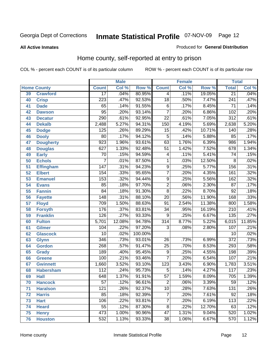#### **All Active Inmates**

#### Produced for **General Distribution**

### Home county, self-reported at entry to prison

|    |                    |                  | <b>Male</b> |         |                         | <b>Female</b> |        | <b>Total</b>     |        |
|----|--------------------|------------------|-------------|---------|-------------------------|---------------|--------|------------------|--------|
|    | <b>Home County</b> | <b>Count</b>     | Col %       | Row %   | <b>Count</b>            | Col %         | Row %  | <b>Total</b>     | Col %  |
| 39 | <b>Crawford</b>    | $\overline{17}$  | .04%        | 80.95%  | 4                       | .11%          | 19.05% | $\overline{21}$  | .04%   |
| 40 | <b>Crisp</b>       | $\overline{223}$ | .47%        | 92.53%  | $\overline{18}$         | .50%          | 7.47%  | $\overline{241}$ | .47%   |
| 41 | <b>Dade</b>        | 65               | .14%        | 91.55%  | 6                       | .17%          | 8.45%  | $\overline{71}$  | .14%   |
| 42 | <b>Dawson</b>      | $\overline{95}$  | .20%        | 93.14%  | $\overline{7}$          | .20%          | 6.86%  | 102              | .20%   |
| 43 | <b>Decatur</b>     | $\overline{290}$ | .61%        | 92.95%  | $\overline{22}$         | .61%          | 7.05%  | $\overline{312}$ | .61%   |
| 44 | <b>Dekalb</b>      | 2,488            | 5.27%       | 94.31%  | $\overline{150}$        | 4.19%         | 5.69%  | 2,638            | 5.20%  |
| 45 | <b>Dodge</b>       | 125              | .26%        | 89.29%  | $\overline{15}$         | .42%          | 10.71% | 140              | .28%   |
| 46 | <b>Dooly</b>       | $\overline{80}$  | .17%        | 94.12%  | $\overline{5}$          | .14%          | 5.88%  | 85               | .17%   |
| 47 | <b>Dougherty</b>   | $\overline{923}$ | 1.96%       | 93.61%  | 63                      | 1.76%         | 6.39%  | 986              | 1.94%  |
| 48 | <b>Douglas</b>     | $\overline{627}$ | 1.33%       | 92.48%  | $\overline{51}$         | 1.42%         | 7.52%  | 678              | 1.34%  |
| 49 | <b>Early</b>       | 70               | .15%        | 94.59%  | 4                       | .11%          | 5.41%  | 74               | .15%   |
| 50 | <b>Echols</b>      | 7                | .01%        | 87.50%  | $\mathbf 1$             | .03%          | 12.50% | 8                | .02%   |
| 51 | <b>Effingham</b>   | 147              | .31%        | 94.23%  | $\overline{9}$          | .25%          | 5.77%  | 156              | .31%   |
| 52 | <b>Elbert</b>      | 154              | .33%        | 95.65%  | $\overline{7}$          | .20%          | 4.35%  | 161              | .32%   |
| 53 | <b>Emanuel</b>     | 153              | .32%        | 94.44%  | $\overline{9}$          | .25%          | 5.56%  | 162              | .32%   |
| 54 | <b>Evans</b>       | 85               | .18%        | 97.70%  | $\overline{2}$          | .06%          | 2.30%  | $\overline{87}$  | .17%   |
| 55 | <b>Fannin</b>      | $\overline{84}$  | .18%        | 91.30%  | $\overline{8}$          | .22%          | 8.70%  | 92               | .18%   |
| 56 | <b>Fayette</b>     | 148              | .31%        | 88.10%  | $\overline{20}$         | .56%          | 11.90% | 168              | .33%   |
| 57 | <b>Floyd</b>       | 709              | 1.50%       | 88.63%  | $\overline{91}$         | 2.54%         | 11.38% | 800              | 1.58%  |
| 58 | <b>Forsyth</b>     | 176              | .37%        | 83.81%  | $\overline{34}$         | .95%          | 16.19% | $\overline{210}$ | .41%   |
| 59 | <b>Franklin</b>    | 126              | .27%        | 93.33%  | $\overline{9}$          | .25%          | 6.67%  | 135              | .27%   |
| 60 | <b>Fulton</b>      | 5,701            | 12.08%      | 94.78%  | $\overline{314}$        | 8.77%         | 5.22%  | 6,015            | 11.85% |
| 61 | <b>Gilmer</b>      | 104              | .22%        | 97.20%  | 3                       | .08%          | 2.80%  | 107              | .21%   |
| 62 | <b>Glascock</b>    | $\overline{10}$  | .02%        | 100.00% |                         |               |        | 10               | .02%   |
| 63 | <b>Glynn</b>       | $\overline{346}$ | .73%        | 93.01%  | 26                      | .73%          | 6.99%  | $\overline{372}$ | .73%   |
| 64 | <b>Gordon</b>      | 268              | .57%        | 91.47%  | $\overline{25}$         | .70%          | 8.53%  | 293              | .58%   |
| 65 | <b>Grady</b>       | 189              | .40%        | 95.45%  | 9                       | .25%          | 4.55%  | 198              | .39%   |
| 66 | <b>Greene</b>      | 100              | .21%        | 93.46%  | $\overline{7}$          | .20%          | 6.54%  | 107              | .21%   |
| 67 | <b>Gwinnett</b>    | 1,660            | 3.52%       | 93.10%  | 123                     | 3.43%         | 6.90%  | 1,783            | 3.51%  |
| 68 | <b>Habersham</b>   | 112              | .24%        | 95.73%  | $\overline{5}$          | .14%          | 4.27%  | 117              | .23%   |
| 69 | <b>Hall</b>        | 648              | 1.37%       | 91.91%  | $\overline{57}$         | 1.59%         | 8.09%  | 705              | 1.39%  |
| 70 | <b>Hancock</b>     | $\overline{57}$  | .12%        | 96.61%  | $\overline{\mathbf{c}}$ | .06%          | 3.39%  | $\overline{59}$  | .12%   |
| 71 | <b>Haralson</b>    | 121              | .26%        | 92.37%  | $\overline{10}$         | .28%          | 7.63%  | 131              | .26%   |
| 72 | <b>Harris</b>      | 85               | .18%        | 92.39%  | 7                       | .20%          | 7.61%  | $\overline{92}$  | .18%   |
| 73 | <b>Hart</b>        | 106              | .22%        | 93.81%  | $\overline{7}$          | .20%          | 6.19%  | 113              | .22%   |
| 74 | <b>Heard</b>       | $\overline{55}$  | .12%        | 87.30%  | $\overline{8}$          | .22%          | 12.70% | 63               | .12%   |
| 75 | <b>Henry</b>       | 473              | 1.00%       | 90.96%  | 47                      | 1.31%         | 9.04%  | 520              | 1.02%  |
| 76 | <b>Houston</b>     | 532              | 1.13%       | 93.33%  | $\overline{38}$         | 1.06%         | 6.67%  | 570              | 1.12%  |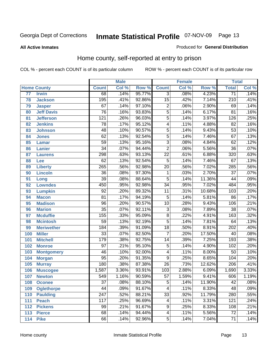#### **All Active Inmates**

#### Produced for **General Distribution**

### Home county, self-reported at entry to prison

|     |                    |                  | <b>Male</b> |        |                           | <b>Female</b> |        | <b>Total</b>     |       |
|-----|--------------------|------------------|-------------|--------|---------------------------|---------------|--------|------------------|-------|
|     | <b>Home County</b> | <b>Count</b>     | Col %       | Row %  | <b>Count</b>              | Col %         | Row %  | <b>Total</b>     | Col % |
| 77  | <b>Irwin</b>       | 68               | .14%        | 95.77% | 3                         | .08%          | 4.23%  | $\overline{71}$  | .14%  |
| 78  | <b>Jackson</b>     | 195              | .41%        | 92.86% | $\overline{15}$           | .42%          | 7.14%  | 210              | .41%  |
| 79  | <b>Jasper</b>      | $\overline{67}$  | .14%        | 97.10% | $\overline{2}$            | .06%          | 2.90%  | 69               | .14%  |
| 80  | <b>Jeff Davis</b>  | $\overline{76}$  | .16%        | 93.83% | $\overline{5}$            | .14%          | 6.17%  | 81               | .16%  |
| 81  | <b>Jefferson</b>   | $\overline{121}$ | .26%        | 96.03% | $\overline{5}$            | .14%          | 3.97%  | 126              | .25%  |
| 82  | <b>Jenkins</b>     | $\overline{78}$  | .17%        | 95.12% | 4                         | .11%          | 4.88%  | $\overline{82}$  | .16%  |
| 83  | <b>Johnson</b>     | $\overline{48}$  | .10%        | 90.57% | $\overline{5}$            | .14%          | 9.43%  | $\overline{53}$  | .10%  |
| 84  | <b>Jones</b>       | 62               | .13%        | 92.54% | $\overline{5}$            | .14%          | 7.46%  | 67               | .13%  |
| 85  | <b>Lamar</b>       | $\overline{59}$  | .13%        | 95.16% | $\overline{\overline{3}}$ | .08%          | 4.84%  | 62               | .12%  |
| 86  | <b>Lanier</b>      | $\overline{34}$  | .07%        | 94.44% | $\overline{2}$            | .06%          | 5.56%  | $\overline{36}$  | .07%  |
| 87  | <b>Laurens</b>     | 298              | .63%        | 93.13% | $\overline{22}$           | .61%          | 6.88%  | 320              | .63%  |
| 88  | Lee                | 62               | .13%        | 92.54% | $\overline{5}$            | .14%          | 7.46%  | 67               | .13%  |
| 89  | <b>Liberty</b>     | $\overline{265}$ | .56%        | 92.98% | $\overline{20}$           | .56%          | 7.02%  | 285              | .56%  |
| 90  | <b>Lincoln</b>     | $\overline{36}$  | .08%        | 97.30% | 1                         | .03%          | 2.70%  | $\overline{37}$  | .07%  |
| 91  | Long               | $\overline{39}$  | .08%        | 88.64% | $\overline{5}$            | .14%          | 11.36% | $\overline{44}$  | .09%  |
| 92  | <b>Lowndes</b>     | 450              | .95%        | 92.98% | $\overline{34}$           | .95%          | 7.02%  | 484              | .95%  |
| 93  | <b>Lumpkin</b>     | $\overline{92}$  | .20%        | 89.32% | $\overline{11}$           | .31%          | 10.68% | 103              | .20%  |
| 94  | <b>Macon</b>       | $\overline{81}$  | .17%        | 94.19% | $\overline{5}$            | .14%          | 5.81%  | 86               | .17%  |
| 95  | <b>Madison</b>     | $\overline{96}$  | .20%        | 90.57% | $\overline{10}$           | .28%          | 9.43%  | 106              | .21%  |
| 96  | <b>Marion</b>      | $\overline{35}$  | .07%        | 92.11% | $\overline{3}$            | .08%          | 7.89%  | 38               | .07%  |
| 97  | <b>Mcduffie</b>    | 155              | .33%        | 95.09% | $\overline{8}$            | .22%          | 4.91%  | 163              | .32%  |
| 98  | <b>Mcintosh</b>    | $\overline{59}$  | .13%        | 92.19% | $\overline{5}$            | .14%          | 7.81%  | 64               | .13%  |
| 99  | <b>Meriwether</b>  | 184              | .39%        | 91.09% | $\overline{18}$           | .50%          | 8.91%  | 202              | .40%  |
| 100 | <b>Miller</b>      | $\overline{33}$  | .07%        | 82.50% | $\overline{7}$            | .20%          | 17.50% | 40               | .08%  |
| 101 | <b>Mitchell</b>    | 179              | .38%        | 92.75% | $\overline{14}$           | .39%          | 7.25%  | 193              | .38%  |
| 102 | <b>Monroe</b>      | $\overline{97}$  | .21%        | 95.10% | $\overline{5}$            | .14%          | 4.90%  | 102              | .20%  |
| 103 | <b>Montgomery</b>  | $\overline{46}$  | .10%        | 92.00% | $\overline{4}$            | .11%          | 8.00%  | $\overline{50}$  | .10%  |
| 104 | <b>Morgan</b>      | $\overline{95}$  | .20%        | 91.35% | $\overline{9}$            | .25%          | 8.65%  | 104              | .20%  |
| 105 | <b>Murray</b>      | 180              | .38%        | 87.38% | $\overline{26}$           | .73%          | 12.62% | $\overline{206}$ | .41%  |
| 106 | <b>Muscogee</b>    | 1,587            | 3.36%       | 93.91% | 103                       | 2.88%         | 6.09%  | 1,690            | 3.33% |
| 107 | <b>Newton</b>      | $\overline{549}$ | 1.16%       | 90.59% | $\overline{57}$           | 1.59%         | 9.41%  | 606              | 1.19% |
| 108 | <b>Oconee</b>      | 37               | .08%        | 88.10% | 5                         | .14%          | 11.90% | 42               | .08%  |
| 109 | <b>Oglethorpe</b>  | $\overline{44}$  | .09%        | 91.67% | 4                         | .11%          | 8.33%  | 48               | .09%  |
| 110 | <b>Paulding</b>    | $\overline{247}$ | .52%        | 88.21% | $\overline{33}$           | .92%          | 11.79% | 280              | .55%  |
| 111 | <b>Peach</b>       | 117              | .25%        | 96.69% | 4                         | .11%          | 3.31%  | 121              | .24%  |
| 112 | <b>Pickens</b>     | 99               | .21%        | 91.67% | 9                         | .25%          | 8.33%  | 108              | .21%  |
| 113 | <b>Pierce</b>      | 68               | .14%        | 94.44% | 4                         | .11%          | 5.56%  | $\overline{72}$  | .14%  |
| 114 | <b>Pike</b>        | 66               | .14%        | 92.96% | $\overline{5}$            | .14%          | 7.04%  | 71               | .14%  |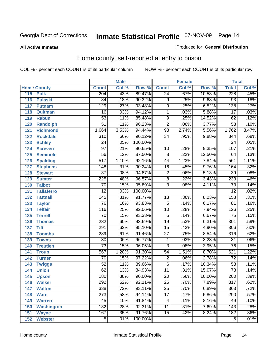#### **All Active Inmates**

#### Produced for **General Distribution**

### Home county, self-reported at entry to prison

|     |                    |                  | <b>Male</b> |         |                 | <b>Female</b> |        | <b>Total</b>     |                            |
|-----|--------------------|------------------|-------------|---------|-----------------|---------------|--------|------------------|----------------------------|
|     | <b>Home County</b> | <b>Count</b>     | Col %       | Row %   | <b>Count</b>    | Col %         | Row %  | <b>Total</b>     | $\overline{\text{Col }^9}$ |
| 115 | <b>Polk</b>        | $\overline{204}$ | .43%        | 89.47%  | $\overline{24}$ | .67%          | 10.53% | 228              | .45%                       |
| 116 | <b>Pulaski</b>     | $\overline{84}$  | .18%        | 90.32%  | 9               | .25%          | 9.68%  | $\overline{93}$  | .18%                       |
| 117 | <b>Putnam</b>      | 129              | .27%        | 93.48%  | $\overline{9}$  | .25%          | 6.52%  | 138              | .27%                       |
| 118 | Quitman            | $\overline{16}$  | .03%        | 94.12%  | $\overline{1}$  | .03%          | 5.88%  | $\overline{17}$  | .03%                       |
| 119 | <b>Rabun</b>       | $\overline{53}$  | .11%        | 85.48%  | $\overline{9}$  | .25%          | 14.52% | 62               | .12%                       |
| 120 | <b>Randolph</b>    | $\overline{51}$  | .11%        | 96.23%  | $\overline{2}$  | .06%          | 3.77%  | $\overline{53}$  | .10%                       |
| 121 | <b>Richmond</b>    | 1,664            | 3.53%       | 94.44%  | $\overline{98}$ | 2.74%         | 5.56%  | 1,762            | 3.47%                      |
| 122 | <b>Rockdale</b>    | $\overline{310}$ | .66%        | 90.12%  | $\overline{34}$ | .95%          | 9.88%  | 344              | .68%                       |
| 123 | <b>Schley</b>      | $\overline{24}$  | .05%        | 100.00% |                 |               |        | $\overline{24}$  | .05%                       |
| 124 | <b>Screven</b>     | $\overline{97}$  | .21%        | 90.65%  | 10              | .28%          | 9.35%  | 107              | .21%                       |
| 125 | <b>Seminole</b>    | $\overline{56}$  | .12%        | 87.50%  | $\overline{8}$  | .22%          | 12.50% | 64               | .13%                       |
| 126 | <b>Spalding</b>    | $\overline{517}$ | 1.10%       | 92.16%  | $\overline{44}$ | 1.23%         | 7.84%  | 561              | 1.11%                      |
| 127 | <b>Stephens</b>    | $\overline{148}$ | .31%        | 90.24%  | $\overline{16}$ | .45%          | 9.76%  | 164              | .32%                       |
| 128 | <b>Stewart</b>     | $\overline{37}$  | .08%        | 94.87%  | $\overline{2}$  | .06%          | 5.13%  | $\overline{39}$  | .08%                       |
| 129 | <b>Sumter</b>      | $\overline{225}$ | .48%        | 96.57%  | $\overline{8}$  | .22%          | 3.43%  | 233              | .46%                       |
| 130 | <b>Talbot</b>      | $\overline{70}$  | .15%        | 95.89%  | $\overline{3}$  | .08%          | 4.11%  | $\overline{73}$  | .14%                       |
| 131 | <b>Taliaferro</b>  | $\overline{12}$  | .03%        | 100.00% |                 |               |        | $\overline{12}$  | .02%                       |
| 132 | <b>Tattnall</b>    | 145              | .31%        | 91.77%  | $\overline{13}$ | .36%          | 8.23%  | 158              | .31%                       |
| 133 | <b>Taylor</b>      | $\overline{76}$  | .16%        | 93.83%  | $\overline{5}$  | .14%          | 6.17%  | $\overline{81}$  | .16%                       |
| 134 | <b>Telfair</b>     | $\overline{116}$ | .25%        | 92.06%  | $\overline{10}$ | .28%          | 7.94%  | 126              | .25%                       |
| 135 | <b>Terrell</b>     | $\overline{70}$  | .15%        | 93.33%  | $\overline{5}$  | .14%          | 6.67%  | $\overline{75}$  | .15%                       |
| 136 | <b>Thomas</b>      | 282              | .60%        | 93.69%  | $\overline{19}$ | .53%          | 6.31%  | $\overline{301}$ | .59%                       |
| 137 | <b>Tift</b>        | 291              | .62%        | 95.10%  | $\overline{15}$ | .42%          | 4.90%  | 306              | .60%                       |
| 138 | <b>Toombs</b>      | 289              | .61%        | 91.46%  | $\overline{27}$ | .75%          | 8.54%  | 316              | .62%                       |
| 139 | <b>Towns</b>       | $\overline{30}$  | .06%        | 96.77%  | 1               | .03%          | 3.23%  | $\overline{31}$  | .06%                       |
| 140 | <b>Treutlen</b>    | $\overline{73}$  | .15%        | 96.05%  | $\overline{3}$  | .08%          | 3.95%  | 76               | .15%                       |
| 141 | <b>Troup</b>       | 567              | 1.20%       | 91.30%  | $\overline{54}$ | 1.51%         | 8.70%  | 621              | 1.22%                      |
| 142 | <b>Turner</b>      | $\overline{70}$  | .15%        | 97.22%  | $\overline{2}$  | .06%          | 2.78%  | $\overline{72}$  | .14%                       |
| 143 | <b>Twiggs</b>      | $\overline{52}$  | .11%        | 89.66%  | $\overline{6}$  | .17%          | 10.34% | $\overline{58}$  | .11%                       |
| 144 | <b>Union</b>       | $\overline{62}$  | .13%        | 84.93%  | $\overline{11}$ | .31%          | 15.07% | $\overline{73}$  | .14%                       |
| 145 | <b>Upson</b>       | 180              | .38%        | 90.00%  | $\overline{20}$ | .56%          | 10.00% | 200              | .39%                       |
| 146 | <b>Walker</b>      | 292              | .62%        | 92.11%  | $\overline{25}$ | .70%          | 7.89%  | 317              | .62%                       |
| 147 | <b>Walton</b>      | 338              | .72%        | 93.11%  | $\overline{25}$ | .70%          | 6.89%  | 363              | .72%                       |
| 148 | <b>Ware</b>        | $\overline{273}$ | .58%        | 94.14%  | $\overline{17}$ | .47%          | 5.86%  | 290              | .57%                       |
| 149 | <b>Warren</b>      | 45               | .10%        | 91.84%  | 4               | .11%          | 8.16%  | 49               | .10%                       |
| 150 | <b>Washington</b>  | $\overline{132}$ | .28%        | 92.31%  | $\overline{11}$ | .31%          | 7.69%  | 143              | .28%                       |
| 151 | <b>Wayne</b>       | 167              | .35%        | 91.76%  | $\overline{15}$ | .42%          | 8.24%  | 182              | .36%                       |
| 152 | <b>Webster</b>     | $\overline{5}$   | .01%        | 100.00% |                 |               |        | $\overline{5}$   | .01%                       |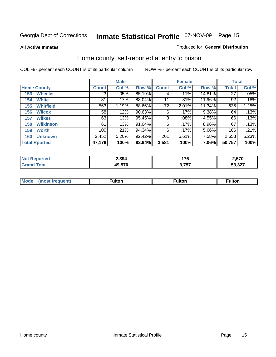**All Active Inmates**

#### Produced for **General Distribution**

### Home county, self-reported at entry to prison

|                    |                      | <b>Male</b>  |         |        |              | <b>Female</b> |        | <b>Total</b> |       |
|--------------------|----------------------|--------------|---------|--------|--------------|---------------|--------|--------------|-------|
| <b>Home County</b> |                      | <b>Count</b> | Col %   | Row %  | <b>Count</b> | Col %         | Row %  | <b>Total</b> | Col % |
| 153                | <b>Wheeler</b>       | 23           | .05%    | 85.19% | 4            | $.11\%$       | 14.81% | 27           | .05%  |
| 154                | <b>White</b>         | 81           | $.17\%$ | 88.04% | 11           | .31%          | 11.96% | 92           | .18%  |
| 155                | <b>Whitfield</b>     | 563          | 1.19%   | 88.66% | 72           | 2.01%         | 11.34% | 635          | 1.25% |
| 156                | <b>Wilcox</b>        | 58           | .12%    | 90.63% | 6            | $.17\%$       | 9.38%  | 64           | .13%  |
| 157                | <b>Wilkes</b>        | 63           | .13%    | 95.45% | 3            | $.08\%$       | 4.55%  | 66           | .13%  |
| 158                | <b>Wilkinson</b>     | 61           | .13%    | 91.04% | 6            | .17%          | 8.96%  | 67           | .13%  |
| 159                | <b>Worth</b>         | 100          | .21%    | 94.34% | 6            | $.17\%$       | 5.66%  | 106          | .21%  |
| 160                | <b>Unknown</b>       | 2,452        | 5.20%   | 92.42% | 201          | 5.61%         | 7.58%  | 2,653        | 5.23% |
|                    | <b>Total Rported</b> | 47,176       | 100%    | 92.94% | 3,581        | 100%          | 7.06%  | 50,757       | 100%  |

| rted<br>NO: | 2,394  | 1 7 C          | 2,570           |
|-------------|--------|----------------|-----------------|
| <b>otal</b> | 49.570 | ク フロフ<br>וט וי | 52.22<br>ו∠ט.ככ |

| <b>Mode</b> | ---<br>.tor | <b>ulton</b> | . |
|-------------|-------------|--------------|---|
|             |             |              |   |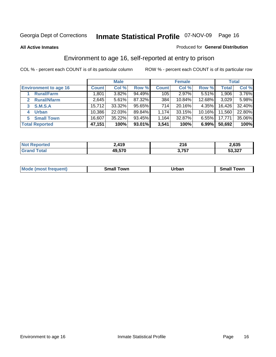#### **All Active Inmates**

#### Produced for **General Distribution**

### Environment to age 16, self-reported at entry to prison

|                                    |              | <b>Male</b> |        |              | <b>Female</b> |          |              | <b>Total</b> |
|------------------------------------|--------------|-------------|--------|--------------|---------------|----------|--------------|--------------|
| <b>Environment to age 16</b>       | <b>Count</b> | Col %       | Row %  | <b>Count</b> | Col %         | Row %    | <b>Total</b> | Col %        |
| <b>Rural/Farm</b>                  | 1,801        | 3.82%       | 94.49% | 105          | 2.97%         | 5.51%    | 1,906        | 3.76%        |
| <b>Rural/Nfarm</b><br>$\mathbf{2}$ | 2,645        | 5.61%       | 87.32% | 384          | 10.84%        | 12.68%   | 3,029        | 5.98%        |
| <b>S.M.S.A</b>                     | 15,712       | 33.32%      | 95.65% | 714          | 20.16%        | 4.35%    | 16,426       | 32.40%       |
| <b>Urban</b><br>4                  | 10,386       | 22.03%      | 89.84% | 1,174        | 33.15%        | 10.16%   | 11,560       | 22.80%       |
| <b>Small Town</b><br>5             | 16,607       | 35.22%      | 93.45% | 1,164        | 32.87%        | $6.55\%$ | 17,771       | 35.06%       |
| <b>Total Reported</b>              | 47,151       | 100%        | 93.01% | 3,541        | 100%          | 6.99%    | 50,692       | 100%         |

| Reported<br><b>NOT</b> | 2,419  | 24C<br>2 I U | 2.635  |
|------------------------|--------|--------------|--------|
| <sup>-</sup> otal      | 49,570 | 3,757        | 53,327 |

| <b>Mode</b><br>frequent)<br>$\cdots$ | own<br>Small<br>_____ | Jrban<br>____ | ⊺owr<br>ан<br>_____ |
|--------------------------------------|-----------------------|---------------|---------------------|
|                                      |                       |               |                     |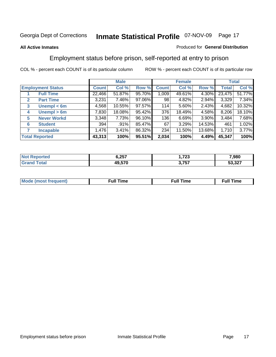#### **All Active Inmates**

#### Produced for **General Distribution**

### Employment status before prison, self-reported at entry to prison

|                                  |              | <b>Male</b> |        |              | <b>Female</b> |        |        | <b>Total</b> |
|----------------------------------|--------------|-------------|--------|--------------|---------------|--------|--------|--------------|
| <b>Employment Status</b>         | <b>Count</b> | Col %       | Row %  | <b>Count</b> | Col %         | Row %  | Total  | Col %        |
| <b>Full Time</b>                 | 22,466       | 51.87%      | 95.70% | 1,009        | 49.61%        | 4.30%  | 23,475 | 51.77%       |
| <b>Part Time</b><br>$\mathbf{2}$ | 3,231        | 7.46%       | 97.06% | 98           | 4.82%         | 2.94%  | 3,329  | 7.34%        |
| Unempl $<$ 6m<br>3               | 4,568        | 10.55%      | 97.57% | 114          | $5.60\%$      | 2.43%  | 4,682  | 10.32%       |
| Unempl > 6m<br>4                 | 7,830        | 18.08%      | 95.42% | 376          | 18.49%        | 4.58%  | 8,206  | 18.10%       |
| <b>Never Workd</b><br>5          | 3,348        | 7.73%       | 96.10% | 136          | 6.69%         | 3.90%  | 3,484  | 7.68%        |
| <b>Student</b><br>6              | 394          | .91%        | 85.47% | 67           | 3.29%         | 14.53% | 461    | 1.02%        |
| <b>Incapable</b><br>7            | 1,476        | 3.41%       | 86.32% | 234          | 11.50%        | 13.68% | 1,710  | 3.77%        |
| <b>Total Reported</b>            | 43,313       | 100%        | 95.51% | 2,034        | 100%          | 4.49%  | 45,347 | 100%         |

| rrer | <b>6.257ه</b> | フへへ<br>2J<br>__ | .980   |
|------|---------------|-----------------|--------|
|      | 49,570        | っ フロフ<br>יטי    | 53,327 |

| <b>M</b> ດ | the contract of the contract of the contract of the contract of the contract of the contract of the contract of | , ull i<br>ıme<br>the contract of the contract of the contract of the contract of the contract of the contract of the contract of | ïme<br>uı |
|------------|-----------------------------------------------------------------------------------------------------------------|-----------------------------------------------------------------------------------------------------------------------------------|-----------|
|            |                                                                                                                 |                                                                                                                                   |           |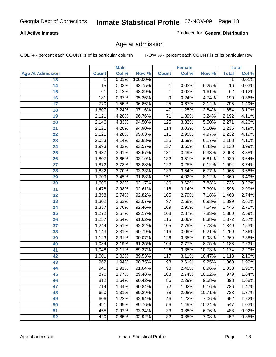#### **All Active Inmates**

Produced for **General Distribution**

### Age at admission

|                         |                 | <b>Male</b> |         |                  | <b>Female</b> |        |              | <b>Total</b> |
|-------------------------|-----------------|-------------|---------|------------------|---------------|--------|--------------|--------------|
| <b>Age At Admission</b> | <b>Count</b>    | Col %       | Row %   | <b>Count</b>     | Col %         | Row %  | <b>Total</b> | Col %        |
| 13                      | 1               | 0.01%       | 100.00% |                  |               |        | 1            | 0.01%        |
| 14                      | $\overline{15}$ | 0.03%       | 93.75%  | 1                | 0.03%         | 6.25%  | 16           | 0.03%        |
| $\overline{15}$         | 61              | 0.12%       | 98.39%  | 1                | 0.03%         | 1.61%  | 62           | 0.12%        |
| 16                      | 181             | 0.37%       | 95.26%  | 9                | 0.24%         | 4.74%  | 190          | 0.36%        |
| $\overline{17}$         | 770             | 1.55%       | 96.86%  | $\overline{25}$  | 0.67%         | 3.14%  | 795          | 1.49%        |
| 18                      | 1,607           | 3.24%       | 97.16%  | $\overline{47}$  | 1.25%         | 2.84%  | 1,654        | 3.10%        |
| 19                      | 2,121           | 4.28%       | 96.76%  | $\overline{71}$  | 1.89%         | 3.24%  | 2,192        | 4.11%        |
| 20                      | 2,146           | 4.33%       | 94.50%  | 125              | 3.33%         | 5.50%  | 2,271        | 4.26%        |
| 21                      | 2,121           | 4.28%       | 94.90%  | 114              | 3.03%         | 5.10%  | 2,235        | 4.19%        |
| 22                      | 2,121           | 4.28%       | 95.03%  | 111              | 2.95%         | 4.97%  | 2,232        | 4.19%        |
| 23                      | 2,053           | 4.14%       | 93.83%  | 135              | 3.59%         | 6.17%  | 2,188        | 4.10%        |
| 24                      | 1,993           | 4.02%       | 93.57%  | 137              | 3.65%         | 6.43%  | 2,130        | 3.99%        |
| $\overline{25}$         | 1,937           | 3.91%       | 93.67%  | 131              | 3.49%         | 6.33%  | 2,068        | 3.88%        |
| 26                      | 1,807           | 3.65%       | 93.19%  | 132              | 3.51%         | 6.81%  | 1,939        | 3.64%        |
| 27                      | 1,872           | 3.78%       | 93.88%  | 122              | 3.25%         | 6.12%  | 1,994        | 3.74%        |
| 28                      | 1,832           | 3.70%       | 93.23%  | $\overline{133}$ | 3.54%         | 6.77%  | 1,965        | 3.68%        |
| 29                      | 1,709           | 3.45%       | 91.88%  | 151              | 4.02%         | 8.12%  | 1,860        | 3.49%        |
| 30                      | 1,600           | 3.23%       | 92.17%  | 136              | 3.62%         | 7.83%  | 1,736        | 3.26%        |
| 31                      | 1,478           | 2.98%       | 92.61%  | 118              | 3.14%         | 7.39%  | 1,596        | 2.99%        |
| 32                      | 1,358           | 2.74%       | 92.82%  | 105              | 2.79%         | 7.18%  | 1,463        | 2.74%        |
| 33                      | 1,302           | 2.63%       | 93.07%  | $\overline{97}$  | 2.58%         | 6.93%  | 1,399        | 2.62%        |
| 34                      | 1,337           | 2.70%       | 92.46%  | 109              | 2.90%         | 7.54%  | 1,446        | 2.71%        |
| 35                      | 1,272           | 2.57%       | 92.17%  | 108              | 2.87%         | 7.83%  | 1,380        | 2.59%        |
| 36                      | 1,257           | 2.54%       | 91.62%  | 115              | 3.06%         | 8.38%  | 1,372        | 2.57%        |
| 37                      | 1,244           | 2.51%       | 92.22%  | 105              | 2.79%         | 7.78%  | 1,349        | 2.53%        |
| 38                      | 1,143           | 2.31%       | 90.79%  | $\overline{116}$ | 3.09%         | 9.21%  | 1,259        | 2.36%        |
| 39                      | 1,143           | 2.31%       | 90.07%  | 126              | 3.35%         | 9.93%  | 1,269        | 2.38%        |
| 40                      | 1,084           | 2.19%       | 91.25%  | 104              | 2.77%         | 8.75%  | 1,188        | 2.23%        |
| 41                      | 1,048           | 2.11%       | 89.27%  | 126              | 3.35%         | 10.73% | 1,174        | 2.20%        |
| 42                      | 1,001           | 2.02%       | 89.53%  | 117              | 3.11%         | 10.47% | 1,118        | 2.10%        |
| 43                      | 962             | 1.94%       | 90.75%  | 98               | 2.61%         | 9.25%  | 1,060        | 1.99%        |
| 44                      | 945             | 1.91%       | 91.04%  | 93               | 2.48%         | 8.96%  | 1,038        | 1.95%        |
| 45                      | 876             | 1.77%       | 89.48%  | 103              | 2.74%         | 10.52% | 979          | 1.84%        |
| 46                      | 812             | 1.64%       | 90.42%  | 86               | 2.29%         | 9.58%  | 898          | 1.68%        |
| 47                      | 714             | 1.44%       | 90.84%  | 72               | 1.92%         | 9.16%  | 786          | 1.47%        |
| 48                      | 650             | 1.31%       | 89.29%  | 78               | 2.08%         | 10.71% | 728          | 1.37%        |
| 49                      | 606             | 1.22%       | 92.94%  | 46               | 1.22%         | 7.06%  | 652          | 1.22%        |
| 50                      | 491             | 0.99%       | 89.76%  | 56               | 1.49%         | 10.24% | 547          | 1.03%        |
| 51                      | 455             | 0.92%       | 93.24%  | $\overline{33}$  | 0.88%         | 6.76%  | 488          | 0.92%        |
| 52                      | 420             | 0.85%       | 92.92%  | 32               | 0.85%         | 7.08%  | 452          | 0.85%        |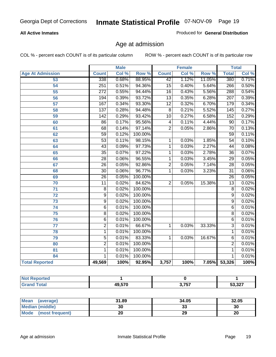#### **All Active Inmates**

Produced for **General Distribution**

### Age at admission

|                         |                  | <b>Male</b> |         |                 | <b>Female</b> |          |                  | <b>Total</b> |
|-------------------------|------------------|-------------|---------|-----------------|---------------|----------|------------------|--------------|
| <b>Age At Admission</b> | <b>Count</b>     | Col %       | Row %   | <b>Count</b>    | Col %         | Row %    | <b>Total</b>     | Col %        |
| 53                      | 338              | 0.68%       | 88.95%  | $\overline{42}$ | 1.12%         | 11.05%   | 380              | 0.71%        |
| 54                      | $\overline{251}$ | 0.51%       | 94.36%  | $\overline{15}$ | 0.40%         | 5.64%    | 266              | 0.50%        |
| $\overline{55}$         | $\overline{272}$ | 0.55%       | 94.44%  | $\overline{16}$ | 0.43%         | 5.56%    | 288              | 0.54%        |
| $\overline{56}$         | 194              | 0.39%       | 93.72%  | $\overline{13}$ | 0.35%         | 6.28%    | $\overline{207}$ | 0.39%        |
| $\overline{57}$         | 167              | 0.34%       | 93.30%  | $\overline{12}$ | 0.32%         | 6.70%    | 179              | 0.34%        |
| 58                      | 137              | 0.28%       | 94.48%  | $\overline{8}$  | 0.21%         | 5.52%    | 145              | 0.27%        |
| 59                      | $\overline{142}$ | 0.29%       | 93.42%  | 10              | 0.27%         | 6.58%    | 152              | 0.29%        |
| 60                      | $\overline{86}$  | 0.17%       | 95.56%  | 4               | 0.11%         | 4.44%    | $\overline{90}$  | 0.17%        |
| 61                      | 68               | 0.14%       | 97.14%  | $\overline{2}$  | 0.05%         | 2.86%    | 70               | 0.13%        |
| 62                      | $\overline{59}$  | 0.12%       | 100.00% |                 |               |          | $\overline{59}$  | 0.11%        |
| 63                      | $\overline{53}$  | 0.11%       | 98.15%  | 1               | 0.03%         | 1.85%    | $\overline{54}$  | 0.10%        |
| 64                      | $\overline{43}$  | 0.09%       | 97.73%  | 1               | 0.03%         | 2.27%    | $\overline{44}$  | 0.08%        |
| 65                      | $\overline{35}$  | 0.07%       | 97.22%  | 1               | 0.03%         | 2.78%    | $\overline{36}$  | 0.07%        |
| 66                      | $\overline{28}$  | 0.06%       | 96.55%  | 1               | 0.03%         | 3.45%    | $\overline{29}$  | 0.05%        |
| 67                      | 26               | 0.05%       | 92.86%  | $\overline{2}$  | 0.05%         | 7.14%    | $\overline{28}$  | 0.05%        |
| 68                      | $\overline{30}$  | 0.06%       | 96.77%  | 1               | 0.03%         | 3.23%    | $\overline{31}$  | 0.06%        |
| 69                      | $\overline{26}$  | 0.05%       | 100.00% |                 |               |          | $\overline{26}$  | 0.05%        |
| 70                      | $\overline{11}$  | 0.02%       | 84.62%  | $\overline{2}$  | 0.05%         | 15.38%   | $\overline{13}$  | 0.02%        |
| 71                      | $\overline{8}$   | 0.02%       | 100.00% |                 |               |          | 8                | 0.02%        |
| $\overline{72}$         | $\overline{9}$   | 0.02%       | 100.00% |                 |               |          | $\overline{9}$   | 0.02%        |
| $\overline{73}$         | $\overline{9}$   | 0.02%       | 100.00% |                 |               |          | $\overline{9}$   | 0.02%        |
| $\overline{74}$         | $\overline{6}$   | 0.01%       | 100.00% |                 |               |          | $\overline{6}$   | 0.01%        |
| $\overline{75}$         | $\overline{8}$   | 0.02%       | 100.00% |                 |               |          | $\overline{8}$   | 0.02%        |
| 76                      | $\overline{6}$   | 0.01%       | 100.00% |                 |               |          | 6                | 0.01%        |
| 77                      | $\overline{2}$   | 0.01%       | 66.67%  | 1               | 0.03%         | 33.33%   | $\overline{3}$   | 0.01%        |
| 78                      | $\overline{1}$   | 0.01%       | 100.00% |                 |               |          | 1                | 0.01%        |
| 79                      | $\overline{5}$   | 0.01%       | 83.33%  | $\overline{1}$  | 0.03%         | 16.67%   | 6                | 0.01%        |
| 80                      | $\overline{2}$   | 0.01%       | 100.00% |                 |               |          | $\overline{2}$   | 0.01%        |
| $\overline{81}$         | $\mathbf{1}$     | 0.01%       | 100.00% |                 |               |          | 1                | 0.01%        |
| 84                      | 1                | 0.01%       | 100.00% |                 |               |          | 1                | 0.01%        |
| <b>Total Reported</b>   | 49,569           | 100%        | 92.95%  | 3,757           | 100%          | $7.05\%$ | 53,326           | 100%         |

| <b>Not Reported</b> |        |       |        |
|---------------------|--------|-------|--------|
| <b>Grand Total</b>  | 49,570 | 3.757 | 53,327 |

| <b>Mean</b><br>(average)       | 31.89 | 34.05   | 32.05 |
|--------------------------------|-------|---------|-------|
| <b>Median (middle)</b>         | 30    | ົ<br>აა | 30    |
| <b>Mode</b><br>(most frequent) | 20    | 29      | 20    |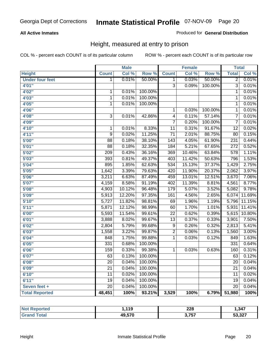#### **All Active Inmates**

#### Produced for **General Distribution**

### Height, measured at entry to prison

|                        |                 | <b>Male</b> |                  |                  | <b>Female</b> |         | <b>Total</b>     |        |
|------------------------|-----------------|-------------|------------------|------------------|---------------|---------|------------------|--------|
| <b>Height</b>          | <b>Count</b>    | Col %       | Row <sup>%</sup> | <b>Count</b>     | Col %         | Row %   | <b>Total</b>     | Col %  |
| <b>Under four feet</b> | 1               | 0.01%       | 50.00%           | 1                | 0.03%         | 50.00%  | $\overline{2}$   | 0.01%  |
| 4'01''                 |                 |             |                  | $\overline{3}$   | 0.09%         | 100.00% | $\overline{3}$   | 0.01%  |
| 4'02''                 | $\mathbf{1}$    | 0.01%       | 100.00%          |                  |               |         | 1                | 0.01%  |
| 4'03"                  | $\overline{1}$  | 0.01%       | 100.00%          |                  |               |         | 1                | 0.01%  |
| 4'05''                 | 1               | 0.01%       | 100.00%          |                  |               |         | 1                | 0.01%  |
| 4'06"                  |                 |             |                  | $\mathbf{1}$     | 0.03%         | 100.00% | $\mathbf 1$      | 0.01%  |
| 4'08"                  | $\overline{3}$  | 0.01%       | 42.86%           | $\overline{4}$   | 0.11%         | 57.14%  | $\overline{7}$   | 0.01%  |
| 4'09"                  |                 |             |                  | $\overline{7}$   | 0.20%         | 100.00% | $\overline{7}$   | 0.01%  |
| 4'10''                 | 1               | 0.01%       | 8.33%            | $\overline{11}$  | 0.31%         | 91.67%  | $\overline{12}$  | 0.02%  |
| 4'11''                 | 9               | 0.02%       | 11.25%           | $\overline{71}$  | 2.01%         | 88.75%  | $\overline{80}$  | 0.15%  |
| 5'00''                 | $\overline{88}$ | 0.18%       | 38.10%           | $\overline{143}$ | 4.05%         | 61.90%  | 231              | 0.44%  |
| 5'01''                 | $\overline{88}$ | 0.18%       | 32.35%           | 184              | 5.21%         | 67.65%  | $\overline{272}$ | 0.52%  |
| 5'02''                 | 209             | 0.43%       | 36.16%           | 369              | 10.46%        | 63.84%  | $\frac{1}{578}$  | 1.11%  |
| 5'03''                 | 393             | 0.81%       | 49.37%           | 403              | 11.42%        | 50.63%  | 796              | 1.53%  |
| 5'04"                  | 895             | 1.85%       | 62.63%           | 534              | 15.13%        | 37.37%  | 1,429            | 2.75%  |
| 5'05''                 | 1,642           | 3.39%       | 79.63%           | 420              | 11.90%        | 20.37%  | 2,062            | 3.97%  |
| 5'06''                 | 3,211           | 6.63%       | 87.49%           | 459              | 13.01%        | 12.51%  | 3,670            | 7.06%  |
| 5'07''                 | 4,159           | 8.58%       | 91.19%           | 402              | 11.39%        | 8.81%   | 4,561            | 8.77%  |
| 5'08''                 | 4,903           | 10.12%      | 96.48%           | 179              | 5.07%         | 3.52%   | 5,082            | 9.78%  |
| 5'09''                 | 5,913           | 12.20%      | 97.35%           | 161              | 4.56%         | 2.65%   | 6,074            | 11.69% |
| 5'10''                 | 5,727           | 11.82%      | 98.81%           | $\overline{69}$  | 1.96%         | 1.19%   | 5,796            | 11.15% |
| 5'11''                 | 5,871           | 12.12%      | 98.99%           | 60               | 1.70%         | 1.01%   | 5,931            | 11.41% |
| 6'00''                 | 5,593           | 11.54%      | 99.61%           | $\overline{22}$  | 0.62%         | 0.39%   | 5,615            | 10.80% |
| 6'01''                 | 3,888           | 8.02%       | 99.67%           | $\overline{13}$  | 0.37%         | 0.33%   | 3,901            | 7.50%  |
| 6'02''                 | 2,804           | 5.79%       | 99.68%           | $\overline{9}$   | 0.26%         | 0.32%   | 2,813            | 5.41%  |
| 6'03''                 | 1,558           | 3.22%       | 99.87%           | $\overline{2}$   | 0.06%         | 0.13%   | 1,560            | 3.00%  |
| 6'04''                 | 848             | 1.75%       | 99.88%           | $\overline{1}$   | 0.03%         | 0.12%   | 849              | 1.63%  |
| 6'05''                 | 331             | 0.68%       | 100.00%          |                  |               |         | 331              | 0.64%  |
| 6'06''                 | 159             | 0.33%       | 99.38%           | $\mathbf{1}$     | 0.03%         | 0.63%   | 160              | 0.31%  |
| 6'07''                 | 63              | 0.13%       | 100.00%          |                  |               |         | 63               | 0.12%  |
| 6'08''                 | $\overline{20}$ | 0.04%       | 100.00%          |                  |               |         | $\overline{20}$  | 0.04%  |
| 6'09''                 | $\overline{21}$ | 0.04%       | 100.00%          |                  |               |         | $\overline{21}$  | 0.04%  |
| 6'10''                 | $\overline{11}$ | 0.02%       | 100.00%          |                  |               |         | $\overline{11}$  | 0.02%  |
| 6'11''                 | $\overline{19}$ | 0.04%       | 100.00%          |                  |               |         | $\overline{19}$  | 0.04%  |
| Seven feet +           | $\overline{20}$ | 0.04%       | 100.00%          |                  |               |         | $\overline{20}$  | 0.04%  |
| <b>Total Reported</b>  | 48,451          | 100%        | 93.21%           | 3,529            | 100%          | 6.79%   | 51,980           | 100%   |

| <b>eported</b> | 44 C<br>- 1119 | າາດ<br>ZZO<br>$\sim$ | 347.،  |
|----------------|----------------|----------------------|--------|
| <b>Total</b>   | 49,570         | ヘ フロフ                | 53,327 |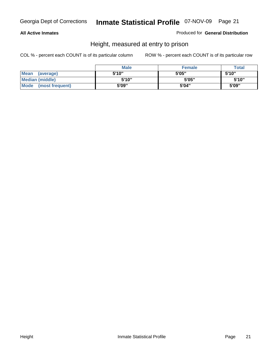#### **All Active Inmates**

Produced for **General Distribution**

### Height, measured at entry to prison

|                      | <b>Male</b> | <b>Female</b> | <b>Total</b> |
|----------------------|-------------|---------------|--------------|
| Mean (average)       | 5'10"       | 5'05"         | 5'10''       |
| Median (middle)      | 5'10"       | 5'05"         | 5'10''       |
| Mode (most frequent) | 5'09"       | 5'04"         | 5'09"        |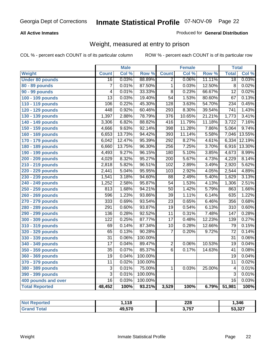#### **All Active Inmates**

#### Produced for **General Distribution**

### Weight, measured at entry to prison

|                        |                  | <b>Male</b> |         |                  | <b>Female</b> |                  | <b>Total</b>     |        |
|------------------------|------------------|-------------|---------|------------------|---------------|------------------|------------------|--------|
| Weight                 | <b>Count</b>     | Col %       | Row %   | <b>Count</b>     | Col %         | Row <sup>%</sup> | <b>Total</b>     | Col %  |
| <b>Under 80 pounds</b> | $\overline{16}$  | 0.03%       | 88.89%  | $\overline{2}$   | 0.06%         | 11.11%           | $\overline{18}$  | 0.03%  |
| 80 - 89 pounds         | $\overline{7}$   | 0.01%       | 87.50%  | $\overline{1}$   | 0.03%         | 12.50%           | $\overline{8}$   | 0.02%  |
| 90 - 99 pounds         | 4                | 0.01%       | 33.33%  | $\overline{8}$   | 0.23%         | 66.67%           | $\overline{12}$  | 0.02%  |
| 100 - 109 pounds       | $\overline{13}$  | 0.03%       | 19.40%  | $\overline{54}$  | 1.53%         | 80.60%           | $\overline{67}$  | 0.13%  |
| 110 - 119 pounds       | 106              | 0.22%       | 45.30%  | 128              | 3.63%         | 54.70%           | 234              | 0.45%  |
| 120 - 129 pounds       | 448              | 0.92%       | 60.46%  | 293              | 8.30%         | 39.54%           | $\overline{741}$ | 1.43%  |
| 130 - 139 pounds       | 1,397            | 2.88%       | 78.79%  | $\overline{376}$ | 10.65%        | 21.21%           | 1,773            | 3.41%  |
| 140 - 149 pounds       | 3,306            | 6.82%       | 88.82%  | $\overline{416}$ | 11.79%        | 11.18%           | 3,722            | 7.16%  |
| 150 - 159 pounds       | 4,666            | 9.63%       | 92.14%  | 398              | 11.28%        | 7.86%            | 5,064            | 9.74%  |
| 160 - 169 pounds       | 6,653            | 13.73%      | 94.42%  | 393              | 11.14%        | 5.58%            | 7,046            | 13.55% |
| 170 - 179 pounds       | 6,042            | 12.47%      | 95.39%  | 292              | 8.27%         | 4.61%            | 6,334            | 12.19% |
| 180 - 189 pounds       | 6,660            | 13.75%      | 96.30%  | 256              | 7.25%         | 3.70%            | 6,916            | 13.30% |
| 190 - 199 pounds       | 4,493            | 9.27%       | 96.15%  | 180              | 5.10%         | 3.85%            | 4,673            | 8.99%  |
| 200 - 209 pounds       | 4,029            | 8.32%       | 95.27%  | $\overline{200}$ | 5.67%         | 4.73%            | 4,229            | 8.14%  |
| 210 - 219 pounds       | 2,818            | 5.82%       | 96.51%  | 102              | 2.89%         | 3.49%            | 2,920            | 5.62%  |
| 220 - 229 pounds       | 2,441            | 5.04%       | 95.95%  | 103              | 2.92%         | 4.05%            | 2,544            | 4.89%  |
| 230 - 239 pounds       | 1,541            | 3.18%       | 94.60%  | $\overline{88}$  | 2.49%         | 5.40%            | 1,629            | 3.13%  |
| 240 - 249 pounds       | 1,252            | 2.58%       | 95.87%  | $\overline{54}$  | 1.53%         | 4.13%            | 1,306            | 2.51%  |
| 250 - 259 pounds       | 813              | 1.68%       | 94.21%  | $\overline{50}$  | 1.42%         | 5.79%            | 863              | 1.66%  |
| 260 - 269 pounds       | 596              | 1.23%       | 93.86%  | $\overline{39}$  | 1.11%         | 6.14%            | 635              | 1.22%  |
| 270 - 279 pounds       | 333              | 0.69%       | 93.54%  | $\overline{23}$  | 0.65%         | 6.46%            | 356              | 0.68%  |
| 280 - 289 pounds       | 291              | 0.60%       | 93.87%  | $\overline{19}$  | 0.54%         | 6.13%            | 310              | 0.60%  |
| 290 - 299 pounds       | 136              | 0.28%       | 92.52%  | $\overline{11}$  | 0.31%         | 7.48%            | 147              | 0.28%  |
| 300 - 309 pounds       | $\overline{122}$ | 0.25%       | 87.77%  | $\overline{17}$  | 0.48%         | 12.23%           | 139              | 0.27%  |
| 310 - 319 pounds       | 69               | 0.14%       | 87.34%  | $\overline{10}$  | 0.28%         | 12.66%           | $\overline{79}$  | 0.15%  |
| 320 - 329 pounds       | 65               | 0.13%       | 90.28%  | $\overline{7}$   | 0.20%         | 9.72%            | $\overline{72}$  | 0.14%  |
| 330 - 339 pounds       | $\overline{31}$  | 0.06%       | 100.00% |                  |               |                  | $\overline{31}$  | 0.06%  |
| 340 - 349 pounds       | $\overline{17}$  | 0.04%       | 89.47%  | $\overline{2}$   | 0.06%         | 10.53%           | $\overline{19}$  | 0.04%  |
| 350 - 359 pounds       | $\overline{35}$  | 0.07%       | 85.37%  | $\overline{6}$   | 0.17%         | 14.63%           | 41               | 0.08%  |
| 360 - 369 pounds       | 19               | 0.04%       | 100.00% |                  |               |                  | 19               | 0.04%  |
| 370 - 379 pounds       | $\overline{11}$  | 0.02%       | 100.00% |                  |               |                  | 11               | 0.02%  |
| 380 - 389 pounds       | 3                | 0.01%       | 75.00%  | 1                | 0.03%         | 25.00%           | 4                | 0.01%  |
| 390 - 399 pounds       | $\overline{3}$   | 0.01%       | 100.00% |                  |               |                  | $\overline{3}$   | 0.01%  |
| 400 pounds and over    | $\overline{16}$  | 0.03%       | 100.00% |                  |               |                  | $\overline{16}$  | 0.03%  |
| <b>Total Reported</b>  | 48,452           | 100%        | 93.21%  | 3,529            | 100%          | 6.79%            | 51,981           | 100%   |

| <b>eported</b> | 440    | 000   | .346   |
|----------------|--------|-------|--------|
| N0             | - 1 0  | ZZU   |        |
| $\sim$ form    | 49,570 | 3,757 | 53,327 |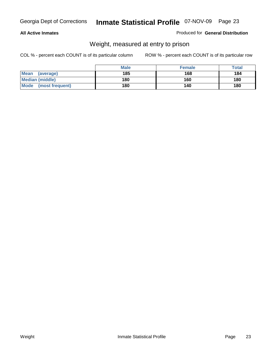#### **All Active Inmates**

#### Produced for **General Distribution**

### Weight, measured at entry to prison

|                          | <b>Male</b> | <b>Female</b> | Total |
|--------------------------|-------------|---------------|-------|
| <b>Mean</b><br>(average) | 185         | 168           | 184   |
| <b>Median (middle)</b>   | 180         | 160           | 180   |
| Mode<br>(most frequent)  | 180         | 140           | 180   |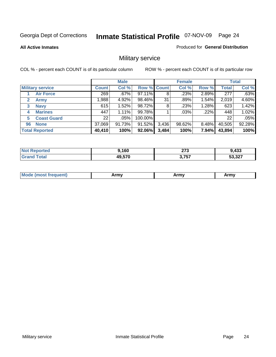**All Active Inmates**

#### Produced for **General Distribution**

### Military service

|                         |              | <b>Male</b> |             |       | <b>Female</b> |       |              | <b>Total</b> |
|-------------------------|--------------|-------------|-------------|-------|---------------|-------|--------------|--------------|
| <b>Military service</b> | <b>Count</b> | Col %       | Row % Count |       | Col %         | Row % | <b>Total</b> | Col %        |
| <b>Air Force</b>        | 269          | $.67\%$     | 97.11%      | 8     | .23%          | 2.89% | 277          | .63%         |
| 2<br><b>Army</b>        | 0.988        | 4.92%       | 98.46%      | 31    | .89%          | 1.54% | 2,019        | 4.60%        |
| <b>Navy</b><br>3        | 615          | 1.52%       | 98.72%      | 8     | .23%          | 1.28% | 623          | 1.42%        |
| <b>Marines</b><br>4     | 447          | 1.11%       | 99.78%      |       | .03%          | .22%  | 448          | 1.02%        |
| <b>Coast Guard</b><br>5 | 22           | .05%        | 100.00%     |       |               |       | 22           | .05%         |
| <b>None</b><br>96       | 37,069       | 91.73%      | 91.52%      | 3,436 | 98.62%        | 8.48% | 40,505       | 92.28%       |
| <b>Total Reported</b>   | 40,410       | 100%        | 92.06%      | 3,484 | 100%          | 7.94% | 43,894       | 100%         |

| rted<br>NO1 | ,160   | 070<br>21 J<br>$\sim$ | 1,433            |
|-------------|--------|-----------------------|------------------|
| `otal       | 49,570 | 3,757                 | こつ つつフ<br>33.3Z7 |

|  | <b>Mode</b><br>reauent)<br>.ost if | Army | Army | Army |
|--|------------------------------------|------|------|------|
|--|------------------------------------|------|------|------|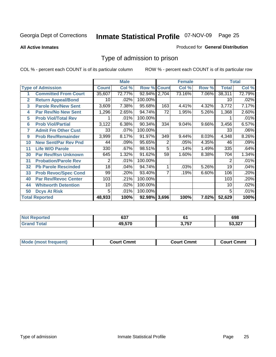#### **All Active Inmates**

#### Produced for **General Distribution**

### Type of admission to prison

|                |                             |              | <b>Male</b> |                    |     | <b>Female</b> |       |              | <b>Total</b> |
|----------------|-----------------------------|--------------|-------------|--------------------|-----|---------------|-------|--------------|--------------|
|                | <b>Type of Admission</b>    | <b>Count</b> | Col %       | <b>Row % Count</b> |     | Col %         | Row % | <b>Total</b> | Col %        |
|                | <b>Committed From Court</b> | 35,607       | 72.77%      | 92.94% 2,704       |     | 73.16%        | 7.06% | 38,311       | 72.79%       |
| $\overline{2}$ | <b>Return Appeal/Bond</b>   | 10           | .02%        | 100.00%            |     |               |       | 10           | .02%         |
| 3              | <b>Parole Rev/New Sent</b>  | 3,609        | 7.38%       | 95.68%             | 163 | 4.41%         | 4.32% | 3,772        | 7.17%        |
| 4              | <b>Par Rev/No New Sent</b>  | 1,296        | 2.65%       | 94.74%             | 72  | 1.95%         | 5.26% | 1,368        | 2.60%        |
| 5              | <b>Prob Viol/Total Rev</b>  |              | .01%        | 100.00%            |     |               |       |              | .01%         |
| 6              | <b>Prob Viol/Partial</b>    | 3,122        | 6.38%       | 90.34%             | 334 | 9.04%         | 9.66% | 3,456        | 6.57%        |
| 7              | <b>Admit Fm Other Cust</b>  | 33           | .07%        | 100.00%            |     |               |       | 33           | .06%         |
| 9              | <b>Prob Rev/Remainder</b>   | 3,999        | 8.17%       | 91.97%             | 349 | 9.44%         | 8.03% | 4,348        | 8.26%        |
| 10             | <b>New Sent/Par Rev Pnd</b> | 44           | .09%        | 95.65%             | 2   | .05%          | 4.35% | 46           | .09%         |
| 11             | <b>Life W/O Parole</b>      | 330          | .67%        | 98.51%             | 5   | .14%          | 1.49% | 335          | .64%         |
| 30             | <b>Par Rev/Rsn Unknown</b>  | 645          | 1.32%       | 91.62%             | 59  | 1.60%         | 8.38% | 704          | 1.34%        |
| 31             | <b>Probation/Parole Rev</b> | 2            | .01%        | 100.00%            |     |               |       | 2            | .01%         |
| 32             | <b>Pb Parole Rescinded</b>  | 18           | .04%        | 94.74%             | 1   | .03%          | 5.26% | 19           | .04%         |
| 33             | <b>Prob Revoc/Spec Cond</b> | 99           | .20%        | 93.40%             |     | .19%          | 6.60% | 106          | .20%         |
| 40             | <b>Par Rev/Revoc Center</b> | 103          | .21%        | 100.00%            |     |               |       | 103          | .20%         |
| 44             | <b>Whitworth Detention</b>  | 10           | .02%        | 100.00%            |     |               |       | 10           | .02%         |
| 50             | <b>Dcys At Risk</b>         | 5            | .01%        | 100.00%            |     |               |       | 5            | .01%         |
|                | <b>Total Reported</b>       | 48,933       | 100%        | 92.98% 3,696       |     | 100%          | 7.02% | 52,629       | 100%         |

| <b>Not</b><br>oorted<br>n a | $\sim$<br>ו טט | v.           | 698                 |
|-----------------------------|----------------|--------------|---------------------|
| <sup>-</sup> otal           | 49570          | - ---<br>757 | דרי כ<br>، 24<br>__ |

| <b>Court Cmmt</b><br><b>Court Cmmt</b><br>Court Cmmt |                             |  |  |
|------------------------------------------------------|-----------------------------|--|--|
|                                                      | <b>Mode (most frequent)</b> |  |  |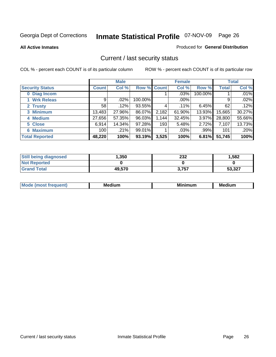**All Active Inmates**

#### Produced for **General Distribution**

### Current / last security status

|                        |         | <b>Male</b> |                    |       | <b>Female</b> |          |              | <b>Total</b> |
|------------------------|---------|-------------|--------------------|-------|---------------|----------|--------------|--------------|
| <b>Security Status</b> | Count l | Col %       | <b>Row % Count</b> |       | Col %         | Row %    | <b>Total</b> | Col %        |
| 0 Diag Incom           |         |             |                    |       | .03%          | 100.00%  |              | .01%         |
| 1 Wrk Releas           | 9       | $.02\%$     | 100.00%            |       | $.00\%$       |          | 9            | .02%         |
| 2 Trusty               | 58      | .12%        | 93.55%             | 4     | $.11\%$       | 6.45%    | 62           | .12%         |
| 3 Minimum              | 13,483  | 27.96%      | 86.07%             | 2,182 | 61.90%        | 13.93%   | 15,665       | 30.27%       |
| 4 Medium               | 27,656  | 57.35%      | 96.03%             | 1,144 | 32.45%        | $3.97\%$ | 28,800       | 55.66%       |
| 5 Close                | 6,914   | 14.34%      | 97.28%             | 193   | 5.48%         | 2.72%    | 7,107        | 13.73%       |
| <b>6 Maximum</b>       | 100     | .21%        | 99.01%             |       | .03%          | .99%     | 101          | .20%         |
| <b>Total Reported</b>  | 48,220  | 100%        | 93.19%             | 3,525 | 100%          | 6.81%    | 51,745       | 100%         |

| <b>Still being diagnosed</b> | .350   | 232   | 1,582  |
|------------------------------|--------|-------|--------|
| <b>Not Reported</b>          |        |       |        |
| <b>Grand Total</b>           | 49,570 | 3,757 | 53,327 |

| $M_{\Omega}$<br>יחב | M۵<br>dium | <b>BAL.</b><br>num | Mer<br>dium |
|---------------------|------------|--------------------|-------------|
|                     |            |                    |             |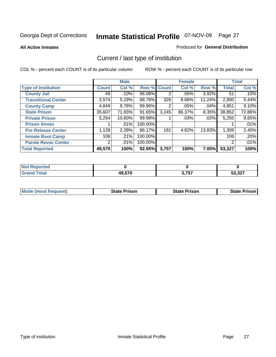**All Active Inmates**

#### Produced for **General Distribution**

### Current / last type of institution

|                            |                | <b>Male</b> |             |       | <b>Female</b> |        |              | <b>Total</b> |
|----------------------------|----------------|-------------|-------------|-------|---------------|--------|--------------|--------------|
| <b>Type of Institution</b> | <b>Count</b>   | Col %       | Row % Count |       | Col %         | Row %  | <b>Total</b> | Col %        |
| <b>County Jail</b>         | 49             | .10%        | 96.08%      | 2     | .05%          | 3.92%  | 51           | .10%         |
| <b>Transitional Center</b> | 2,574          | 5.19%       | 88.76%      | 326   | 8.68%         | 11.24% | 2,900        | 5.44%        |
| <b>County Camp</b>         | 4,849          | 9.78%       | 99.96%      | 2     | $.05\%$       | .04%   | 4,851        | 9.10%        |
| <b>State Prison</b>        | 35,607         | 71.83%      | 91.65%      | 3,245 | 86.37%        | 8.35%  | 38,852       | 72.86%       |
| <b>Private Prison</b>      | 5,254          | 10.60%      | 99.98%      |       | .03%          | .02%   | 5,255        | 9.85%        |
| <b>Prison Annex</b>        |                | $.01\%$     | 100.00%     |       |               |        |              | .01%         |
| <b>Pre Release Center</b>  | 1,128          | 2.28%       | 86.17%      | 181   | 4.82%         | 13.83% | 1,309        | 2.45%        |
| <b>Inmate Boot Camp</b>    | 106            | .21%        | 100.00%     |       |               |        | 106          | .20%         |
| <b>Parole Revoc Center</b> | 2 <sub>1</sub> | $.01\%$     | 100.00%     |       |               |        | 2            | .01%         |
| <b>Total Reported</b>      | 49,570         | 100%        | 92.95%      | 3,757 | 100%          | 7.05%  | 53,327       | 100%         |

| <b>Reported</b><br><b>NOT</b> |        |       |        |
|-------------------------------|--------|-------|--------|
| <b>Total</b>                  | 10 E70 | ク フェフ | 53,327 |
| $\mathbf{v}$ and              | лч.    | .     |        |

| <b>Mode (most frequent)</b> | <b>State Prison</b> | <b>State Prison</b> | <b>State Prison I</b> |
|-----------------------------|---------------------|---------------------|-----------------------|
|                             |                     |                     |                       |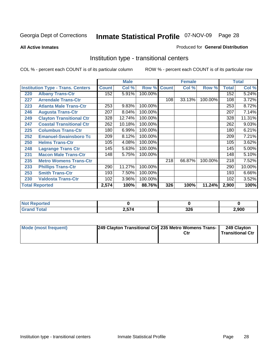**All Active Inmates**

#### Produced for **General Distribution**

### Institution type - transitional centers

|     |                                          |              | <b>Male</b> |         |              | <b>Female</b> |         |              | <b>Total</b> |
|-----|------------------------------------------|--------------|-------------|---------|--------------|---------------|---------|--------------|--------------|
|     | <b>Institution Type - Trans. Centers</b> | <b>Count</b> | Col %       | Row %   | <b>Count</b> | Col %         | Row %   | <b>Total</b> | Col %        |
| 220 | <b>Albany Trans-Ctr</b>                  | 152          | 5.91%       | 100.00% |              |               |         | 152          | 5.24%        |
| 227 | <b>Arrendale Trans-Ctr</b>               |              |             |         | 108          | 33.13%        | 100.00% | 108          | 3.72%        |
| 223 | <b>Atlanta Male Trans-Ctr</b>            | 253          | 9.83%       | 100.00% |              |               |         | 253          | 8.72%        |
| 246 | <b>Augusta Trans-Ctr</b>                 | 207          | 8.04%       | 100.00% |              |               |         | 207          | 7.14%        |
| 249 | <b>Clayton Transitional Ctr</b>          | 328          | 12.74%      | 100.00% |              |               |         | 328          | 11.31%       |
| 247 | <b>Coastal Transitional Ctr</b>          | 262          | 10.18%      | 100.00% |              |               |         | 262          | 9.03%        |
| 225 | <b>Columbus Trans-Ctr</b>                | 180          | 6.99%       | 100.00% |              |               |         | 180          | 6.21%        |
| 252 | <b>Emanuel-Swainsboro Tc</b>             | 209          | 8.12%       | 100.00% |              |               |         | 209          | 7.21%        |
| 250 | <b>Helms Trans-Ctr</b>                   | 105          | 4.08%       | 100.00% |              |               |         | 105          | 3.62%        |
| 248 | <b>Lagrange Trans Ctr</b>                | 145          | 5.63%       | 100.00% |              |               |         | 145          | 5.00%        |
| 231 | <b>Macon Male Trans-Ctr</b>              | 148          | 5.75%       | 100.00% |              |               |         | 148          | 5.10%        |
| 235 | <b>Metro Womens Trans-Ctr</b>            |              |             |         | 218          | 66.87%        | 100.00% | 218          | 7.52%        |
| 233 | <b>Phillips Trans-Ctr</b>                | 290          | 11.27%      | 100.00% |              |               |         | 290          | 10.00%       |
| 253 | <b>Smith Trans-Ctr</b>                   | 193          | 7.50%       | 100.00% |              |               |         | 193          | 6.66%        |
| 230 | <b>Valdosta Trans-Ctr</b>                | 102          | 3.96%       | 100.00% |              |               |         | 102          | 3.52%        |
|     | <b>Total Reported</b>                    | 2,574        | 100%        | 88.76%  | 326          | 100%          | 11.24%  | 2,900        | 100%         |

| N<br>τeα |         |              |      |
|----------|---------|--------------|------|
| - - ---- | .<br>,, | - הפ<br>$ -$ | .900 |

| <b>Mode (most frequent)</b> | 249 Clayton Transitional Ctrl 235 Metro Womens Trans- | Ctr | 249 Clayton<br><b>Transitional Ctr</b> |
|-----------------------------|-------------------------------------------------------|-----|----------------------------------------|
|                             |                                                       |     |                                        |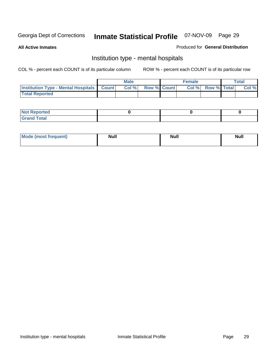**All Active Inmates**

#### Produced for **General Distribution**

### Institution type - mental hospitals

|                                                  | Male |                    | <b>Female</b> |                   | Total |
|--------------------------------------------------|------|--------------------|---------------|-------------------|-------|
| <b>Institution Type - Mental Hospitals Count</b> | Col% | <b>Row % Count</b> |               | Col % Row % Total | Col % |
| <b>Total Reported</b>                            |      |                    |               |                   |       |

| <b>Not Reported</b> |  |  |
|---------------------|--|--|
| <b>Total</b><br>Cro |  |  |

| Mode (most frequent) | <b>Null</b> | <b>Null</b> | <b>Null</b> |
|----------------------|-------------|-------------|-------------|
|                      |             |             |             |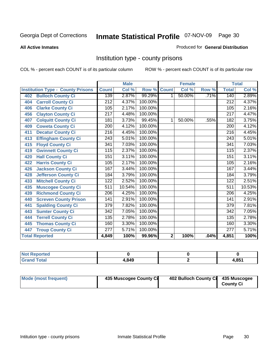#### **All Active Inmates**

#### Produced for **General Distribution**

### Institution type - county prisons

|                                          |                  | <b>Male</b> |         |              | <b>Female</b> |       |                  | <b>Total</b> |
|------------------------------------------|------------------|-------------|---------|--------------|---------------|-------|------------------|--------------|
| <b>Institution Type - County Prisons</b> | <b>Count</b>     | Col %       | Row %   | <b>Count</b> | Col %         | Row % | <b>Total</b>     | Col %        |
| <b>Bulloch County Ci</b><br>402          | 139              | 2.87%       | 99.29%  | 1            | 50.00%        | .71%  | 140              | 2.89%        |
| <b>Carroll County Ci</b><br>404          | $\overline{212}$ | 4.37%       | 100.00% |              |               |       | $\overline{212}$ | 4.37%        |
| <b>Clarke County Ci</b><br>406           | 105              | 2.17%       | 100.00% |              |               |       | 105              | 2.16%        |
| <b>Clayton County Ci</b><br>456          | $\overline{217}$ | 4.48%       | 100.00% |              |               |       | $\overline{217}$ | 4.47%        |
| <b>Colquitt County Ci</b><br>407         | 181              | 3.73%       | 99.45%  | 1            | 50.00%        | .55%  | 182              | 3.75%        |
| <b>Coweta County Ci</b><br>409           | 200              | 4.12%       | 100.00% |              |               |       | 200              | 4.12%        |
| <b>Decatur County Ci</b><br>411          | 216              | 4.45%       | 100.00% |              |               |       | 216              | 4.45%        |
| <b>Effingham County Ci</b><br>413        | 243              | 5.01%       | 100.00% |              |               |       | 243              | 5.01%        |
| <b>Floyd County Ci</b><br>415            | 341              | 7.03%       | 100.00% |              |               |       | 341              | 7.03%        |
| <b>Gwinnett County Ci</b><br>419         | 115              | 2.37%       | 100.00% |              |               |       | 115              | 2.37%        |
| <b>Hall County Ci</b><br>420             | 151              | 3.11%       | 100.00% |              |               |       | 151              | 3.11%        |
| <b>Harris County Ci</b><br>422           | 105              | 2.17%       | 100.00% |              |               |       | 105              | 2.16%        |
| Jackson County Ci<br>426                 | 167              | 3.44%       | 100.00% |              |               |       | 167              | 3.44%        |
| <b>Jefferson County Ci</b><br>428        | 184              | 3.79%       | 100.00% |              |               |       | 184              | 3.79%        |
| <b>Mitchell County Ci</b><br>433         | 122              | 2.52%       | 100.00% |              |               |       | 122              | 2.51%        |
| <b>Muscogee County Ci</b><br>435         | 511              | 10.54%      | 100.00% |              |               |       | 511              | 10.53%       |
| <b>Richmond County Ci</b><br>439         | $\overline{206}$ | 4.25%       | 100.00% |              |               |       | 206              | 4.25%        |
| <b>Screven County Prison</b><br>440      | 141              | 2.91%       | 100.00% |              |               |       | 141              | 2.91%        |
| <b>Spalding County Ci</b><br>441         | $\overline{379}$ | 7.82%       | 100.00% |              |               |       | $\overline{379}$ | 7.81%        |
| <b>Sumter County Ci</b><br>443           | 342              | 7.05%       | 100.00% |              |               |       | 342              | 7.05%        |
| <b>Terrell County Ci</b><br>444          | 135              | 2.78%       | 100.00% |              |               |       | 135              | 2.78%        |
| <b>Thomas County Ci</b><br>445           | 160              | 3.30%       | 100.00% |              |               |       | 160              | 3.30%        |
| <b>Troup County Ci</b><br>447            | 277              | 5.71%       | 100.00% |              |               |       | 277              | 5.71%        |
| <b>Total Reported</b>                    | 4,849            | 100%        | 99.96%  | $\mathbf{2}$ | 100%          | .04%  | 4,851            | 100%         |

| <b>Not</b><br><b>eported</b> |       |                 |
|------------------------------|-------|-----------------|
| <b>Total</b><br>Gran         | 4,849 | I QE4<br>. כס.י |

| Mode (most frequent) | 435 Muscogee County Ci | 402 Bulloch County Ci 435 Muscogee | <b>County Ci</b> |
|----------------------|------------------------|------------------------------------|------------------|
|----------------------|------------------------|------------------------------------|------------------|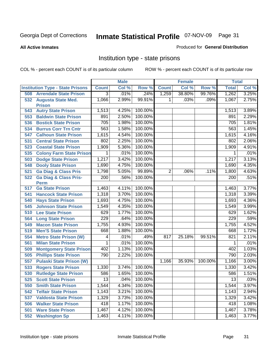**All Active Inmates**

#### Produced for **General Distribution**

### Institution type - state prisons

|     |                                         |                | <b>Male</b> |         |              | <b>Female</b> |         | <b>Total</b> |       |
|-----|-----------------------------------------|----------------|-------------|---------|--------------|---------------|---------|--------------|-------|
|     | <b>Institution Type - State Prisons</b> | <b>Count</b>   | Col %       | Row %   | <b>Count</b> | Col %         | Row %   | <b>Total</b> | Col % |
| 508 | <b>Arrendale State Prison</b>           | $\overline{3}$ | .01%        | .24%    | 1,259        | 38.80%        | 99.76%  | 1,262        | 3.25% |
|     | 532 Augusta State Med.<br><b>Prison</b> | 1,066          | 2.99%       | 99.91%  | 1.           | .03%          | .09%    | 1,067        | 2.75% |
| 543 | <b>Autry State Prison</b>               | 1,513          | 4.25%       | 100.00% |              |               |         | 1,513        | 3.89% |
| 553 | <b>Baldwin State Prison</b>             | 891            | 2.50%       | 100.00% |              |               |         | 891          | 2.29% |
| 536 | <b>Bostick State Prison</b>             | 705            | 1.98%       | 100.00% |              |               |         | 705          | 1.81% |
| 534 | <b>Burrus Corr Trn Cntr</b>             | 563            | 1.58%       | 100.00% |              |               |         | 563          | 1.45% |
| 547 | <b>Calhoun State Prison</b>             | 1,615          | 4.54%       | 100.00% |              |               |         | 1,615        | 4.16% |
| 531 | <b>Central State Prison</b>             | 802            | 2.25%       | 100.00% |              |               |         | 802          | 2.06% |
| 523 | <b>Coastal State Prison</b>             | 1,909          | 5.36%       | 100.00% |              |               |         | 1,909        | 4.91% |
| 535 | <b>Colony Farm State Prison</b>         | 1              | .01%        | 100.00% |              |               |         | 1            | .01%  |
| 503 | <b>Dodge State Prison</b>               | 1,217          | 3.42%       | 100.00% |              |               |         | 1,217        | 3.13% |
| 548 | <b>Dooly State Prison</b>               | 1,690          | 4.75%       | 100.00% |              |               |         | 1,690        | 4.35% |
| 521 | <b>Ga Diag &amp; Class Pris</b>         | 1,798          | 5.05%       | 99.89%  | 2            | .06%          | .11%    | 1,800        | 4.63% |
| 522 | <b>Ga Diag &amp; Class Pris-</b>        | 200            | .56%        | 100.00% |              |               |         | 200          | .51%  |
|     | <b>Perm</b>                             |                |             |         |              |               |         |              |       |
| 517 | <b>Ga State Prison</b>                  | 1,463          | 4.11%       | 100.00% |              |               |         | 1,463        | 3.77% |
| 541 | <b>Hancock State Prison</b>             | 1,318          | 3.70%       | 100.00% |              |               |         | 1,318        | 3.39% |
| 540 | <b>Hays State Prison</b>                | 1,693          | 4.75%       | 100.00% |              |               |         | 1,693        | 4.36% |
| 545 | <b>Johnson State Prison</b>             | 1,549          | 4.35%       | 100.00% |              |               |         | 1,549        | 3.99% |
| 510 | <b>Lee State Prison</b>                 | 629            | 1.77%       | 100.00% |              |               |         | 629          | 1.62% |
| 564 | <b>Long State Prison</b>                | 229            | .64%        | 100.00% |              |               |         | 229          | .59%  |
| 549 | <b>Macon State Prison</b>               | 1,755          | 4.93%       | 100.00% |              |               |         | 1,755        | 4.52% |
| 519 | <b>Men'S State Prison</b>               | 668            | 1.88%       | 100.00% |              |               |         | 668          | 1.72% |
| 554 | <b>Metro State Prison (W)</b>           | 4              | .01%        | .49%    | 817          | 25.18%        | 99.51%  | 821          | 2.11% |
| 561 | <b>Milan State Prison</b>               | 1              | .01%        | 100.00% |              |               |         | 1            | .01%  |
| 509 | <b>Montgomery State Prison</b>          | 402            | 1.13%       | 100.00% |              |               |         | 402          | 1.03% |
| 505 | <b>Phillips State Prison</b>            | 790            | 2.22%       | 100.00% |              |               |         | 790          | 2.03% |
| 557 | <b>Pulaski State Prison (W)</b>         |                |             |         | 1,166        | 35.93%        | 100.00% | 1,166        | 3.00% |
| 533 | <b>Rogers State Prison</b>              | 1,330          | 3.74%       | 100.00% |              |               |         | 1,330        | 3.42% |
| 530 | <b>Rutledge State Prison</b>            | 586            | 1.65%       | 100.00% |              |               |         | 586          | 1.51% |
| 525 | <b>Scott State Prison</b>               | 13             | .04%        | 100.00% |              |               |         | 13           | .03%  |
| 550 | <b>Smith State Prison</b>               | 1,544          | 4.34%       | 100.00% |              |               |         | 1,544        | 3.97% |
| 542 | <b>Telfair State Prison</b>             | 1,143          | 3.21%       | 100.00% |              |               |         | 1,143        | 2.94% |
| 537 | <b>Valdosta State Prison</b>            | 1,329          | 3.73%       | 100.00% |              |               |         | 1,329        | 3.42% |
| 506 | <b>Walker State Prison</b>              | 418            | 1.17%       | 100.00% |              |               |         | 418          | 1.08% |
| 501 | <b>Ware State Prison</b>                | 1,467          | 4.12%       | 100.00% |              |               |         | 1,467        | 3.78% |
| 552 | <b>Washington Sp</b>                    | 1,463          | 4.11%       | 100.00% |              |               |         | 1,463        | 3.77% |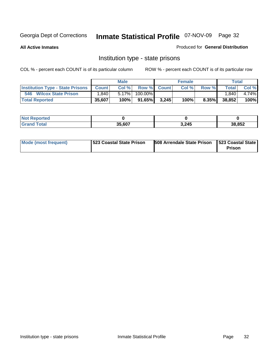**All Active Inmates**

#### Produced for **General Distribution**

### Institution type - state prisons

|                                         |              | <b>Male</b> |         |             | <b>Female</b> |          |              | Total |
|-----------------------------------------|--------------|-------------|---------|-------------|---------------|----------|--------------|-------|
| <b>Institution Type - State Prisons</b> | <b>Count</b> | Col %       |         | Row % Count | Col %         | Row %    | <b>Total</b> | Col % |
| 546<br><b>Wilcox State Prison</b>       | .840         | $5.17\%$    | 100.00% |             |               |          | .840         | 4.74% |
| <b>Total Reported</b>                   | 35,607       | 100%        | 91.65%  | 3.245       | 100%          | $8.35\%$ | 38,852       | 100%  |

| Reported<br>. |        |       |        |
|---------------|--------|-------|--------|
| ota.          | 35.607 | 3,245 | 38,852 |

| Mode (most frequent) | <b>1523 Coastal State Prison</b> | <b>508 Arrendale State Prison 1523 Coastal State</b> | <b>Prison</b> |
|----------------------|----------------------------------|------------------------------------------------------|---------------|
|----------------------|----------------------------------|------------------------------------------------------|---------------|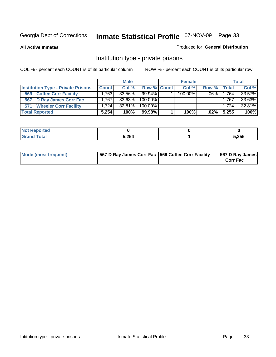**All Active Inmates**

#### Produced for **General Distribution**

### Institution type - private prisons

|                                           |              | <b>Male</b> |             | <b>Female</b> |         |       | <b>Total</b> |
|-------------------------------------------|--------------|-------------|-------------|---------------|---------|-------|--------------|
| <b>Institution Type - Private Prisons</b> | <b>Count</b> | Col %       | Row % Count | Col %         | Row %   | Total | Col %        |
| <b>Coffee Corr Facility</b><br>569        | 1.763        | 33.56%      | $99.94\%$   | $100.00\%$    | $.06\%$ | 1,764 | 33.57%       |
| 567 D Ray James Corr Fac                  | 1.767        | 33.63%      | 100.00%     |               |         | 1,767 | 33.63%       |
| <b>Wheeler Corr Facility</b><br>571       | 1.724        | $32.81\%$   | 100.00%     |               |         | 1.724 | 32.81%       |
| <b>Total Reported</b>                     | 5,254        | 100%        | 99.98%      | 100%          | $.02\%$ | 5,255 | 100%         |

| ported<br><b>NOT</b><br><b>UGP</b> |       |       |
|------------------------------------|-------|-------|
| <b>otal</b>                        | 5,254 | 5,255 |

| Mode (most frequent) | 567 D Ray James Corr Fac 569 Coffee Corr Facility |  | 567 D Ray James<br><b>Corr Fac</b> |
|----------------------|---------------------------------------------------|--|------------------------------------|
|----------------------|---------------------------------------------------|--|------------------------------------|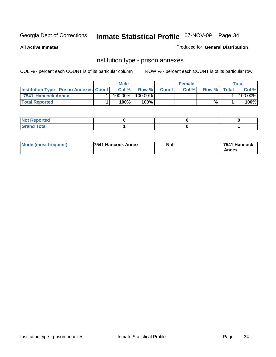**All Active Inmates**

#### Produced for **General Distribution**

### Institution type - prison annexes

|                                                  | <b>Male</b> |               |              | <b>Female</b> |       |        | Total   |
|--------------------------------------------------|-------------|---------------|--------------|---------------|-------|--------|---------|
| <b>Institution Type - Prison Annexes Count  </b> | Col%        | Row %         | <b>Count</b> | Col%          | Row % | Totall | Col %   |
| 7541 Hancock Annex                               | $100.00\%$  | 100.00%       |              |               |       |        | 100.00% |
| <b>Total Reported</b>                            | 100%        | 100% <b>I</b> |              |               | %     |        | 100%    |

| <b>Not Reported</b> |  |  |
|---------------------|--|--|
| <b>Grand Total</b>  |  |  |

| <b>Mode (most frequent)</b> | <b>17541 Hancock Annex</b> | <b>Null</b> | 7541 Hancock |
|-----------------------------|----------------------------|-------------|--------------|
|                             |                            |             | Annex        |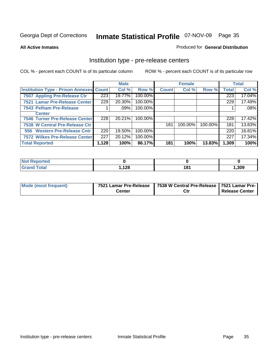#### **All Active Inmates**

#### Produced for **General Distribution**

#### Institution type - pre-release centers

|                                                | <b>Male</b> |         | <b>Female</b> |              |         | <b>Total</b> |              |        |
|------------------------------------------------|-------------|---------|---------------|--------------|---------|--------------|--------------|--------|
| <b>Institution Type - Prison Annexes Count</b> |             | Col %   | Row %         | <b>Count</b> | Col %   | Row %        | <b>Total</b> | Col %  |
| 7507 Appling Pre-Release Ctr                   | 223         | 19.77%  | 100.00%       |              |         |              | 223          | 17.04% |
| 7521 Lamar Pre-Release Center                  | 229         | 20.30%  | 100.00%       |              |         |              | 229          | 17.49% |
| 7543 Pelham Pre-Release                        |             | $.09\%$ | 100.00%       |              |         |              |              | .08%   |
| <b>Center</b>                                  |             |         |               |              |         |              |              |        |
| 7546 Turner Pre-Release Center                 | 228         | 20.21%  | 100.00%       |              |         |              | 228          | 17.42% |
| 7538 W Central Pre-Release Ctr                 |             |         |               | 181          | 100.00% | 100.00%      | 181          | 13.83% |
| 556 Western Pre-Release Cntr                   | 220         | 19.50%  | 100.00%       |              |         |              | 220          | 16.81% |
| 7572 Wilkes Pre-Release Center                 | 227         | 20.12%  | 100.00%       |              |         |              | 227          | 17.34% |
| <b>Total Reported</b>                          | 1,128       | 100%    | 86.17%        | 181          | 100%    | 13.83%       | 1,309        | 100%   |

| <b>Not</b><br>Reported |      |             |       |
|------------------------|------|-------------|-------|
| <b>Total</b><br>Grand  | ,128 | 404<br>10 I | 1,309 |

| Mode (most frequent) | 7521 Lamar Pre-Release | 7538 W Central Pre-Release 7521 Lamar Pre- |                |  |
|----------------------|------------------------|--------------------------------------------|----------------|--|
|                      | Center                 | Ctr                                        | Release Center |  |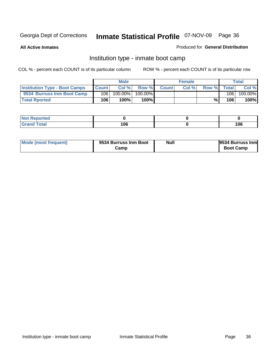**All Active Inmates**

#### Produced for **General Distribution**

### Institution type - inmate boot camp

|                                      | <b>Male</b>  |            | <b>Female</b> |              |      | Total |       |         |
|--------------------------------------|--------------|------------|---------------|--------------|------|-------|-------|---------|
| <b>Institution Type - Boot Camps</b> | <b>Count</b> | Col %      | Row %         | <b>Count</b> | Col% | Row % | Total | Col %   |
| 9534 Burruss Inm Boot Camp           | 106          | $100.00\%$ | 100.00%       |              |      |       | 106   | 100.00% |
| <b>Total Rported</b>                 | 106          | 100%       | 100%          |              |      | %⊾    | 106   | 100%    |

| <b>rted</b><br>.  |                    |           |
|-------------------|--------------------|-----------|
| $\sim$<br>$-0.01$ | מה ו<br>סט ו<br>__ | 106<br>__ |

| Mode (most frequent) | 9534 Burruss Inm Boot | Null | 9534 Burruss Inm |
|----------------------|-----------------------|------|------------------|
|                      | Camp                  |      | <b>Boot Camp</b> |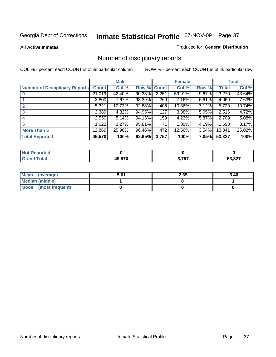**All Active Inmates**

### Produced for **General Distribution**

## Number of disciplinary reports

|                                       |              | <b>Male</b> |        |              | <b>Female</b> |          |              | <b>Total</b> |
|---------------------------------------|--------------|-------------|--------|--------------|---------------|----------|--------------|--------------|
| <b>Number of Disciplinary Reports</b> | <b>Count</b> | Col %       | Row %  | <b>Count</b> | Col %         | Row %    | <b>Total</b> | Col %        |
|                                       | 21,019       | 42.40%      | 90.33% | 2,251        | 59.91%        | 9.67%    | 23,270       | 43.64%       |
|                                       | 3,800        | 7.67%       | 93.39% | 269          | 7.16%         | 6.61%    | 4,069        | 7.63%        |
| 2                                     | 5,321        | 10.73%      | 92.88% | 408          | 10.86%        | $7.12\%$ | 5,729        | 10.74%       |
| 3                                     | 2,389        | 4.82%       | 94.95% | 127          | 3.38%         | $5.05\%$ | 2,516        | 4.72%        |
|                                       | 2,550        | 5.14%       | 94.13% | 159          | 4.23%         | 5.87%    | 2,709        | 5.08%        |
| 5                                     | .622         | $3.27\%$    | 95.81% | 71           | 1.89%         | 4.19%    | 1,693        | 3.17%        |
| <b>More Than 5</b>                    | 12,869       | 25.96%      | 96.46% | 472          | 12.56%        | $3.54\%$ | 13,341       | 25.02%       |
| <b>Total Reported</b>                 | 49,570       | 100%        | 92.95% | 3,757        | 100%          | 7.05%    | 53,327       | 100%         |

| $\sim$ 10<br>______ | <b>10570</b> | 2 757 | $F^{\alpha}$ $\Omega$ |
|---------------------|--------------|-------|-----------------------|

| Mean (average)       | 5.61 | 2.65 | 5.40 |
|----------------------|------|------|------|
| Median (middle)      |      |      |      |
| Mode (most frequent) |      |      |      |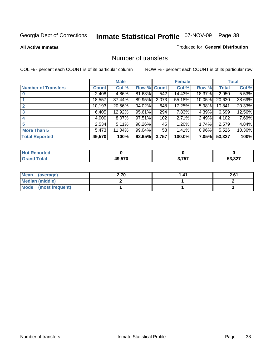**All Active Inmates**

### Produced for **General Distribution**

## Number of transfers

|                            |         | <b>Male</b> |                    |       | <b>Female</b> |          |              | <b>Total</b> |
|----------------------------|---------|-------------|--------------------|-------|---------------|----------|--------------|--------------|
| <b>Number of Transfers</b> | Count l | Col %       | <b>Row % Count</b> |       | Col %         | Row %    | <b>Total</b> | Col %        |
|                            | 2,408   | 4.86%       | 81.63%             | 542   | 14.43%        | 18.37%   | 2,950        | 5.53%        |
|                            | 18,557  | 37.44%      | 89.95%             | 2,073 | 55.18%        | 10.05%   | 20,630       | 38.69%       |
|                            | 10,193  | 20.56%      | 94.02%             | 648   | 17.25%        | 5.98%    | 10,841       | 20.33%       |
| 3                          | 6,405   | 12.92%      | 95.61%             | 294   | 7.83%         | 4.39%    | 6,699        | 12.56%       |
|                            | 4,000   | 8.07%       | 97.51%             | 102   | 2.71%         | 2.49%    | 4,102        | 7.69%        |
| 5                          | 2,534   | 5.11%       | 98.26%             | 45    | 1.20%         | 1.74%    | 2,579        | 4.84%        |
| <b>More Than 5</b>         | 5,473   | 11.04%      | 99.04%             | 53    | 1.41%         | $0.96\%$ | 5,526        | 10.36%       |
| <b>Total Reported</b>      | 49,570  | 100%        | 92.95%             | 3,757 | 100.0%        | 7.05%    | 53,327       | 100%         |

| $\sim$ 10<br>______ | <b>10570</b> | 2 757 | $F^{\alpha}$ $\Omega$ |
|---------------------|--------------|-------|-----------------------|

| Mean (average)       | 2.70 | 41. ا | 2.61 |
|----------------------|------|-------|------|
| Median (middle)      |      |       |      |
| Mode (most frequent) |      |       |      |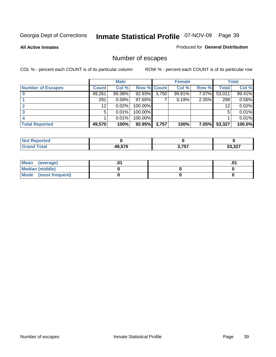**All Active Inmates**

### Produced for **General Distribution**

## Number of escapes

|                          |              | <b>Male</b> |             |       | <b>Female</b> |          |        | <b>Total</b> |
|--------------------------|--------------|-------------|-------------|-------|---------------|----------|--------|--------------|
| <b>Number of Escapes</b> | <b>Count</b> | Col %       | Row % Count |       | Col %         | Row %    | Total  | Col %        |
|                          | 49,261       | 99.38%      | $92.93\%$   | 3,750 | 99.81%        | 7.07%    | 53,011 | 99.41%       |
|                          | 291          | 0.59%       | 97.65%      |       | 0.19%         | 2.35%    | 298    | 0.56%        |
|                          | 12           | 0.02%       | 100.00%     |       |               |          | 12     | 0.02%        |
|                          | 5            | 0.01%       | 100.00%     |       |               |          | 5      | 0.01%        |
|                          |              | 0.01%       | $100.00\%$  |       |               |          |        | 0.01%        |
| <b>Total Reported</b>    | 49,570       | 100%        | 92.95%      | 3,757 | 100%          | $7.05\%$ | 53,327 | 100.0%       |

| <b>Not Reported</b> |      |       |              |
|---------------------|------|-------|--------------|
|                     | .570 | 3,757 | っっっ<br>-94 I |

| Mean (average)       |  | .01 |
|----------------------|--|-----|
| Median (middle)      |  |     |
| Mode (most frequent) |  |     |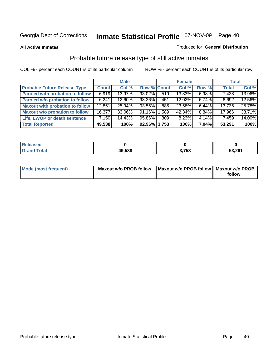**All Active Inmates**

### Produced for **General Distribution**

## Probable future release type of still active inmates

|                                         |              | <b>Male</b> |                    |                  | <b>Female</b> |          | <b>Total</b> |        |
|-----------------------------------------|--------------|-------------|--------------------|------------------|---------------|----------|--------------|--------|
| <b>Probable Future Release Type</b>     | <b>Count</b> | Col %       | <b>Row % Count</b> |                  | Col %         | Row %    | <b>Total</b> | Col %  |
| <b>Paroled with probation to follow</b> | 6,919        | 13.97%      | $93.02\%$          | 519              | 13.83%        | $6.98\%$ | 7,438        | 13.96% |
| Paroled w/o probation to follow         | 6,241        | $12.60\%$   | 93.26%             | 451              | $12.02\%$     | $6.74\%$ | 6,692        | 12.56% |
| <b>Maxout with probation to follow</b>  | 12,851       | 25.94%      | 93.56%             | 885              | 23.58%        | $6.44\%$ | 13,736       | 25.78% |
| <b>Maxout w/o probation to follow</b>   | 16,377       | 33.06%      | $91.16\%$          | 1,589            | 42.34%        | $8.84\%$ | 17,966       | 33.71% |
| Life, LWOP or death sentence            | 7,150        | 14.43%      | 95.86%             | 309 <sup>1</sup> | 8.23%         | $4.14\%$ | 7,459        | 14.00% |
| <b>Total Reported</b>                   | 49,538       | 100%        | $92.96\%$ 3,753    |                  | 100%          | $7.04\%$ | 53,291       | 100%   |

| Released        |        |            |        |
|-----------------|--------|------------|--------|
| Total<br>. Grar | 49,538 | フドス<br>799 | 53,291 |

| Mode (most frequent) | Maxout w/o PROB follow   Maxout w/o PROB follow   Maxout w/o PROB |        |  |
|----------------------|-------------------------------------------------------------------|--------|--|
|                      |                                                                   | follow |  |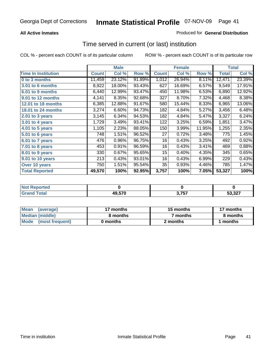### **All Active Inmates**

## Produced for **General Distribution**

## Time served in current (or last) institution

|                            |              | <b>Male</b> |        |              | <b>Female</b> |        |        | <b>Total</b> |
|----------------------------|--------------|-------------|--------|--------------|---------------|--------|--------|--------------|
| <b>Time In Institution</b> | <b>Count</b> | Col %       | Row %  | <b>Count</b> | Col %         | Row %  | Total  | Col %        |
| 0 to 3 months              | 11,459       | 23.12%      | 91.89% | 1,012        | 26.94%        | 8.11%  | 12,471 | 23.39%       |
| 3.01 to 6 months           | 8,922        | 18.00%      | 93.43% | 627          | 16.69%        | 6.57%  | 9,549  | 17.91%       |
| 6.01 to 9 months           | 6,440        | 12.99%      | 93.47% | 450          | 11.98%        | 6.53%  | 6,890  | 12.92%       |
| 9.01 to 12 months          | 4,141        | 8.35%       | 92.68% | 327          | 8.70%         | 7.32%  | 4,468  | 8.38%        |
| 12.01 to 18 months         | 6,385        | 12.88%      | 91.67% | 580          | 15.44%        | 8.33%  | 6,965  | 13.06%       |
| <b>18.01 to 24 months</b>  | 3,274        | 6.60%       | 94.73% | 182          | 4.84%         | 5.27%  | 3,456  | 6.48%        |
| 2.01 to 3 years            | 3,145        | 6.34%       | 94.53% | 182          | 4.84%         | 5.47%  | 3,327  | 6.24%        |
| 3.01 to 4 years            | 1,729        | 3.49%       | 93.41% | 122          | 3.25%         | 6.59%  | 1,851  | 3.47%        |
| 4.01 to 5 years            | 1,105        | 2.23%       | 88.05% | 150          | 3.99%         | 11.95% | 1,255  | 2.35%        |
| 5.01 to 6 years            | 748          | 1.51%       | 96.52% | 27           | 0.72%         | 3.48%  | 775    | 1.45%        |
| 6.01 to 7 years            | 476          | 0.96%       | 96.75% | 16           | 0.43%         | 3.25%  | 492    | 0.92%        |
| 7.01 to 8 years            | 453          | 0.91%       | 96.59% | 16           | 0.43%         | 3.41%  | 469    | 0.88%        |
| 8.01 to 9 years            | 330          | 0.67%       | 95.65% | 15           | 0.40%         | 4.35%  | 345    | 0.65%        |
| 9.01 to 10 years           | 213          | 0.43%       | 93.01% | 16           | 0.43%         | 6.99%  | 229    | 0.43%        |
| Over 10 years              | 750          | 1.51%       | 95.54% | 35           | 0.93%         | 4.46%  | 785    | 1.47%        |
| <b>Total Reported</b>      | 49,570       | 100%        | 92.95% | 3,757        | 100%          | 7.05%  | 53,327 | 100%         |

| N<br>тес. |        |       |           |
|-----------|--------|-------|-----------|
|           | 49.570 | . .e. | 007<br>__ |

| <b>Mean</b><br>(average) | 17 months | 15 months | 17 months |
|--------------------------|-----------|-----------|-----------|
| Median (middle)          | 8 months  | 7 months  | 8 months  |
| Mode<br>(most frequent)  | 0 months  | 2 months  | months    |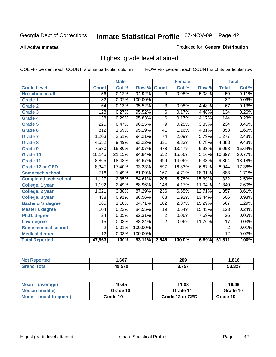**All Active Inmates**

### Produced for **General Distribution**

## Highest grade level attained

|                              |                  | <b>Male</b> |         |                  | <b>Female</b> |        |                 | <b>Total</b> |
|------------------------------|------------------|-------------|---------|------------------|---------------|--------|-----------------|--------------|
| <b>Grade Level</b>           | <b>Count</b>     | Col %       | Row %   | <b>Count</b>     | Col %         | Row %  | <b>Total</b>    | Col %        |
| No school at all             | $\overline{56}$  | 0.12%       | 94.92%  | $\overline{3}$   | 0.08%         | 5.08%  | 59              | 0.11%        |
| Grade 1                      | $\overline{32}$  | 0.07%       | 100.00% |                  |               |        | $\overline{32}$ | 0.06%        |
| <b>Grade 2</b>               | 64               | 0.13%       | 95.52%  | 3                | 0.08%         | 4.48%  | 67              | 0.13%        |
| <b>Grade 3</b>               | 128              | 0.27%       | 95.52%  | 6                | 0.17%         | 4.48%  | 134             | 0.26%        |
| Grade 4                      | 138              | 0.29%       | 95.83%  | $\overline{6}$   | 0.17%         | 4.17%  | 144             | 0.28%        |
| Grade 5                      | 225              | 0.47%       | 96.15%  | $\overline{9}$   | 0.25%         | 3.85%  | 234             | 0.45%        |
| Grade 6                      | 812              | 1.69%       | 95.19%  | $\overline{41}$  | 1.16%         | 4.81%  | 853             | 1.66%        |
| <b>Grade 7</b>               | 1,203            | 2.51%       | 94.21%  | $\overline{74}$  | 2.09%         | 5.79%  | 1,277           | 2.48%        |
| <b>Grade 8</b>               | 4,552            | 9.49%       | 93.22%  | 331              | 9.33%         | 6.78%  | 4,883           | 9.48%        |
| Grade 9                      | 7,580            | 15.80%      | 94.07%  | 478              | 13.47%        | 5.93%  | 8,058           | 15.64%       |
| Grade 10                     | 10,145           | 21.15%      | 94.84%  | 552              | 15.56%        | 5.16%  | 10,697          | 20.77%       |
| Grade 11                     | 8,865            | 18.48%      | 94.67%  | 499              | 14.06%        | 5.33%  | 9,364           | 18.18%       |
| <b>Grade 12 or GED</b>       | 8,347            | 17.40%      | 93.33%  | 597              | 16.83%        | 6.67%  | 8,944           | 17.36%       |
| <b>Some tech school</b>      | $\overline{716}$ | 1.49%       | 81.09%  | 167              | 4.71%         | 18.91% | 883             | 1.71%        |
| <b>Completed tech school</b> | 1,127            | 2.35%       | 84.61%  | $\overline{205}$ | 5.78%         | 15.39% | 1,332           | 2.59%        |
| College, 1 year              | 1,192            | 2.49%       | 88.96%  | 148              | 4.17%         | 11.04% | 1,340           | 2.60%        |
| College, 2 year              | 1,621            | 3.38%       | 87.29%  | 236              | 6.65%         | 12.71% | 1,857           | 3.61%        |
| College, 3 year              | 438              | 0.91%       | 86.56%  | 68               | 1.92%         | 13.44% | 506             | 0.98%        |
| <b>Bachelor's degree</b>     | 565              | 1.18%       | 84.71%  | 102              | 2.87%         | 15.29% | 667             | 1.29%        |
| <b>Master's degree</b>       | 104              | 0.22%       | 84.55%  | 19               | 0.54%         | 15.45% | 123             | 0.24%        |
| Ph.D. degree                 | 24               | 0.05%       | 92.31%  | $\overline{2}$   | 0.06%         | 7.69%  | 26              | 0.05%        |
| Law degree                   | $\overline{15}$  | 0.03%       | 88.24%  | $\overline{2}$   | 0.06%         | 11.76% | $\overline{17}$ | 0.03%        |
| <b>Some medical school</b>   | $\overline{2}$   | 0.01%       | 100.00% |                  |               |        | $\overline{2}$  | 0.01%        |
| <b>Medical degree</b>        | $\overline{12}$  | 0.03%       | 100.00% |                  |               |        | 12              | 0.02%        |
| <b>Total Reported</b>        | 47,963           | 100%        | 93.11%  | 3,548            | 100.0%        | 6.89%  | 51,511          | 100%         |

| .607   | 209<br>__    | .816  |
|--------|--------------|-------|
| ,, ,,, | っ フロフ<br>. پ | E2022 |

| <b>Mean</b><br>(average)       | 10.45    | 11.08           | 10.49    |
|--------------------------------|----------|-----------------|----------|
| Median (middle)                | Grade 10 | Grade 11        | Grade 10 |
| <b>Mode</b><br>(most frequent) | Grade 10 | Grade 12 or GED | Grade 10 |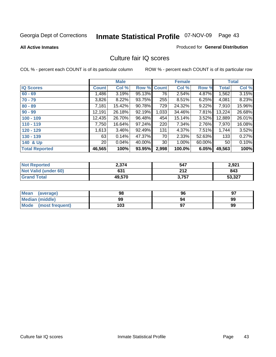### **All Active Inmates**

### Produced for **General Distribution**

## Culture fair IQ scores

|                       |              | <b>Male</b> |        |              | <b>Female</b> |        |              | <b>Total</b> |
|-----------------------|--------------|-------------|--------|--------------|---------------|--------|--------------|--------------|
| <b>IQ Scores</b>      | <b>Count</b> | Col %       | Row %  | <b>Count</b> | Col %         | Row %  | <b>Total</b> | Col %        |
| $60 - 69$             | 1,486        | 3.19%       | 95.13% | 76           | 2.54%         | 4.87%  | 1,562        | 3.15%        |
| $70 - 79$             | 3,826        | 8.22%       | 93.75% | 255          | 8.51%         | 6.25%  | 4,081        | 8.23%        |
| $80 - 89$             | 7,181        | 15.42%      | 90.78% | 729          | 24.32%        | 9.22%  | 7,910        | 15.96%       |
| $90 - 99$             | 12,191       | 26.18%      | 92.19% | 1,033        | 34.46%        | 7.81%  | 13,224       | 26.68%       |
| $100 - 109$           | 12,435       | 26.70%      | 96.48% | 454          | 15.14%        | 3.52%  | 12,889       | 26.01%       |
| $110 - 119$           | 7,750        | 16.64%      | 97.24% | 220          | 7.34%         | 2.76%  | 7,970        | 16.08%       |
| $120 - 129$           | 1,613        | 3.46%       | 92.49% | 131          | 4.37%         | 7.51%  | 1,744        | 3.52%        |
| $130 - 139$           | 63           | 0.14%       | 47.37% | 70           | 2.33%         | 52.63% | 133          | 0.27%        |
| 140 & Up              | 20           | 0.04%       | 40.00% | 30           | 1.00%         | 60.00% | 50           | 0.10%        |
| <b>Total Reported</b> | 46,565       | 100%        | 93.95% | 2,998        | 100.0%        | 6.05%  | 49,563       | 100%         |

| <b>Not Reported</b>  | 2,374  | 547   | 2,921  |
|----------------------|--------|-------|--------|
| Not Valid (under 60) | 631    | 212   | 843    |
| <b>Grand Total</b>   | 49,570 | 3,757 | 53,327 |

| <b>Mean</b><br>(average) | 98  | 96 | 97 |
|--------------------------|-----|----|----|
| Median (middle)          | 99  | 94 | 99 |
| Mode (most frequent)     | 103 |    | 99 |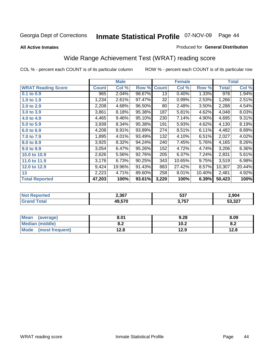### **All Active Inmates**

### Produced for **General Distribution**

## Wide Range Achievement Test (WRAT) reading score

|                           |              | <b>Male</b> |        |              | <b>Female</b> |        |              | <b>Total</b> |
|---------------------------|--------------|-------------|--------|--------------|---------------|--------|--------------|--------------|
| <b>WRAT Reading Score</b> | <b>Count</b> | Col %       | Row %  | <b>Count</b> | Col %         | Row %  | <b>Total</b> | Col %        |
| 0.1 to 0.9                | 965          | 2.04%       | 98.67% | 13           | 0.40%         | 1.33%  | 978          | 1.94%        |
| 1.0 to 1.9                | 1,234        | 2.61%       | 97.47% | 32           | 0.99%         | 2.53%  | 1,266        | 2.51%        |
| 2.0 to 2.9                | 2,208        | 4.68%       | 96.50% | 80           | 2.48%         | 3.50%  | 2,288        | 4.54%        |
| 3.0 to 3.9                | 3,861        | 8.18%       | 95.38% | 187          | 5.81%         | 4.62%  | 4,048        | 8.03%        |
| 4.0 to 4.9                | 4,465        | 9.46%       | 95.10% | 230          | 7.14%         | 4.90%  | 4,695        | 9.31%        |
| 5.0 to 5.9                | 3,939        | 8.34%       | 95.38% | 191          | 5.93%         | 4.62%  | 4,130        | 8.19%        |
| 6.0 to 6.9                | 4,208        | 8.91%       | 93.89% | 274          | 8.51%         | 6.11%  | 4,482        | 8.89%        |
| 7.0 to 7.9                | 1,895        | 4.01%       | 93.49% | 132          | 4.10%         | 6.51%  | 2,027        | 4.02%        |
| 8.0 to 8.9                | 3,925        | 8.32%       | 94.24% | 240          | 7.45%         | 5.76%  | 4,165        | 8.26%        |
| 9.0 to 9.9                | 3,054        | 6.47%       | 95.26% | 152          | 4.72%         | 4.74%  | 3,206        | 6.36%        |
| 10.0 to 10.9              | 2,626        | 5.56%       | 92.76% | 205          | 6.37%         | 7.24%  | 2,831        | 5.61%        |
| 11.0 to 11.9              | 3,176        | 6.73%       | 90.25% | 343          | 10.65%        | 9.75%  | 3,519        | 6.98%        |
| 12.0 to 12.9              | 9,424        | 19.96%      | 91.43% | 883          | 27.42%        | 8.57%  | 10,307       | 20.44%       |
| 13                        | 2,223        | 4.71%       | 89.60% | 258          | 8.01%         | 10.40% | 2,481        | 4.92%        |
| <b>Total Reported</b>     | 47,203       | 100%        | 93.61% | 3,220        | 100%          | 6.39%  | 50,423       | 100%         |

| 2,367  | ヒヘフ<br>ວວ. | 2,904  |
|--------|------------|--------|
| 19.570 | 3,757      | 53,327 |

| <b>Mean</b><br>(average) | 8.01           | 9.28 | 8.09       |
|--------------------------|----------------|------|------------|
| Median (middle)          | י ה<br>0.Z     | 10.2 | 0 ח<br>o.z |
| Mode<br>(most frequent)  | 1 2 9<br>I ∠.O | 12.9 | 12.8       |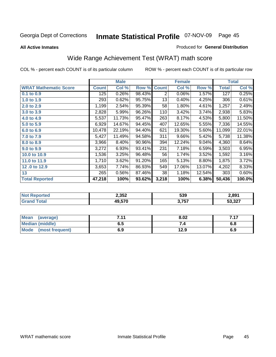**All Active Inmates**

### Produced for **General Distribution**

## Wide Range Achievement Test (WRAT) math score

|                              |              | <b>Male</b> |        |              | <b>Female</b> |          |              | <b>Total</b> |
|------------------------------|--------------|-------------|--------|--------------|---------------|----------|--------------|--------------|
| <b>WRAT Mathematic Score</b> | <b>Count</b> | Col %       | Row %  | <b>Count</b> | Col %         | Row %    | <b>Total</b> | Col %        |
| $0.1$ to $0.9$               | 125          | 0.26%       | 98.43% | 2            | 0.06%         | 1.57%    | 127          | 0.25%        |
| 1.0 to 1.9                   | 293          | 0.62%       | 95.75% | 13           | 0.40%         | 4.25%    | 306          | 0.61%        |
| 2.0 to 2.9                   | 1,199        | 2.54%       | 95.39% | 58           | 1.80%         | 4.61%    | 1,257        | 2.49%        |
| 3.0 to 3.9                   | 2,828        | 5.99%       | 96.26% | 110          | 3.42%         | 3.74%    | 2,938        | 5.83%        |
| 4.0 to 4.9                   | 5,537        | 11.73%      | 95.47% | 263          | 8.17%         | 4.53%    | 5,800        | 11.50%       |
| 5.0 to 5.9                   | 6,929        | 14.67%      | 94.45% | 407          | 12.65%        | 5.55%    | 7,336        | 14.55%       |
| 6.0 to 6.9                   | 10,478       | 22.19%      | 94.40% | 621          | 19.30%        | 5.60%    | 11,099       | 22.01%       |
| 7.0 to 7.9                   | 5,427        | 11.49%      | 94.58% | 311          | 9.66%         | 5.42%    | 5,738        | 11.38%       |
| 8.0 to 8.9                   | 3,966        | 8.40%       | 90.96% | 394          | 12.24%        | $9.04\%$ | 4,360        | 8.64%        |
| 9.0 to 9.9                   | 3,272        | 6.93%       | 93.41% | 231          | 7.18%         | 6.59%    | 3,503        | 6.95%        |
| 10.0 to 10.9                 | 1,536        | 3.25%       | 96.48% | 56           | 1.74%         | 3.52%    | 1,592        | 3.16%        |
| 11.0 to 11.9                 | 1,710        | 3.62%       | 91.20% | 165          | 5.13%         | 8.80%    | 1,875        | 3.72%        |
| 12.0 to 12.9                 | 3,653        | 7.74%       | 86.93% | 549          | 17.06%        | 13.07%   | 4,202        | 8.33%        |
| 13                           | 265          | 0.56%       | 87.46% | 38           | 1.18%         | 12.54%   | 303          | 0.60%        |
| <b>Total Reported</b>        | 47,218       | 100%        | 93.62% | 3,218        | 100%          | 6.38%    | 50,436       | 100.0%       |

| orted<br>N | 2,352  | 539   | 2,891  |
|------------|--------|-------|--------|
| otal       | 19.570 | 3,757 | 53,327 |

| Mean<br>(average)       | 744<br>. | 8.02 | 717<br>. |
|-------------------------|----------|------|----------|
| <b>Median (middle)</b>  | ნ. O     |      | o.o      |
| Mode<br>(most frequent) | 6.9      | 12.9 | 6.9      |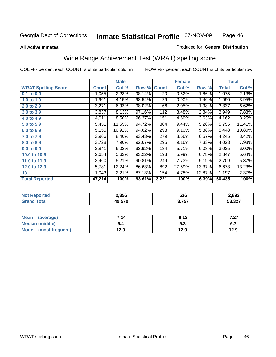### **All Active Inmates**

# Produced for **General Distribution**

## Wide Range Achievement Test (WRAT) spelling score

|                            |              | <b>Male</b> |        |              | <b>Female</b> |        |              | <b>Total</b> |
|----------------------------|--------------|-------------|--------|--------------|---------------|--------|--------------|--------------|
| <b>WRAT Spelling Score</b> | <b>Count</b> | Col %       | Row %  | <b>Count</b> | Col %         | Row %  | <b>Total</b> | Col %        |
| $0.1$ to $0.9$             | 1,055        | 2.23%       | 98.14% | 20           | 0.62%         | 1.86%  | 1,075        | 2.13%        |
| 1.0 to 1.9                 | 1,961        | 4.15%       | 98.54% | 29           | 0.90%         | 1.46%  | 1,990        | 3.95%        |
| 2.0 to 2.9                 | 3,271        | 6.93%       | 98.02% | 66           | 2.05%         | 1.98%  | 3,337        | 6.62%        |
| 3.0 to 3.9                 | 3,837        | 8.13%       | 97.16% | 112          | 3.48%         | 2.84%  | 3,949        | 7.83%        |
| 4.0 to 4.9                 | 4,011        | 8.50%       | 96.37% | 151          | 4.69%         | 3.63%  | 4,162        | 8.25%        |
| 5.0 to 5.9                 | 5,451        | 11.55%      | 94.72% | 304          | 9.44%         | 5.28%  | 5,755        | 11.41%       |
| 6.0 to 6.9                 | 5,155        | 10.92%      | 94.62% | 293          | 9.10%         | 5.38%  | 5,448        | 10.80%       |
| 7.0 to 7.9                 | 3,966        | 8.40%       | 93.43% | 279          | 8.66%         | 6.57%  | 4,245        | 8.42%        |
| 8.0 to 8.9                 | 3,728        | 7.90%       | 92.67% | 295          | 9.16%         | 7.33%  | 4,023        | 7.98%        |
| 9.0 to 9.9                 | 2,841        | 6.02%       | 93.92% | 184          | 5.71%         | 6.08%  | 3,025        | 6.00%        |
| 10.0 to 10.9               | 2,654        | 5.62%       | 93.22% | 193          | 5.99%         | 6.78%  | 2,847        | 5.64%        |
| 11.0 to 11.9               | 2,460        | 5.21%       | 90.81% | 249          | 7.73%         | 9.19%  | 2,709        | 5.37%        |
| 12.0 to 12.9               | 5,781        | 12.24%      | 86.63% | 892          | 27.69%        | 13.37% | 6,673        | 13.23%       |
| 13                         | 1,043        | 2.21%       | 87.13% | 154          | 4.78%         | 12.87% | 1,197        | 2.37%        |
| <b>Total Reported</b>      | 47,214       | 100%        | 93.61% | 3,221        | 100%          | 6.39%  | 50,435       | 100%         |

| rten.<br>NI. | 2,356  | 536   | 2,892  |
|--------------|--------|-------|--------|
| ັດtal        | 49,570 | 3,757 | 53,327 |

| <b>Mean</b><br>(average)       | 7.14 | 9.13 |      |
|--------------------------------|------|------|------|
| <b>Median (middle)</b>         | b.4  | ৬.১  | י.ט  |
| <b>Mode</b><br>(most frequent) | 12.9 | 12.9 | 12.9 |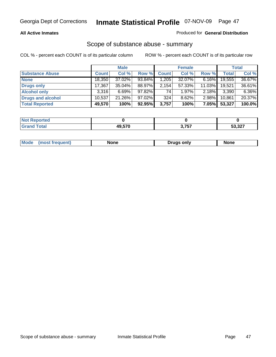### **All Active Inmates**

### Produced for **General Distribution**

## Scope of substance abuse - summary

|                        |              | <b>Male</b> |           |              | <b>Female</b> |           |              | <b>Total</b> |
|------------------------|--------------|-------------|-----------|--------------|---------------|-----------|--------------|--------------|
| <b>Substance Abuse</b> | <b>Count</b> | Col %       | Row %     | <b>Count</b> | Col %         | Row %     | <b>Total</b> | Col %        |
| <b>None</b>            | 18,350       | 37.02%      | 93.84%    | .205         | 32.07%        | $6.16\%$  | 19,555       | 36.67%       |
| Drugs only             | 17.367       | $35.04\%$   | 88.97%    | 2,154        | 57.33%        | $11.03\%$ | 19.521       | 36.61%       |
| <b>Alcohol only</b>    | 3.316        | $6.69\%$    | 97.82%    | 74           | $1.97\%$      | $2.18\%$  | 3,390        | 6.36%        |
| Drugs and alcohol      | 10,537       | 21.26%      | $97.02\%$ | 324          | 8.62%         | $2.98\%$  | 10,861       | 20.37%       |
| <b>Total Reported</b>  | 49,570       | 100%        | 92.95%    | 3,757        | 100%          | $7.05\%$  | 53,327       | 100.0%       |

| <b>Not</b><br>Reported |        |       |                         |
|------------------------|--------|-------|-------------------------|
| <b>Total</b>           | 49.570 | 3,757 | E2.22<br><b>วว,ว</b> ∠เ |

| Mode<br><b>Drugs only</b><br>None<br>None<br>(most frequent) |
|--------------------------------------------------------------|
|--------------------------------------------------------------|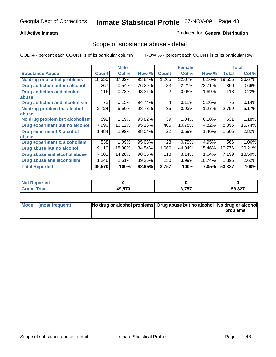### **All Active Inmates**

### Produced for **General Distribution**

## Scope of substance abuse - detail

|                                      |              | <b>Male</b> |        |              | <b>Female</b> |        |              | <b>Total</b> |
|--------------------------------------|--------------|-------------|--------|--------------|---------------|--------|--------------|--------------|
| <b>Substance Abuse</b>               | <b>Count</b> | Col %       | Row %  | <b>Count</b> | Col %         | Row %  | <b>Total</b> | Col %        |
| No drug or alcohol problems          | 18,350       | 37.02%      | 93.84% | 1,205        | 32.07%        | 6.16%  | 19,555       | 36.67%       |
| <b>Drug addiction but no alcohol</b> | 267          | 0.54%       | 76.29% | 83           | 2.21%         | 23.71% | 350          | 0.66%        |
| <b>Drug addiction and alcohol</b>    | 116          | 0.23%       | 98.31% | 2            | 0.05%         | 1.69%  | 118          | 0.22%        |
| abuse                                |              |             |        |              |               |        |              |              |
| <b>Drug addiction and alcoholism</b> | 72           | 0.15%       | 94.74% | 4            | 0.11%         | 5.26%  | 76           | 0.14%        |
| No drug problem but alcohol          | 2,724        | 5.50%       | 98.73% | 35           | 0.93%         | 1.27%  | 2,759        | 5.17%        |
| abuse                                |              |             |        |              |               |        |              |              |
| No drug problem but alcoholism       | 592          | 1.19%       | 93.82% | 39           | 1.04%         | 6.18%  | 631          | 1.18%        |
| Drug experiment but no alcohol       | 7,990        | 16.12%      | 95.18% | 405          | 10.78%        | 4.82%  | 8,395        | 15.74%       |
| <b>Drug experiment &amp; alcohol</b> | 1,484        | 2.99%       | 98.54% | 22           | 0.59%         | 1.46%  | 1,506        | 2.82%        |
| abuse                                |              |             |        |              |               |        |              |              |
| Drug experiment & alcoholism         | 538          | 1.09%       | 95.05% | 28           | 0.75%         | 4.95%  | 566          | 1.06%        |
| Drug abuse but no alcohol            | 9,110        | 18.38%      | 84.54% | 1,666        | 44.34%        | 15.46% | 10,776       | 20.21%       |
| Drug abuse and alcohol abuse         | 7,081        | 14.28%      | 98.36% | 118          | 3.14%         | 1.64%  | 7,199        | 13.50%       |
| Drug abuse and alcoholism            | 1,246        | 2.51%       | 89.26% | 150          | 3.99%         | 10.74% | 1,396        | 2.62%        |
| <b>Total Reported</b>                | 49,570       | 100%        | 92.95% | 3,757        | 100%          | 7.05%  | 53,327       | 100%         |

| Reported<br><b>NOT</b> |        |                |                      |
|------------------------|--------|----------------|----------------------|
| <b>otal</b>            | 49.570 | 2 757<br>.<br> | E2022<br>، عد<br>JJ. |

| Mode (most frequent) | No drug or alcohol problems Drug abuse but no alcohol No drug or alcohol |          |
|----------------------|--------------------------------------------------------------------------|----------|
|                      |                                                                          | problems |
|                      |                                                                          |          |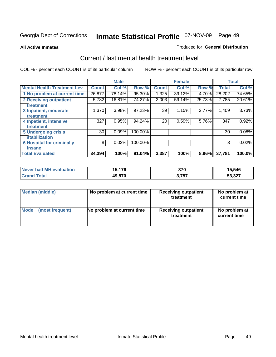### **All Active Inmates**

### Produced for **General Distribution**

## Current / last mental health treatment level

|                                    |              | <b>Male</b> |         |              | <b>Female</b> |        |              | <b>Total</b> |
|------------------------------------|--------------|-------------|---------|--------------|---------------|--------|--------------|--------------|
| <b>Mental Health Treatment Lev</b> | <b>Count</b> | Col %       | Row %   | <b>Count</b> | Col %         | Row %  | <b>Total</b> | Col %        |
| 1 No problem at current time       | 26,877       | 78.14%      | 95.30%  | 1,325        | 39.12%        | 4.70%  | 28,202       | 74.65%       |
| 2 Receiving outpatient             | 5,782        | 16.81%      | 74.27%  | 2,003        | 59.14%        | 25.73% | 7,785        | 20.61%       |
| treatment                          |              |             |         |              |               |        |              |              |
| 3 Inpatient, moderate              | 1,370        | 3.98%       | 97.23%  | 39           | 1.15%         | 2.77%  | 1,409        | 3.73%        |
| treatment                          |              |             |         |              |               |        |              |              |
| 4 Inpatient, intensive             | 327          | 0.95%       | 94.24%  | 20           | 0.59%         | 5.76%  | 347          | 0.92%        |
| treatment                          |              |             |         |              |               |        |              |              |
| <b>5 Undergoing crisis</b>         | 30           | 0.09%       | 100.00% |              |               |        | 30           | 0.08%        |
| stabilization                      |              |             |         |              |               |        |              |              |
| <b>6 Hospital for criminally</b>   | 8            | 0.02%       | 100.00% |              |               |        | 8            | 0.02%        |
| insane                             |              |             |         |              |               |        |              |              |
| <b>Total Evaluated</b>             | 34,394       | 100%        | 91.04%  | 3,387        | 100%          | 8.96%  | 37,781       | 100.0%       |

| Never had MH evaluation | 15,176 | 370             | 15,546 |
|-------------------------|--------|-----------------|--------|
| $\tau$ otal<br>Grand    | 49,570 | 757<br>J. I J I | 53,327 |

| Median (middle) | No problem at current time | <b>Receiving outpatient</b><br>treatment | No problem at<br>current time |
|-----------------|----------------------------|------------------------------------------|-------------------------------|
| <b>Mode</b>     | No problem at current time | <b>Receiving outpatient</b>              | No problem at                 |
| (most frequent) |                            | treatment                                | current time                  |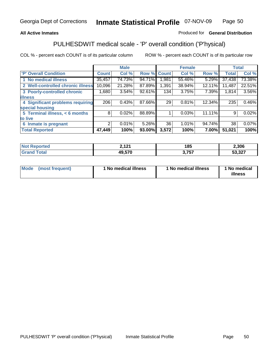## **All Active Inmates**

## Produced for **General Distribution**

## PULHESDWIT medical scale - 'P' overall condition ('P'hysical)

|                                                        |              | <b>Male</b> |        |              | <b>Female</b> |        |              | <b>Total</b> |
|--------------------------------------------------------|--------------|-------------|--------|--------------|---------------|--------|--------------|--------------|
| 'P' Overall Condition                                  | <b>Count</b> | Col %       | Row %  | <b>Count</b> | Col %         | Row %  | <b>Total</b> | Col %        |
| 1 No medical illness                                   | 35,457       | 74.73%      | 94.71% | 1,981        | 55.46%        | 5.29%  | 37,438       | 73.38%       |
| <b>Well-controlled chronic illness</b><br>$\mathbf{2}$ | 10,096       | 21.28%      | 87.89% | 1,391        | 38.94%        | 12.11% | 11,487       | 22.51%       |
| 3 Poorly-controlled chronic                            | 1,680        | 3.54%       | 92.61% | 134          | 3.75%         | 7.39%  | 1,814        | 3.56%        |
| <b>illness</b>                                         |              |             |        |              |               |        |              |              |
| 4 Significant problems requiring                       | 206          | 0.43%       | 87.66% | 29           | 0.81%         | 12.34% | 235          | 0.46%        |
| special housing                                        |              |             |        |              |               |        |              |              |
| 5 Terminal illness, < 6 months                         | 8            | 0.02%       | 88.89% |              | 0.03%         | 11.11% | 9            | 0.02%        |
| to live                                                |              |             |        |              |               |        |              |              |
| Inmate is pregnant<br>6                                | 2            | 0.01%       | 5.26%  | 36           | 1.01%         | 94.74% | 38           | 0.07%        |
| <b>Total Reported</b>                                  | 47,449       | 100%        | 93.00% | 3,572        | 100%          | 7.00%  | 51,021       | 100%         |

| тео | າ 4 າ4<br><u>.</u> | 185 | 2.306             |
|-----|--------------------|-----|-------------------|
|     | 10 57N             | 777 | דמם כם<br>. ∠د. د |

| Mode | (most frequent) | 1 No medical illness | 1 No medical illness | 1 No medical<br>illness |
|------|-----------------|----------------------|----------------------|-------------------------|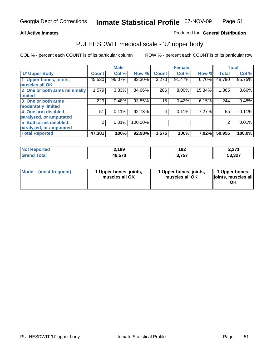### **All Active Inmates**

### Produced for **General Distribution**

## PULHESDWIT medical scale - 'U' upper body

|                              |        | <b>Male</b> |         |              | <b>Female</b> |        |              | <b>Total</b> |
|------------------------------|--------|-------------|---------|--------------|---------------|--------|--------------|--------------|
| <b>U' Upper Body</b>         | Count! | Col %       | Row %   | <b>Count</b> | Col %         | Row %  | <b>Total</b> | Col %        |
| 1 Upper bones, joints,       | 45,520 | 96.07%      | 93.30%  | 3,270        | 91.47%        | 6.70%  | 48,790       | 95.75%       |
| muscles all OK               |        |             |         |              |               |        |              |              |
| 2 One or both arms minimally | 1,579  | 3.33%       | 84.66%  | 286          | 8.00%         | 15.34% | 1,865        | 3.66%        |
| limited                      |        |             |         |              |               |        |              |              |
| 3 One or both arms           | 229    | 0.48%       | 93.85%  | 15           | 0.42%         | 6.15%  | 244          | 0.48%        |
| moderately limited           |        |             |         |              |               |        |              |              |
| 4 One arm disabled,          | 51     | 0.11%       | 92.73%  | 4            | 0.11%         | 7.27%  | 55           | 0.11%        |
| paralyzed, or amputated      |        |             |         |              |               |        |              |              |
| 5 Both arms disabled,        | 2      | 0.01%       | 100.00% |              |               |        | 2            | 0.01%        |
| paralyzed, or amputated      |        |             |         |              |               |        |              |              |
| <b>Total Reported</b>        | 47,381 | 100%        | 92.98%  | 3,575        | 100%          | 7.02%  | 50,956       | 100.0%       |

| N <sub>of</sub><br>Reported | ∠,189  | 182            | n 274<br>ا اد.ع |
|-----------------------------|--------|----------------|-----------------|
| Total                       | 49,570 | フトフ<br>. ט ו ט | 53,327          |

| <b>Mode</b> | (most frequent) | 1 Upper bones, joints,<br>muscles all OK | 1 Upper bones, joints,<br>muscles all OK | 1 Upper bones,<br>joints, muscles all<br>ΟK |
|-------------|-----------------|------------------------------------------|------------------------------------------|---------------------------------------------|
|-------------|-----------------|------------------------------------------|------------------------------------------|---------------------------------------------|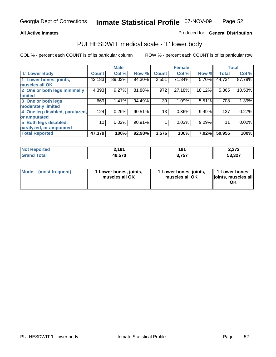### **All Active Inmates**

### Produced for **General Distribution**

## PULHESDWIT medical scale - 'L' lower body

|                                |              | <b>Male</b> |        |              | <b>Female</b> |        |              | <b>Total</b> |
|--------------------------------|--------------|-------------|--------|--------------|---------------|--------|--------------|--------------|
| <b>L' Lower Body</b>           | <b>Count</b> | Col %       | Row %  | <b>Count</b> | Col %         | Row %  | <b>Total</b> | Col %        |
| 1 Lower bones, joints,         | 42,183       | 89.03%      | 94.30% | 2,551        | 71.34%        | 5.70%  | 44,734       | 87.79%       |
| muscles all OK                 |              |             |        |              |               |        |              |              |
| 2 One or both legs minimally   | 4,393        | 9.27%       | 81.88% | 972          | 27.18%        | 18.12% | 5,365        | 10.53%       |
| limited                        |              |             |        |              |               |        |              |              |
| 3 One or both legs             | 669          | 1.41%       | 94.49% | 39           | 1.09%         | 5.51%  | 708          | 1.39%        |
| moderately limited             |              |             |        |              |               |        |              |              |
| 4 One leg disabled, paralyzed, | 124          | 0.26%       | 90.51% | 13           | 0.36%         | 9.49%  | 137          | 0.27%        |
| or amputated                   |              |             |        |              |               |        |              |              |
| 5 Both legs disabled,          | 10           | 0.02%       | 90.91% |              | 0.03%         | 9.09%  | 11           | 0.02%        |
| paralyzed, or amputated        |              |             |        |              |               |        |              |              |
| <b>Total Reported</b>          | 47,379       | 100%        | 92.98% | 3,576        | 100%          | 7.02%  | 50,955       | 100%         |

| <b>Not Reported</b> | 2,191  | 181   | 2,372  |
|---------------------|--------|-------|--------|
| <b>Grand Total</b>  | 49,570 | 3.757 | 53,327 |

|  | Mode (most frequent) | 1 Lower bones, joints,<br>muscles all OK | 1 Lower bones, joints,<br>muscles all OK | 1 Lower bones,<br>joints, muscles all<br>OK |
|--|----------------------|------------------------------------------|------------------------------------------|---------------------------------------------|
|--|----------------------|------------------------------------------|------------------------------------------|---------------------------------------------|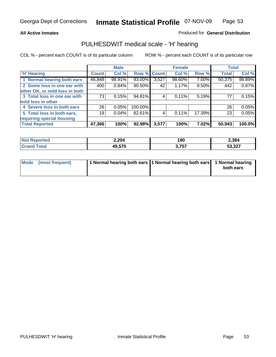### **All Active Inmates**

## Produced for **General Distribution**

## PULHESDWIT medical scale - 'H' hearing

|                                |              | <b>Male</b> |             |       | <b>Female</b> |        | <b>Total</b> |        |
|--------------------------------|--------------|-------------|-------------|-------|---------------|--------|--------------|--------|
| <b>H'</b> Hearing              | <b>Count</b> | Col %       | Row % Count |       | Col %         | Row %  | <b>Total</b> | Col %  |
| 1 Normal hearing both ears     | 46,848       | 98.91%      | 93.00%      | 3,527 | 98.60%        | 7.00%  | 50,375       | 98.89% |
| 2 Some loss in one ear with    | 400          | 0.84%       | 90.50%      | 42    | 1.17%         | 9.50%  | 442          | 0.87%  |
| other OK, or mild loss in both |              |             |             |       |               |        |              |        |
| 3 Total loss in one ear with   | 73           | 0.15%       | 94.81%      | 4     | 0.11%         | 5.19%  | 77           | 0.15%  |
| mild loss in other             |              |             |             |       |               |        |              |        |
| 4 Severe loss in both ears     | 26           | 0.05%       | 100.00%     |       |               |        | 26           | 0.05%  |
| 5 Total loss in both ears,     | 19           | 0.04%       | 82.61%      | 4     | 0.11%         | 17.39% | 23           | 0.05%  |
| requiring special housing      |              |             |             |       |               |        |              |        |
| <b>Total Reported</b>          | 47,366       | 100%        | 92.98%      | 3,577 | 100%          | 7.02%  | 50,943       | 100.0% |

| <b>Leu</b> | 2,204  | 180   | 2,384           |
|------------|--------|-------|-----------------|
|            | 49.570 | 3,757 | =^ ^^<br>ו גט ט |

| Mode (most frequent) | 1 Normal hearing both ears 11 Normal hearing both ears | 1 Normal hearing |
|----------------------|--------------------------------------------------------|------------------|
|                      |                                                        | both ears        |
|                      |                                                        |                  |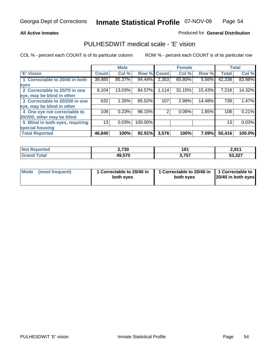### **All Active Inmates**

### Produced for **General Distribution**

## PULHESDWIT medical scale - 'E' vision

|                                 |              | <b>Male</b> |             |       | <b>Female</b> |        |              | <b>Total</b> |
|---------------------------------|--------------|-------------|-------------|-------|---------------|--------|--------------|--------------|
| 'E' Vision                      | <b>Count</b> | Col %       | Row % Count |       | Col %         | Row %  | <b>Total</b> | Col %        |
| 1 Correctable to 20/40 in both  | 39,985       | 85.37%      | 94.44%      | 2,353 | 65.80%        | 5.56%  | 42,338       | 83.98%       |
| eyes                            |              |             |             |       |               |        |              |              |
| 2 Correctable to 20/70 in one   | 6,104        | 13.03%      | 84.57%      | 1,114 | 31.15%        | 15.43% | 7,218        | 14.32%       |
| eye, may be blind in other      |              |             |             |       |               |        |              |              |
| 3 Correctable to 20/200 in one  | 632          | 1.35%       | 85.52%      | 107   | 2.99%         | 14.48% | 739          | 1.47%        |
| eye, may be blind in other      |              |             |             |       |               |        |              |              |
| 4 One eye not correctable to    | 106          | 0.23%       | 98.15%      | 2     | 0.06%         | 1.85%  | 108          | 0.21%        |
| 20/200, other may be blind      |              |             |             |       |               |        |              |              |
| 5 Blind in both eyes, requiring | 13           | 0.03%       | 100.00%     |       |               |        | 13           | 0.03%        |
| special housing                 |              |             |             |       |               |        |              |              |
| <b>Total Reported</b>           | 46,840       | 100%        | 92.91%      | 3,576 | 100%          | 7.09%  | 50,416       | 100.0%       |

| <b>Not Reported</b> | 2,730  | 181   | 2,911  |
|---------------------|--------|-------|--------|
| Γota⊦<br>. Gre      | 49,570 | 3,757 | 53,327 |

| Mode | (most frequent) | 1 Correctable to 20/40 in<br>both eves | 1 Correctable to 20/40 in   1 Correctable to<br>both eves | 20/40 in both eyes |
|------|-----------------|----------------------------------------|-----------------------------------------------------------|--------------------|
|------|-----------------|----------------------------------------|-----------------------------------------------------------|--------------------|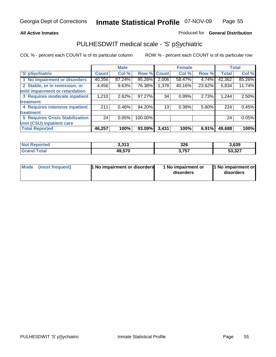### **All Active Inmates**

### Produced for **General Distribution**

## PULHESDWIT medical scale - 'S' pSychiatric

|                                        |              | <b>Male</b> |             |       | <b>Female</b> |        |              | <b>Total</b> |
|----------------------------------------|--------------|-------------|-------------|-------|---------------|--------|--------------|--------------|
| 'S' pSychiatric                        | <b>Count</b> | Col %       | Row % Count |       | Col %         | Row %  | <b>Total</b> | Col %        |
| 1 No impairment or disorders           | 40,356       | 87.24%      | 95.26%      | 2,006 | 58.47%        | 4.74%  | 42,362       | 85.26%       |
| 2 Stable, or in remission, or          | 4,456        | 9.63%       | 76.38%      | 1,378 | 40.16%        | 23.62% | 5,834        | 11.74%       |
| mild impairment or retardation         |              |             |             |       |               |        |              |              |
| 3 Requires moderate inpatient          | 1,210        | 2.62%       | 97.27%      | 34    | 0.99%         | 2.73%  | 1,244        | 2.50%        |
| treatment                              |              |             |             |       |               |        |              |              |
| 4 Requires intensive inpatient         | 211          | $0.46\%$    | 94.20%      | 13    | 0.38%         | 5.80%  | 224          | 0.45%        |
| treatment                              |              |             |             |       |               |        |              |              |
| <b>5 Requires Crisis Stabilization</b> | 24           | 0.05%       | 100.00%     |       |               |        | 24           | 0.05%        |
| Unit (CSU) inpatient care              |              |             |             |       |               |        |              |              |
| <b>Total Reported</b>                  | 46,257       | 100%        | 93.09%      | 3,431 | 100%          | 6.91%  | 49,688       | 100%         |

| <b>Not Reported</b> | 2.212<br>د ۱ د.د | 326   | 3,639  |
|---------------------|------------------|-------|--------|
| Total<br>' Grand    | 49,570           | 3,757 | 53,327 |

| Mode (most frequent) | <b>1 No impairment or disorders</b> | 1 No impairment or<br>disorders | 1 No impairment or<br>disorders |
|----------------------|-------------------------------------|---------------------------------|---------------------------------|
|                      |                                     |                                 |                                 |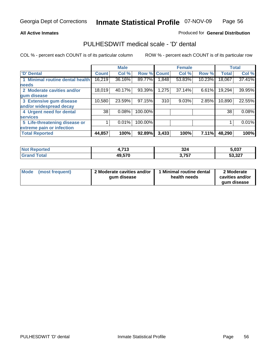### **All Active Inmates**

### Produced for **General Distribution**

## PULHESDWIT medical scale - 'D' dental

|                                 |              | <b>Male</b> |             |        | <b>Female</b> |        |              | <b>Total</b> |
|---------------------------------|--------------|-------------|-------------|--------|---------------|--------|--------------|--------------|
| 'D' Dental                      | <b>Count</b> | Col %       | Row % Count |        | Col %         | Row %  | <b>Total</b> | Col %        |
| 1 Minimal routine dental health | 16,219       | 36.16%      | 89.77%      | ا 848. | 53.83%        | 10.23% | 18,067       | 37.41%       |
| <b>needs</b>                    |              |             |             |        |               |        |              |              |
| 2 Moderate cavities and/or      | 18,019       | 40.17%      | 93.39%      | 1,275  | 37.14%        | 6.61%  | 19,294       | 39.95%       |
| gum disease                     |              |             |             |        |               |        |              |              |
| 3 Extensive gum disease         | 10,580       | 23.59%      | 97.15%      | 310    | 9.03%         | 2.85%  | 10,890       | 22.55%       |
| and/or widespread decay         |              |             |             |        |               |        |              |              |
| 4 Urgent need for dental        | 38           | 0.08%       | 100.00%     |        |               |        | 38           | 0.08%        |
| <b>services</b>                 |              |             |             |        |               |        |              |              |
| 5 Life-threatening disease or   |              | 0.01%       | 100.00%     |        |               |        |              | 0.01%        |
| extreme pain or infection       |              |             |             |        |               |        |              |              |
| <b>Total Reported</b>           | 44,857       | 100%        | 92.89%      | 3,433  | 100%          | 7.11%  | 48,290       | 100%         |

| <b>Reported</b><br>NO.      | 742<br>1.I I J | 324   | 5,037  |
|-----------------------------|----------------|-------|--------|
| Tota <sub>l</sub><br>'Grand | 49,570         | 3,757 | 53,327 |

| <b>Mode</b> | (most frequent) | 2 Moderate cavities and/or<br>qum disease | 1 Minimal routine dental<br>health needs | 2 Moderate<br>cavities and/or |
|-------------|-----------------|-------------------------------------------|------------------------------------------|-------------------------------|
|             |                 |                                           |                                          | qum disease                   |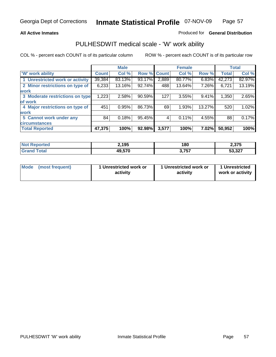### **All Active Inmates**

### Produced for **General Distribution**

## PULHESDWIT medical scale - 'W' work ability

|                                 |              | <b>Male</b> |        |             | <b>Female</b> |        |              | <b>Total</b> |
|---------------------------------|--------------|-------------|--------|-------------|---------------|--------|--------------|--------------|
| W' work ability                 | <b>Count</b> | Col %       |        | Row % Count | Col %         | Row %  | <b>Total</b> | Col %        |
| 1 Unrestricted work or activity | 39,384       | 83.13%      | 93.17% | 2,889       | 80.77%        | 6.83%  | 42,273       | 82.97%       |
| 2 Minor restrictions on type of | 6,233        | 13.16%      | 92.74% | 488         | 13.64%        | 7.26%  | 6,721        | 13.19%       |
| <b>work</b>                     |              |             |        |             |               |        |              |              |
| 3 Moderate restrictions on type | 1,223        | 2.58%       | 90.59% | 127         | 3.55%         | 9.41%  | 1,350        | 2.65%        |
| of work                         |              |             |        |             |               |        |              |              |
| 4 Major restrictions on type of | 451          | 0.95%       | 86.73% | 69          | 1.93%         | 13.27% | 520          | 1.02%        |
| <b>work</b>                     |              |             |        |             |               |        |              |              |
| 5 Cannot work under any         | 84           | 0.18%       | 95.45% | 4           | 0.11%         | 4.55%  | 88           | 0.17%        |
| <b>circumstances</b>            |              |             |        |             |               |        |              |              |
| <b>Total Reported</b>           | 47,375       | 100%        | 92.98% | 3,577       | 100%          | 7.02%  | 50,952       | 100%         |

| <b>Not Reported</b> | 2,195  | 180   | 2,375  |
|---------------------|--------|-------|--------|
| <b>Grand Total</b>  | 49,570 | 3,757 | 53,327 |

| Mode            | 1 Unrestricted work or | 1 Unrestricted work or | 1 Unrestricted   |
|-----------------|------------------------|------------------------|------------------|
| (most frequent) | activity               | activity               | work or activity |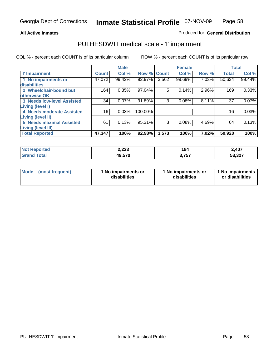### **All Active Inmates**

## Produced for **General Distribution**

## PULHESDWIT medical scale - 'I' impairment

|                                 |              | <b>Male</b> |         |              | <b>Female</b> |       |              | <b>Total</b> |
|---------------------------------|--------------|-------------|---------|--------------|---------------|-------|--------------|--------------|
| <b>T</b> Impairment             | <b>Count</b> | Col %       | Row %   | <b>Count</b> | Col %         | Row % | <b>Total</b> | Col %        |
| 1 No impairments or             | 47,072       | 99.42%      | 92.97%  | 3,562        | 99.69%        | 7.03% | 50,634       | 99.44%       |
| disabilities                    |              |             |         |              |               |       |              |              |
| 2 Wheelchair-bound but          | 164          | 0.35%       | 97.04%  | 5            | 0.14%         | 2.96% | 169          | 0.33%        |
| otherwise OK                    |              |             |         |              |               |       |              |              |
| 3 Needs low-level Assisted      | 34           | $0.07\%$    | 91.89%  | 3            | 0.08%         | 8.11% | 37           | 0.07%        |
| Living (level I)                |              |             |         |              |               |       |              |              |
| 4 Needs moderate Assisted       | 16           | 0.03%       | 100.00% |              |               |       | 16           | 0.03%        |
| <b>Living (level II)</b>        |              |             |         |              |               |       |              |              |
| <b>5 Needs maximal Assisted</b> | 61           | 0.13%       | 95.31%  | 3            | 0.08%         | 4.69% | 64           | 0.13%        |
| <b>Living (level III)</b>       |              |             |         |              |               |       |              |              |
| <b>Total Reported</b>           | 47,347       | 100%        | 92.98%  | 3,573        | 100%          | 7.02% | 50,920       | 100%         |

| <b>Not</b><br><b>Reported</b> | 2,223  | 184          | 2,407  |
|-------------------------------|--------|--------------|--------|
| <b>cotal</b>                  | 49,570 | フドフ<br>וט,וט | 53,327 |

| <b>Mode</b> | (most frequent) | 1 No impairments or<br>disabilities | 1 No impairments or<br>disabilities | 1 No impairments<br>or disabilities |
|-------------|-----------------|-------------------------------------|-------------------------------------|-------------------------------------|
|-------------|-----------------|-------------------------------------|-------------------------------------|-------------------------------------|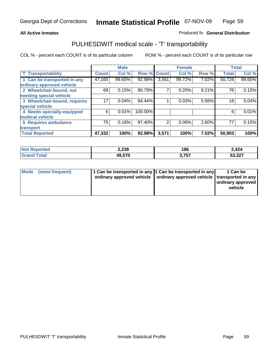#### **Inmate Statistical Profile** 07-NOV-09 Page Page 59

### **All Active Inmates Allowski** Produced fo **General Distribution**

## PULHESDWIT medical scale - 'T' transportability

|                              |              | <b>Male</b> |         |                | <b>Female</b> |       | <b>Total</b> |        |
|------------------------------|--------------|-------------|---------|----------------|---------------|-------|--------------|--------|
| <b>T' Transportability</b>   | <b>Count</b> | Col %       | Row %   | <b>Count</b>   | Col %         | Row % | <b>Total</b> | Col %  |
| 1 Can be transported in any  | 47,165       | 99.65%      | 92.98%  | 3,561          | 99.72%        | 7.02% | 50,726       | 99.65% |
| ordinary approved vehicle    |              |             |         |                |               |       |              |        |
| 2 Wheelchair-bound, not      | 69           | 0.15%       | 90.79%  |                | 0.20%         | 9.21% | 76           | 0.15%  |
| needing special vehicle      |              |             |         |                |               |       |              |        |
| 3 Wheelchair-bound, requires | 17           | 0.04%       | 94.44%  |                | 0.03%         | 5.56% | 18           | 0.04%  |
| special vehicle              |              |             |         |                |               |       |              |        |
| 4 Needs specially-equipped   | 6            | 0.01%       | 100.00% |                |               |       | 6            | 0.01%  |
| medical vehicle              |              |             |         |                |               |       |              |        |
| <b>5 Requires ambulance</b>  | 75           | 0.16%       | 97.40%  | $\overline{2}$ | 0.06%         | 2.60% | 77           | 0.15%  |
| transport                    |              |             |         |                |               |       |              |        |
| <b>Total Reported</b>        | 47,332       | 100%        | 92.98%  | 3,571          | 100%          | 7.02% | 50,903       | 100%   |

| <b>Not Reported</b> | 2,238  | 186   | 2,424  |
|---------------------|--------|-------|--------|
| <b>Grand Total</b>  | 49,570 | 3,757 | 53,327 |

| Mode (most frequent) | 1 Can be transported in any 1 Can be transported in any | ordinary approved vehicle   ordinary approved vehicle   transported in any | 1 Can be<br>ordinary approved<br>vehicle |
|----------------------|---------------------------------------------------------|----------------------------------------------------------------------------|------------------------------------------|
|                      |                                                         |                                                                            |                                          |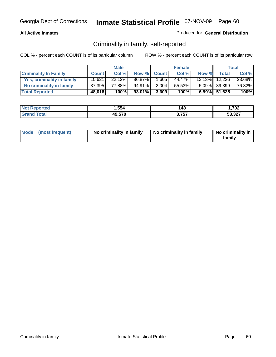### **All Active Inmates**

### Produced for **General Distribution**

## Criminality in family, self-reported

|                              |              | <b>Male</b> |        |              | <b>Female</b> |       |               | <b>Total</b> |
|------------------------------|--------------|-------------|--------|--------------|---------------|-------|---------------|--------------|
| <b>Criminality In Family</b> | <b>Count</b> | Col %       | Row %  | <b>Count</b> | Col %         | Row % | <b>Total</b>  | Col %        |
| Yes, criminality in family   | 10,621       | 22.12%      | 86.87% | 1,605        | 44.47%        |       | 13.13% 12,226 | 23.68%       |
| No criminality in family     | 37,395       | 77.88%      | 94.91% | 2,004        | 55.53%        |       | 5.09% 39,399  | 76.32%       |
| <b>Total Reported</b>        | 48,016       | 100%        | 93.01% | 3,609        | 100%          |       | 6.99% 51,625  | 100%         |

| <b>Not Reported</b>   | . ,554 | 148         | 1,702  |
|-----------------------|--------|-------------|--------|
| <b>Total</b><br>Grano | 49,570 | フドフ<br>ו טו | 53,327 |

|  | Mode (most frequent) | No criminality in family | No criminality in family | No criminality in<br>family |
|--|----------------------|--------------------------|--------------------------|-----------------------------|
|--|----------------------|--------------------------|--------------------------|-----------------------------|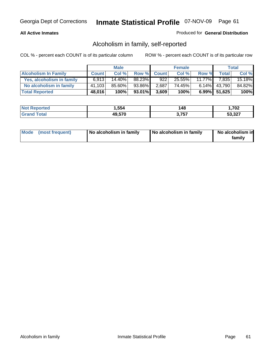### **All Active Inmates**

### Produced for **General Distribution**

## Alcoholism in family, self-reported

|                             |              | <b>Male</b> |        |              | <b>Female</b> |           |              | <b>Total</b> |
|-----------------------------|--------------|-------------|--------|--------------|---------------|-----------|--------------|--------------|
| <b>Alcoholism In Family</b> | <b>Count</b> | Col %       | Row %  | <b>Count</b> | Col %         | Row %     | <b>Total</b> | Col %        |
| Yes, alcoholism in family   | 6.913        | $14.40\%$   | 88.23% | 922          | 25.55%        | $11.77\%$ | 7,835        | 15.18%       |
| No alcoholism in family     | 41,103       | 85.60%      | 93.86% | 2,687        | 74.45%        |           | 6.14% 43,790 | 84.82%       |
| <b>Total Reported</b>       | 48,016       | 100%        | 93.01% | 3,609        | 100%          |           | 6.99% 51,625 | 100%         |

| <b>Not Reported</b>   | . ,554 | 148         | 1,702  |
|-----------------------|--------|-------------|--------|
| <b>Total</b><br>Grano | 49,570 | フドフ<br>ו טו | 53,327 |

|  | Mode (most frequent) | No alcoholism in family | No alcoholism in family | No alcoholism in<br>family |
|--|----------------------|-------------------------|-------------------------|----------------------------|
|--|----------------------|-------------------------|-------------------------|----------------------------|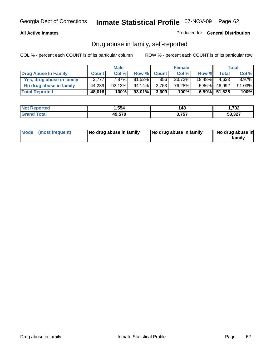### **All Active Inmates**

Produced for **General Distribution**

## Drug abuse in family, self-reported

|                           |              | <b>Male</b> |        |              | <b>Female</b> |           |              | <b>Total</b> |
|---------------------------|--------------|-------------|--------|--------------|---------------|-----------|--------------|--------------|
| Drug Abuse In Family      | <b>Count</b> | Col %       | Row %  | <b>Count</b> | Col %         | Row %     | <b>Total</b> | Col %        |
| Yes, drug abuse in family | 3.777        | 7.87%       | 81.52% | 856          | 23.72%        | $18.48\%$ | 4.633        | $8.97\%$     |
| No drug abuse in family   | 44,239       | 92.13%      | 94.14% | 2,753        | 76.28%        | $5.86\%$  | 46,992       | 91.03%       |
| <b>Total Reported</b>     | 48,016       | 100%        | 93.01% | 3,609        | 100%          |           | 6.99% 51,625 | 100%         |

| <b>Not Reported</b>          | . ,554 | 148         | 1,702  |
|------------------------------|--------|-------------|--------|
| <b>Total</b><br><b>Grand</b> | 49,570 | フドフ<br>ו טו | 53,327 |

|  | Mode (most frequent) | No drug abuse in family | No drug abuse in family | No drug abuse in<br>family |
|--|----------------------|-------------------------|-------------------------|----------------------------|
|--|----------------------|-------------------------|-------------------------|----------------------------|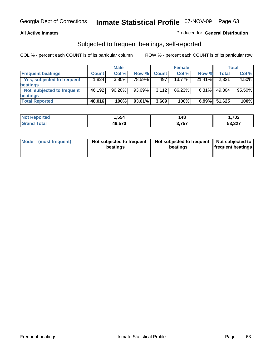### **All Active Inmates**

## Produced for **General Distribution**

## Subjected to frequent beatings, self-reported

|                                   |              | <b>Male</b> |           |              | <b>Female</b> |          |        | Total  |
|-----------------------------------|--------------|-------------|-----------|--------------|---------------|----------|--------|--------|
| <b>Frequent beatings</b>          | <b>Count</b> | Col %       | Row %     | <b>Count</b> | Col %         | Row %    | Total  | Col %  |
| <b>Yes, subjected to frequent</b> | 1,824        | 3.80%       | 78.59%    | 497          | 13.77%        | 21.41%   | 2,321  | 4.50%  |
| <b>beatings</b>                   |              |             |           |              |               |          |        |        |
| Not subjected to frequent         | 46.192       | 96.20%      | $93.69\%$ | 3.112        | 86.23%        | $6.31\%$ | 49.304 | 95.50% |
| <b>beatings</b>                   |              |             |           |              |               |          |        |        |
| <b>Total Reported</b>             | 48,016       | 100%        | 93.01%    | 3,609        | 100%          | $6.99\%$ | 51,625 | 100%   |

| Reported<br><b>Not</b> | 554,،  | 148            | 1,702  |
|------------------------|--------|----------------|--------|
| <b>Total</b><br>' Gra  | 49.570 | 2 フドラ<br>1 J . | 53,327 |

| Mode (most frequent) | Not subjected to frequent | Not subjected to frequent   Not subjected to |                          |
|----------------------|---------------------------|----------------------------------------------|--------------------------|
|                      | beatings                  | beatings                                     | <b>frequent beatings</b> |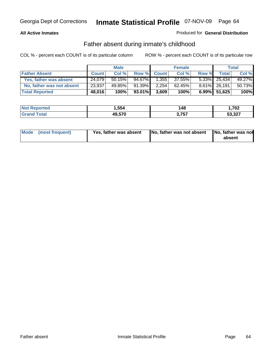### **All Active Inmates**

## Produced for **General Distribution**

## Father absent during inmate's childhood

|                           |              | <b>Male</b> |           |              | <b>Female</b> |       |                 | <b>Total</b> |
|---------------------------|--------------|-------------|-----------|--------------|---------------|-------|-----------------|--------------|
| <b>Father Absent</b>      | <b>Count</b> | Col %       | Row %     | <b>Count</b> | Col %         | Row % | Total           | Col %        |
| Yes, father was absent    | 24,079       | 50.15%      | 94.67%    | 1,355        | 37.55%        |       | $5.33\%$ 25,434 | 49.27%       |
| No, father was not absent | 23,937       | 49.85%      | $91.39\%$ | 2.254        | 62.45%        |       | 8.61% 26,191    | 50.73%       |
| <b>Total Reported</b>     | 48,016       | 100%        | 93.01%    | 3,609        | 100%          |       | 6.99% 51,625    | 100%         |

| <b>Not Reported</b> | . ,554 | 148         | ,702   |
|---------------------|--------|-------------|--------|
| Гоtal<br>l Grand    | 49,570 | ィフドブ<br>791 | 53,327 |

| Mode (most frequent) | Yes, father was absent | No, father was not absent No, father was not | absent |
|----------------------|------------------------|----------------------------------------------|--------|
|                      |                        |                                              |        |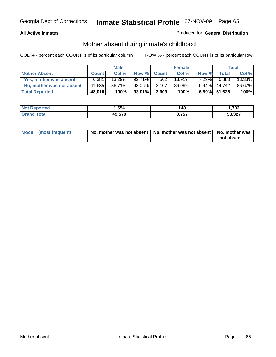### **All Active Inmates**

## Produced for **General Distribution**

## Mother absent during inmate's childhood

|                           |              | <b>Male</b> |           |              | <b>Female</b> |          |              | Total  |
|---------------------------|--------------|-------------|-----------|--------------|---------------|----------|--------------|--------|
| <b>Mother Absent</b>      | <b>Count</b> | Col %       | Row %     | <b>Count</b> | Col %         | Row %    | <b>Total</b> | Col %  |
| Yes, mother was absent    | 6.381        | 13.29%      | $92.71\%$ | 502          | 13.91%        | $7.29\%$ | 6,883        | 13.33% |
| No, mother was not absent | 41,635       | 86.71%      | 93.06%    | 3,107        | 86.09%        | $6.94\%$ | 44.742       | 86.67% |
| <b>Total Reported</b>     | 48,016       | 100%        | 93.01%    | 3,609        | 100%          |          | 6.99% 51,625 | 100%   |

| <b>Not</b><br><b>Reported</b> | 554,ا  | 148 | 1,702  |
|-------------------------------|--------|-----|--------|
| <b>ofa</b>                    | 49,570 | 757 | 53,327 |

| Mode (most frequent) | No, mother was not absent   No, mother was not absent   No, mother was | not absent |
|----------------------|------------------------------------------------------------------------|------------|
|----------------------|------------------------------------------------------------------------|------------|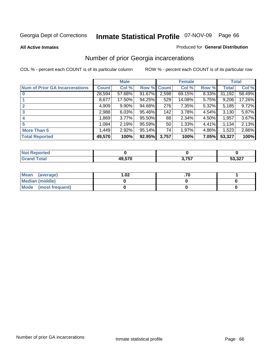**All Active Inmates**

### Produced for **General Distribution**

## Number of prior Georgia incarcerations

|                                       |              | <b>Male</b> |        |                 | <b>Female</b> |       |        | <b>Total</b> |
|---------------------------------------|--------------|-------------|--------|-----------------|---------------|-------|--------|--------------|
| <b>Num of Prior GA Incarcerations</b> | <b>Count</b> | Col %       | Row %  | <b>Count</b>    | Col %         | Row % | Total  | Col %        |
| $\bf{0}$                              | 28,594       | 57.68%      | 91.67% | 2,598           | 69.15%        | 8.33% | 31,192 | 58.49%       |
|                                       | 8,677        | 17.50%      | 94.25% | 529             | 14.08%        | 5.75% | 9,206  | 17.26%       |
|                                       | 4,909        | 9.90%       | 94.68% | 276             | 7.35%         | 5.32% | 5,185  | 9.72%        |
| 3                                     | 2,988        | 6.03%       | 95.46% | 142             | 3.78%         | 4.54% | 3,130  | 5.87%        |
|                                       | 1,869        | 3.77%       | 95.50% | 88              | 2.34%         | 4.50% | 1,957  | 3.67%        |
| 5                                     | 1,084        | 2.19%       | 95.59% | 50 <sub>1</sub> | 1.33%         | 4.41% | 1,134  | 2.13%        |
| <b>More Than 5</b>                    | 1,449        | 2.92%       | 95.14% | 74              | 1.97%         | 4.86% | 1,523  | 2.86%        |
| <b>Total Reported</b>                 | 49,570       | 100%        | 92.95% | 3,757           | 100%          | 7.05% | 53,327 | 100%         |

| <b>orted</b><br><b>N</b> |        |            |        |
|--------------------------|--------|------------|--------|
|                          | 49.570 | 757<br>, J | 53,327 |

| Mean (average)       | l.O2 |  |
|----------------------|------|--|
| Median (middle)      |      |  |
| Mode (most frequent) |      |  |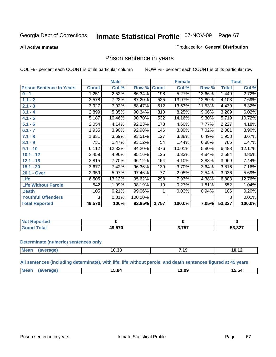### **All Active Inmates**

### Produced for **General Distribution**

## Prison sentence in years

COL % - percent each COUNT is of its particular column ROW % - percent each COUNT is of its particular row

|                                 |              | <b>Male</b> |         |              | <b>Female</b> |          |                 | <b>Total</b> |
|---------------------------------|--------------|-------------|---------|--------------|---------------|----------|-----------------|--------------|
| <b>Prison Sentence In Years</b> | <b>Count</b> | Col %       | Row %   | <b>Count</b> | Col %         | Row %    | <b>Total</b>    | Col %        |
| $0 - 1$                         | 1,251        | 2.52%       | 86.34%  | 198          | 5.27%         | 13.66%   | 1,449           | 2.72%        |
| $1.1 - 2$                       | 3,578        | 7.22%       | 87.20%  | 525          | 13.97%        | 12.80%   | 4,103           | 7.69%        |
| $2.1 - 3$                       | 3,927        | 7.92%       | 88.47%  | 512          | 13.63%        | 11.53%   | 4,439           | 8.32%        |
| $3.1 - 4$                       | 2,899        | 5.85%       | 90.34%  | 310          | 8.25%         | 9.66%    | 3,209           | 6.02%        |
| $4.1 - 5$                       | 5,187        | 10.46%      | 90.70%  | 532          | 14.16%        | $9.30\%$ | 5,719           | 10.72%       |
| $5.1 - 6$                       | 2,054        | 4.14%       | 92.23%  | 173          | 4.60%         | 7.77%    | 2,227           | 4.18%        |
| $6.1 - 7$                       | 1,935        | 3.90%       | 92.98%  | 146          | 3.89%         | 7.02%    | 2,081           | 3.90%        |
| $7.1 - 8$                       | 1,831        | 3.69%       | 93.51%  | 127          | 3.38%         | 6.49%    | 1,958           | 3.67%        |
| $8.1 - 9$                       | 731          | 1.47%       | 93.12%  | 54           | 1.44%         | 6.88%    | 785             | 1.47%        |
| $9.1 - 10$                      | 6,112        | 12.33%      | 94.20%  | 376          | 10.01%        | 5.80%    | 6,488           | 12.17%       |
| $10.1 - 12$                     | 2,459        | 4.96%       | 95.16%  | 125          | 3.33%         | 4.84%    | 2,584           | 4.85%        |
| $12.1 - 15$                     | 3,815        | 7.70%       | 96.12%  | 154          | 4.10%         | 3.88%    | 3,969           | 7.44%        |
| $15.1 - 20$                     | 3,677        | 7.42%       | 96.36%  | 139          | 3.70%         | 3.64%    | 3,816           | 7.16%        |
| 20.1 - Over                     | 2,959        | 5.97%       | 97.46%  | 77           | 2.05%         | 2.54%    | 3,036           | 5.69%        |
| <b>Life</b>                     | 6,505        | 13.12%      | 95.62%  | 298          | 7.93%         | 4.38%    | $\sqrt{6}$ ,803 | 12.76%       |
| <b>Life Without Parole</b>      | 542          | 1.09%       | 98.19%  | 10           | 0.27%         | 1.81%    | 552             | 1.04%        |
| <b>Death</b>                    | 105          | 0.21%       | 99.06%  |              | 0.03%         | 0.94%    | 106             | 0.20%        |
| <b>Youthful Offenders</b>       | 3            | 0.01%       | 100.00% |              |               |          | 3               | 0.01%        |
| <b>Total Reported</b>           | 49,570       | 100%        | 92.95%  | 3,757        | 100.0%        | 7.05%    | 53,327          | 100.0%       |

| <b>Not Reported</b> |        |            |        |
|---------------------|--------|------------|--------|
| Total               | 19.570 | ) 7E7<br>. | 53,327 |

### **Determinate (numeric) sentences only**

| <b>Mea</b><br>10.33<br>л.<br>. .<br><br>11122111<br>__ |  |  |  |
|--------------------------------------------------------|--|--|--|
|                                                        |  |  |  |

**All sentences (including determinate), with life, life without parole, and death sentences figured at 45 years**

| $M$ ea<br>- - -<br>15.54<br>…<br>. ა.გ⁄<br>. <b>. .</b><br>--------<br>____<br>____ |  |  |
|-------------------------------------------------------------------------------------|--|--|
|                                                                                     |  |  |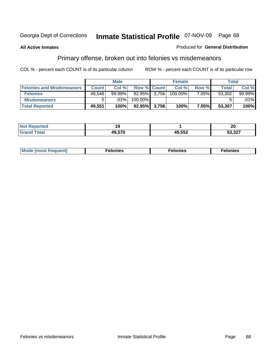### **All Active Inmates**

### Produced for **General Distribution**

## Primary offense, broken out into felonies vs misdemeanors

|                                  |              | <b>Male</b> |                    |       | <b>Female</b> |       |              | Total  |
|----------------------------------|--------------|-------------|--------------------|-------|---------------|-------|--------------|--------|
| <b>Felonies and Misdemeanors</b> | <b>Count</b> | Col%        | <b>Row % Count</b> |       | Col%          | Row % | <b>Total</b> | Col %  |
| <b>Felonies</b>                  | 49.546       | $99.99\%$   | 92.95%             | 3.756 | 100.00%       | 7.05% | 53,302       | 99.99% |
| <b>Misdemeanors</b>              | 5            | $.01\%$     | 100.00%            |       |               |       |              | .01%   |
| <b>Total Reported</b>            | 49,551       | 100%        | 92.95%             | 3.756 | 100%          | 7.05% | 53,307       | 100%   |

| <b>Not</b><br>*ted:<br>$\sim$ |      |        | ົ<br>ZU                           |
|-------------------------------|------|--------|-----------------------------------|
| Gran                          | ^~~~ | 49,552 | $F^{\alpha}$ $22$<br>ו∠כ.ככ<br>__ |

| M | . | . | . |
|---|---|---|---|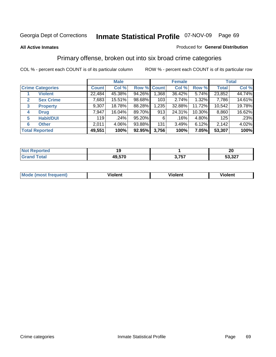### **All Active Inmates**

### Produced for **General Distribution**

## Primary offense, broken out into six broad crime categories

|                                  |              | <b>Male</b> |             |       | <b>Female</b> |           |              | <b>Total</b> |  |
|----------------------------------|--------------|-------------|-------------|-------|---------------|-----------|--------------|--------------|--|
| <b>Crime Categories</b>          | <b>Count</b> | Col %       | Row % Count |       | Col %         | Row %     | <b>Total</b> | Col %        |  |
| <b>Violent</b>                   | 22,484       | 45.38%      | 94.26%      | 1,368 | 36.42%        | 5.74%     | 23,852       | 44.74%       |  |
| <b>Sex Crime</b><br>$\mathbf{2}$ | 7,683        | 15.51%      | 98.68%      | 103   | 2.74%         | 1.32%     | 7,786        | 14.61%       |  |
| $\mathbf{3}$<br><b>Property</b>  | 9,307        | 18.78%      | 88.28%      | 1,235 | 32.88%        | 11.72%    | 10,542       | 19.78%       |  |
| <b>Drug</b><br>4                 | 7,947        | 16.04%      | 89.70%      | 913   | 24.31%        | $10.30\%$ | 8,860        | 16.62%       |  |
| <b>Habit/DUI</b><br>5            | 119          | $.24\%$     | 95.20%      | 6     | .16%          | 4.80%     | 125          | .23%         |  |
| <b>Other</b><br>6                | 2,011        | 4.06%       | 93.88%      | 131   | 3.49%         | 6.12%     | 2,142        | 4.02%        |  |
| <b>Total Reported</b>            | 49,551       | 100%        | 92.95%      | 3,756 | 100%          | 7.05%     | 53,307       | 100%         |  |

| orted<br>NG |        |                 | ה ה<br>ZU                       |
|-------------|--------|-----------------|---------------------------------|
|             | 49,570 | 2 757<br>ו טווי | $F^{\alpha}$ $\Omega$<br>ו∡נ,ככ |

| <b>Mo</b><br>'uent) | .<br>วlent | $- -$<br>Violent | --<br>Violent |
|---------------------|------------|------------------|---------------|
|                     |            |                  |               |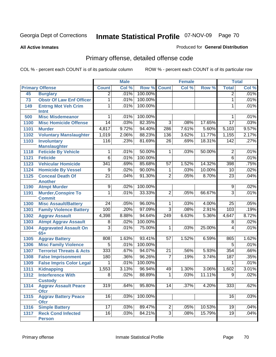### **All Active Inmates**

### Produced for **General Distribution**

## Primary offense, detailed offense code

|      |                                                   | <b>Male</b>      |       | <b>Female</b> |                 |         | <b>Total</b> |                 |       |
|------|---------------------------------------------------|------------------|-------|---------------|-----------------|---------|--------------|-----------------|-------|
|      | <b>Primary Offense</b>                            | <b>Count</b>     | Col % | Row %         | <b>Count</b>    | Col %   | Row %        | <b>Total</b>    | Col % |
| 45   | <b>Burglary</b>                                   | $\overline{2}$   | .01%  | 100.00%       |                 |         |              | $\overline{2}$  | .01%  |
| 73   | <b>Obstr Of Law Enf Officer</b>                   | 1                | .01%  | 100.00%       |                 |         |              | 1               | .01%  |
| 149  | <b>Entrng Mot Veh Crim</b>                        | 1                | .01%  | 100.00%       |                 |         |              | 1               | .01%  |
|      | Intnt                                             |                  |       |               |                 |         |              |                 |       |
| 500  | <b>Misc Misdemeanor</b>                           | 1                | .01%  | 100.00%       |                 |         |              | 1               | .01%  |
| 1100 | <b>Misc Homicide Offense</b>                      | $\overline{14}$  | .03%  | 82.35%        | $\overline{3}$  | .08%    | 17.65%       | $\overline{17}$ | .03%  |
| 1101 | <b>Murder</b>                                     | 4,817            | 9.72% | 94.40%        | 286             | 7.61%   | 5.60%        | 5,103           | 9.57% |
| 1102 | <b>Voluntary Manslaughter</b>                     | 1,019            | 2.06% | 88.23%        | 136             | 3.62%   | 11.77%       | 1,155           | 2.17% |
| 1103 | <b>Involuntary</b>                                | 116              | .23%  | 81.69%        | $\overline{26}$ | .69%    | 18.31%       | 142             | .27%  |
|      | <b>Manslaughter</b>                               |                  |       |               |                 |         |              |                 |       |
| 1118 | <b>Feticide By Vehicle</b>                        | 1                | .01%  | 50.00%        | $\mathbf 1$     | .03%    | 50.00%       | $\overline{2}$  | .01%  |
| 1121 | <b>Feticide</b>                                   | $\overline{6}$   | .01%  | 100.00%       |                 |         |              | $\overline{6}$  | .01%  |
| 1123 | <b>Vehicular Homicide</b>                         | 341              | .69%  | 85.68%        | 57              | 1.52%   | 14.32%       | 398             | .75%  |
| 1124 | <b>Homicide By Vessel</b>                         | $\overline{9}$   | .02%  | 90.00%        | 1               | .03%    | 10.00%       | 10              | .02%  |
| 1125 | <b>Conceal Death Of</b>                           | $\overline{21}$  | .04%  | 91.30%        | $\overline{2}$  | .05%    | 8.70%        | $\overline{23}$ | .04%  |
| 1190 | <b>Another</b>                                    | $\overline{9}$   | .02%  | 100.00%       |                 |         |              | $\overline{9}$  | .02%  |
|      | <b>Atmpt Murder</b><br><b>Murder, Conspire To</b> | $\overline{1}$   | .01%  | 33.33%        | $\overline{2}$  |         |              | $\overline{3}$  | .01%  |
| 1191 | <b>Commit</b>                                     |                  |       |               |                 | .05%    | 66.67%       |                 |       |
| 1300 | <b>Misc Assault/Battery</b>                       | $\overline{24}$  | .05%  | 96.00%        | 1               | .03%    | 4.00%        | 25              | .05%  |
| 1301 | <b>Family Violence Battery</b>                    | 100              | .20%  | 97.09%        | $\overline{3}$  | .08%    | 2.91%        | 103             | .19%  |
| 1302 | <b>Aggrav Assault</b>                             | 4,398            | 8.88% | 94.64%        | 249             | 6.63%   | 5.36%        | 4,647           | 8.72% |
| 1303 | <b>Atmpt Aggrav Assault</b>                       | 8                | .02%  | 100.00%       |                 |         |              | 8               | .02%  |
| 1304 | <b>Aggravated Assault On</b>                      | $\overline{3}$   | .01%  | 75.00%        | 1               | .03%    | 25.00%       | 4               | .01%  |
|      | $65+$                                             |                  |       |               |                 |         |              |                 |       |
| 1305 | <b>Aggrav Battery</b>                             | 808              | 1.63% | 93.41%        | 57              | 1.52%   | 6.59%        | 865             | 1.62% |
| 1306 | <b>Misc Family Violence</b>                       | $\overline{5}$   | .01%  | 100.00%       |                 |         |              | $\overline{5}$  | .01%  |
| 1307 | <b>Terrorist Threats &amp; Acts</b>               | 333              | .67%  | 94.07%        | $\overline{21}$ | .56%    | 5.93%        | 354             | .66%  |
| 1308 | <b>False Imprisonment</b>                         | 180              | .36%  | 96.26%        | 7               | .19%    | 3.74%        | 187             | .35%  |
| 1309 | <b>False Impris Color Legal</b>                   | 1                | .01%  | 100.00%       |                 |         |              | 1               | .01%  |
| 1311 | <b>Kidnapping</b>                                 | 1,553            | 3.13% | 96.94%        | 49              | 1.30%   | 3.06%        | 1,602           | 3.01% |
| 1312 | <b>Interference With</b>                          | 8                | .02%  | 88.89%        | $\mathbf{1}$    | .03%    | 11.11%       | $\overline{9}$  | .02%  |
|      | <b>Custody</b>                                    |                  |       |               |                 |         |              |                 |       |
| 1314 | <b>Aggrav Assault Peace</b>                       | $\overline{319}$ | .64%  | 95.80%        | 14              | $.37\%$ | 4.20%        | 333             | .62%  |
|      | <b>Ofcr</b>                                       |                  |       |               |                 |         |              |                 |       |
| 1315 | <b>Aggrav Battery Peace</b><br><b>Ofcr</b>        | 16               | .03%  | 100.00%       |                 |         |              | 16              | .03%  |
| 1316 | <b>Simple Battery</b>                             | $\overline{17}$  | .03%  | 89.47%        | 2               | .05%    | 10.53%       | 19              | .04%  |
| 1317 | <b>Reck Cond Infected</b>                         | 16               | .03%  | 84.21%        | $\overline{3}$  | .08%    | 15.79%       | 19              | .04%  |
|      | <b>Person</b>                                     |                  |       |               |                 |         |              |                 |       |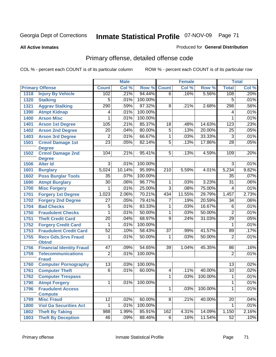**All Active Inmates**

### Produced for **General Distribution**

## Primary offense, detailed offense code

|      |                                             |                 | <b>Male</b> |         |                     | <b>Female</b> |         |                 | <b>Total</b> |
|------|---------------------------------------------|-----------------|-------------|---------|---------------------|---------------|---------|-----------------|--------------|
|      | <b>Primary Offense</b>                      | <b>Count</b>    | Col %       | Row %   | <b>Count</b>        | Col %         | Row %   | <b>Total</b>    | Col %        |
| 1318 | <b>Injury By Vehicle</b>                    | 102             | .21%        | 94.44%  | $\overline{6}$      | .16%          | 5.56%   | 108             | .20%         |
| 1320 | <b>Stalking</b>                             | $\overline{5}$  | .01%        | 100.00% |                     |               |         | 5               | .01%         |
| 1321 | <b>Aggrav Stalking</b>                      | 290             | .59%        | 97.32%  | $\overline{8}$      | .21%          | 2.68%   | 298             | .56%         |
| 1390 | <b>Atmpt Kidnap</b>                         | 4               | .01%        | 100.00% |                     |               |         | 4               | .01%         |
| 1400 | <b>Arson Misc</b>                           | 1               | .01%        | 100.00% |                     |               |         | 1               | .01%         |
| 1401 | <b>Arson 1st Degree</b>                     | 105             | .21%        | 85.37%  | $\overline{18}$     | .48%          | 14.63%  | 123             | .23%         |
| 1402 | <b>Arson 2nd Degree</b>                     | $\overline{20}$ | .04%        | 80.00%  | $\overline{5}$      | .13%          | 20.00%  | $\overline{25}$ | .05%         |
| 1403 | <b>Arson 3rd Degree</b>                     | $\overline{2}$  | .01%        | 66.67%  | 1                   | .03%          | 33.33%  | $\overline{3}$  | .01%         |
| 1501 | <b>Crmnl Damage 1st</b><br><b>Degree</b>    | $\overline{23}$ | .05%        | 82.14%  | $\overline{5}$      | .13%          | 17.86%  | $\overline{28}$ | .05%         |
| 1502 | <b>Crmnl Damage 2nd</b>                     | 104             | .21%        | 95.41%  | 5                   | .13%          | 4.59%   | 109             | .20%         |
|      | <b>Degree</b>                               |                 |             |         |                     |               |         |                 |              |
| 1506 | <b>Alter Id</b>                             | $\overline{3}$  | .01%        | 100.00% |                     |               |         | $\overline{3}$  | .01%         |
| 1601 | <b>Burglary</b>                             | 5,024           | 10.14%      | 95.99%  | $\overline{210}$    | 5.59%         | 4.01%   | 5,234           | 9.82%        |
| 1602 | <b>Poss Burglar Tools</b>                   | $\overline{35}$ | .07%        | 100.00% |                     |               |         | $\overline{35}$ | .07%         |
| 1690 | <b>Atmpt Burglary</b>                       | $\overline{30}$ | .06%        | 96.77%  | 1                   | .03%          | 3.23%   | $\overline{31}$ | .06%         |
| 1700 | <b>Misc Forgery</b>                         | 1               | .01%        | 25.00%  | $\overline{3}$      | .08%          | 75.00%  | $\overline{4}$  | .01%         |
| 1701 | <b>Forgery 1st Degree</b>                   | 1,023           | 2.06%       | 70.21%  | 434                 | 11.55%        | 29.79%  | 1,457           | 2.73%        |
| 1702 | <b>Forgery 2nd Degree</b>                   | $\overline{27}$ | .05%        | 79.41%  | 7                   | .19%          | 20.59%  | 34              | .06%         |
| 1704 | <b>Bad Checks</b>                           | 5               | .01%        | 83.33%  | 1                   | .03%          | 16.67%  | 6               | .01%         |
| 1750 | <b>Fraudulent Checks</b>                    | 1               | .01%        | 50.00%  | $\overline{1}$      | .03%          | 50.00%  | $\overline{2}$  | .01%         |
| 1751 | <b>Theft Credit Card</b>                    | $\overline{20}$ | .04%        | 68.97%  | $\overline{9}$      | .24%          | 31.03%  | $\overline{29}$ | .05%         |
| 1752 | <b>Forgery Credit Card</b>                  | 1               | .01%        | 100.00% |                     |               |         | 1               | .01%         |
| 1753 | <b>Fraudulent Credit Card</b>               | 52              | .10%        | 58.43%  | $\overline{37}$     | .99%          | 41.57%  | 89              | .17%         |
| 1755 | <b>Recv Gds, Srvs Fraud</b><br><b>Obtnd</b> | $\overline{1}$  | .01%        | 50.00%  | 1                   | .03%          | 50.00%  | $\overline{2}$  | .01%         |
| 1756 | <b>Financial Identity Fraud</b>             | 47              | .09%        | 54.65%  | $\overline{39}$     | 1.04%         | 45.35%  | 86              | .16%         |
| 1759 | <b>Telecommunications</b><br><b>Fraud</b>   | $\overline{2}$  | .01%        | 100.00% |                     |               |         | $\overline{2}$  | .01%         |
| 1760 | <b>Computer Pornography</b>                 | $\overline{13}$ | .03%        | 100.00% |                     |               |         | $\overline{13}$ | .02%         |
| 1761 | <b>Computer Theft</b>                       | $\overline{6}$  | .01%        | 60.00%  | 4                   | .11%          | 40.00%  | 10              | .02%         |
| 1762 | <b>Computer Trespass</b>                    |                 |             |         | $\overline{1}$      | .03%          | 100.00% | 1               | .01%         |
| 1790 | <b>Atmpt Forgery</b>                        | $\mathbf 1$     | .01%        | 100.00% |                     |               |         | $\mathbf{1}$    | .01%         |
| 1796 | <b>Fraudulent Access</b><br><b>Compute</b>  |                 |             |         | $\overline{1}$      | .03%          | 100.00% | $\mathbf{1}$    | .01%         |
| 1799 | <b>Misc Fraud</b>                           | $\overline{12}$ | .02%        | 60.00%  | $\overline{\infty}$ | .21%          | 40.00%  | $\overline{20}$ | .04%         |
| 1800 | <b>Viol Ga Securities Act</b>               | 1               | .01%        | 100.00% |                     |               |         | 1               | .01%         |
| 1802 | <b>Theft By Taking</b>                      | 988             | 1.99%       | 85.91%  | 162                 | 4.31%         | 14.09%  | 1,150           | 2.16%        |
| 1803 | <b>Theft By Deception</b>                   | 46              | .09%        | 88.46%  | 6                   | .16%          | 11.54%  | 52              | .10%         |
|      |                                             |                 |             |         |                     |               |         |                 |              |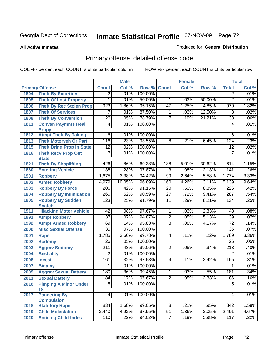**All Active Inmates**

### Produced for **General Distribution**

## Primary offense, detailed offense code

|      |                                            |                  | <b>Male</b> |         |                     | <b>Female</b> |        |                  | <b>Total</b> |
|------|--------------------------------------------|------------------|-------------|---------|---------------------|---------------|--------|------------------|--------------|
|      | <b>Primary Offense</b>                     | <b>Count</b>     | Col %       | Row %   | <b>Count</b>        | Col %         | Row %  | <b>Total</b>     | Col %        |
| 1804 | <b>Theft By Extortion</b>                  | 2                | .01%        | 100.00% |                     |               |        | 2                | .01%         |
| 1805 | <b>Theft Of Lost Property</b>              | 1                | .01%        | 50.00%  | 1                   | .03%          | 50.00% | $\overline{2}$   | .01%         |
| 1806 | <b>Theft By Rec Stolen Prop</b>            | 923              | 1.86%       | 95.15%  | $\overline{47}$     | 1.25%         | 4.85%  | 970              | 1.82%        |
| 1807 | <b>Theft Of Services</b>                   | 7                | .01%        | 87.50%  | 1                   | .03%          | 12.50% | 8                | .02%         |
| 1808 | <b>Theft By Conversion</b>                 | $\overline{26}$  | .05%        | 78.79%  | 7                   | .19%          | 21.21% | $\overline{33}$  | .06%         |
| 1811 | <b>Convsn Paymnts Real</b>                 | 4                | .01%        | 100.00% |                     |               |        | 4                | .01%         |
|      | <b>Propy</b>                               |                  |             |         |                     |               |        |                  |              |
| 1812 | <b>Atmpt Theft By Taking</b>               | $\overline{6}$   | .01%        | 100.00% |                     |               |        | 6                | .01%         |
| 1813 | <b>Theft Motorveh Or Part</b>              | 116              | .23%        | 93.55%  | $\overline{8}$      | .21%          | 6.45%  | 124              | .23%         |
| 1815 | <b>Theft Bring Prop In State</b>           | $\overline{12}$  | .02%        | 100.00% |                     |               |        | $\overline{12}$  | .02%         |
| 1816 | <b>Theft Recv Prop Out</b><br><b>State</b> | 7                | .01%        | 100.00% |                     |               |        | $\overline{7}$   | .01%         |
| 1821 | <b>Theft By Shoplifting</b>                | 426              | .86%        | 69.38%  | 188                 | 5.01%         | 30.62% | 614              | 1.15%        |
| 1880 | <b>Entering Vehicle</b>                    | 138              | .28%        | 97.87%  | $\overline{3}$      | .08%          | 2.13%  | 141              | .26%         |
| 1901 | <b>Robbery</b>                             | 1,675            | 3.38%       | 94.42%  | 99                  | 2.64%         | 5.58%  | 1,774            | 3.33%        |
| 1902 | <b>Armed Robbery</b>                       | 4,979            | 10.05%      | 96.89%  | 160                 | 4.26%         | 3.11%  | 5,139            | 9.64%        |
| 1903 | <b>Robbery By Force</b>                    | $\overline{206}$ | .42%        | 91.15%  | $\overline{20}$     | .53%          | 8.85%  | $\overline{226}$ | .42%         |
| 1904 | <b>Robbery By Intimidation</b>             | 260              | .52%        | 90.59%  | $\overline{27}$     | .72%          | 9.41%  | 287              | .54%         |
| 1905 | <b>Robbery By Sudden</b>                   | 123              | .25%        | 91.79%  | $\overline{11}$     | .29%          | 8.21%  | 134              | .25%         |
|      | <b>Snatch</b>                              |                  |             |         |                     |               |        |                  |              |
| 1911 | <b>Hijacking Motor Vehicle</b>             | $\overline{42}$  | .08%        | 97.67%  | 1                   | .03%          | 2.33%  | $\overline{43}$  | .08%         |
| 1991 | <b>Atmpt Robbery</b>                       | $\overline{37}$  | .07%        | 94.87%  | $\overline{2}$      | .05%          | 5.13%  | $\overline{39}$  | .07%         |
| 1992 | <b>Atmpt Armed Robbery</b>                 | 69               | .14%        | 95.83%  | $\overline{3}$      | .08%          | 4.17%  | $\overline{72}$  | .14%         |
| 2000 | <b>Misc Sexual Offense</b>                 | $\overline{35}$  | .07%        | 100.00% |                     |               |        | $\overline{35}$  | .07%         |
| 2001 | <b>Rape</b>                                | 1,785            | 3.60%       | 99.78%  | $\overline{4}$      | .11%          | .22%   | 1,789            | 3.36%        |
| 2002 | <b>Sodomy</b>                              | $\overline{26}$  | .05%        | 100.00% |                     |               |        | 26               | .05%         |
| 2003 | <b>Aggrav Sodomy</b>                       | $\overline{211}$ | .43%        | 99.06%  | $\overline{2}$      | .05%          | .94%   | $\overline{213}$ | .40%         |
| 2004 | <b>Bestiality</b>                          | 2                | .01%        | 100.00% |                     |               |        | $\overline{2}$   | .01%         |
| 2006 | <b>Incest</b>                              | 161              | .32%        | 97.58%  | $\overline{4}$      | .11%          | 2.42%  | 165              | .31%         |
| 2007 | <b>Bigamy</b>                              | 1                | .01%        | 100.00% |                     |               |        | 1                | .01%         |
| 2009 | <b>Aggrav Sexual Battery</b>               | 180              | .36%        | 99.45%  | 1                   | .03%          | .55%   | 181              | .34%         |
| 2011 | <b>Sexual Battery</b>                      | 84               | .17%        | 97.67%  | $\overline{2}$      | .05%          | 2.33%  | 86               | .16%         |
| 2016 | <b>Pimping A Minor Under</b><br>18         | $\overline{5}$   | .01%        | 100.00% |                     |               |        | $\overline{5}$   | .01%         |
| 2017 | <b>Pandering By</b><br><b>Compulsion</b>   | $\overline{4}$   | .01%        | 100.00% |                     |               |        | $\overline{4}$   | .01%         |
| 2018 | <b>Statutory Rape</b>                      | 834              | 1.68%       | 99.05%  | $\overline{\infty}$ | .21%          | .95%   | 842              | 1.58%        |
| 2019 | <b>Child Molestation</b>                   | 2,440            | 4.92%       | 97.95%  | $\overline{51}$     | 1.36%         | 2.05%  | 2,491            | 4.67%        |
| 2020 | <b>Enticing Child-Indec</b>                | 110              | .22%        | 94.02%  | $\overline{7}$      | .19%          | 5.98%  | 117              | .22%         |
|      |                                            |                  |             |         |                     |               |        |                  |              |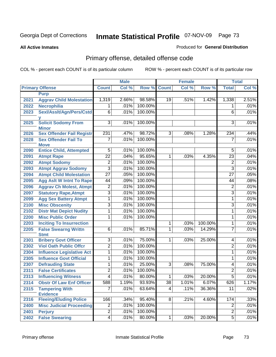#### **All Active Inmates**

#### Produced for **General Distribution**

# Primary offense, detailed offense code

|      |                                                  | <b>Male</b>     |       | <b>Female</b> |                |       | <b>Total</b> |                 |       |
|------|--------------------------------------------------|-----------------|-------|---------------|----------------|-------|--------------|-----------------|-------|
|      | <b>Primary Offense</b>                           | <b>Count</b>    | Col % | Row %         | <b>Count</b>   | Col % | Row %        | <b>Total</b>    | Col % |
|      | <b>Purp</b>                                      |                 |       |               |                |       |              |                 |       |
| 2021 | <b>Aggrav Child Molestation</b>                  | 1,319           | 2.66% | 98.58%        | 19             | .51%  | 1.42%        | 1,338           | 2.51% |
| 2022 | <b>Necrophilia</b>                               | 1               | .01%  | 100.00%       |                |       |              | 1               | .01%  |
| 2023 | Sexl/AssIt/Agn/Pers/Cstd                         | $\overline{6}$  | .01%  | 100.00%       |                |       |              | $\overline{6}$  | .01%  |
|      | v                                                |                 |       |               |                |       |              |                 |       |
| 2025 | <b>Solicit Sodomy From</b>                       | $\overline{3}$  | .01%  | 100.00%       |                |       |              | 3               | .01%  |
|      | <b>Minor</b><br><b>Sex Offender Fail Registr</b> | 231             | .47%  | 98.72%        | $\overline{3}$ |       | 1.28%        |                 | .44%  |
| 2026 |                                                  |                 |       | 100.00%       |                | .08%  |              | 234             | .01%  |
| 2028 | <b>Sex Offender Fail To</b><br><b>Move</b>       | $\overline{7}$  | .01%  |               |                |       |              | $\overline{7}$  |       |
| 2090 | <b>Entice Child, Attempted</b>                   | $\overline{5}$  | .01%  | 100.00%       |                |       |              | $\overline{5}$  | .01%  |
| 2091 | <b>Atmpt Rape</b>                                | $\overline{22}$ | .04%  | 95.65%        | $\mathbf{1}$   | .03%  | 4.35%        | $\overline{23}$ | .04%  |
| 2092 | <b>Atmpt Sodomy</b>                              | $\overline{2}$  | .01%  | 100.00%       |                |       |              | $\overline{2}$  | .01%  |
| 2093 | <b>Atmpt Aggrav Sodomy</b>                       | $\overline{3}$  | .01%  | 100.00%       |                |       |              | $\overline{3}$  | .01%  |
| 2094 | <b>Atmpt Child Molestation</b>                   | $\overline{27}$ | .05%  | 100.00%       |                |       |              | $\overline{27}$ | .05%  |
| 2095 | <b>Agg Aslt W Intnt To Rape</b>                  | 44              | .09%  | 100.00%       |                |       |              | 44              | .08%  |
| 2096 | <b>Aggrav Ch Molest, Atmpt</b>                   | $\overline{2}$  | .01%  | 100.00%       |                |       |              | $\overline{2}$  | .01%  |
| 2097 | <b>Statutory Rape, Atmpt</b>                     | $\overline{3}$  | .01%  | 100.00%       |                |       |              | $\overline{3}$  | .01%  |
| 2099 | <b>Agg Sex Battery Atmpt</b>                     | $\overline{1}$  | .01%  | 100.00%       |                |       |              | 1               | .01%  |
| 2100 | <b>Misc Obscenity</b>                            | $\overline{3}$  | .01%  | 100.00%       |                |       |              | $\overline{3}$  | .01%  |
| 2102 | <b>Distr Mat Depict Nudity</b>                   | $\overline{1}$  | .01%  | 100.00%       |                |       |              | $\overline{1}$  | .01%  |
| 2200 | <b>Misc Public Order</b>                         | 1               | .01%  | 100.00%       |                |       |              | 1               | .01%  |
| 2203 | <b>Inciting To Insurrection</b>                  |                 |       |               | 1              | .03%  | 100.00%      | 1               | .01%  |
| 2205 | <b>False Swearng Writtn</b>                      | $\overline{6}$  | .01%  | 85.71%        | $\mathbf{1}$   | .03%  | 14.29%       | 7               | .01%  |
|      | <b>Stmt</b>                                      |                 |       |               |                |       |              |                 |       |
| 2301 | <b>Bribery Govt Officer</b>                      | $\overline{3}$  | .01%  | 75.00%        | $\mathbf{1}$   | .03%  | 25.00%       | 4               | .01%  |
| 2302 | <b>Viol Oath Public Offcr</b>                    | $\overline{2}$  | .01%  | 100.00%       |                |       |              | $\overline{2}$  | .01%  |
| 2304 | <b>Influence Legislative Act</b>                 | 1               | .01%  | 100.00%       |                |       |              | $\mathbf 1$     | .01%  |
| 2305 | <b>Influence Govt Official</b>                   | 1               | .01%  | 100.00%       |                |       |              | 1               | .01%  |
| 2307 | <b>Defrauding State</b>                          | 1               | .01%  | 25.00%        | 3              | .08%  | 75.00%       | 4               | .01%  |
| 2311 | <b>False Certificates</b>                        | $\overline{2}$  | .01%  | 100.00%       |                |       |              | $\overline{2}$  | .01%  |
| 2313 | <b>Influencing Witness</b>                       | $\overline{4}$  | .01%  | 80.00%        | $\mathbf{1}$   | .03%  | 20.00%       | $\overline{5}$  | .01%  |
| 2314 | <b>Obstr Of Law Enf Officer</b>                  | 588             | 1.19% | 93.93%        | 38             | 1.01% | 6.07%        | 626             | 1.17% |
| 2315 | <b>Tampering With</b>                            | 7               | .01%  | 63.64%        | 4              | .11%  | 36.36%       | $\overline{11}$ | .02%  |
|      | <b>Evidence</b>                                  |                 |       |               |                |       |              |                 |       |
| 2316 | <b>Fleeing/Eluding Police</b>                    | 166             | .34%  | 95.40%        | 8              | .21%  | 4.60%        | 174             | .33%  |
| 2400 | <b>Misc Judicial Proceeding</b>                  | $\overline{2}$  | .01%  | 100.00%       |                |       |              | $\overline{2}$  | .01%  |
| 2401 | <b>Perjury</b>                                   | $\overline{2}$  | .01%  | 100.00%       |                |       |              | $\overline{2}$  | .01%  |
| 2402 | <b>False Swearing</b>                            | $\overline{4}$  | .01%  | 80.00%        | $\mathbf 1$    | .03%  | 20.00%       | $\overline{5}$  | .01%  |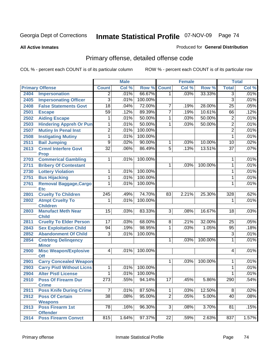**All Active Inmates**

#### Produced for **General Distribution**

# Primary offense, detailed offense code

| <b>Total</b><br>Col %<br><b>Primary Offense</b><br>Col %<br>Row %<br><b>Count</b><br>Col %<br>Row %<br><b>Count</b><br>Impersonation<br>66.67%<br>33.33%<br>.01%<br>2404<br>.01%<br>.03%<br>3<br>$\overline{2}$<br>$\mathbf 1$<br>3<br>$\overline{3}$<br>.01%<br>100.00%<br>.01%<br><b>Impersonating Officer</b><br>2405<br>72.00%<br><b>False Statements Govt</b><br>$\overline{18}$<br>.04%<br>28.00%<br>.05%<br>2408<br>7<br>.19%<br>25<br>.12%<br>89.39%<br>$\overline{7}$<br>10.61%<br>.12%<br>$\overline{59}$<br>.19%<br>2501<br>66<br><b>Escape</b><br><b>Aiding Escape</b><br>.01%<br>50.00%<br>.03%<br>50.00%<br>$\overline{2}$<br>.01%<br>2502<br>1<br>1<br>50.00%<br>50.00%<br>$\overline{2}$<br><b>Hindering Appreh Or Pun</b><br>.01%<br>.03%<br>.01%<br>2503<br>1<br>1<br>$\overline{2}$<br>100.00%<br>.01%<br><b>Mutiny In Penal Inst</b><br>.01%<br>$\overline{2}$<br>2507<br>100.00%<br>.01%<br><b>Instigating Mutiny</b><br>1<br>.01%<br>2508<br>1<br>$\overline{9}$<br>90.00%<br><b>Bail Jumping</b><br>.02%<br>.03%<br>10.00%<br>.02%<br>2511<br>1<br>10<br>$\overline{32}$<br>$\overline{5}$<br><b>Crmnl Interfere Govt</b><br>86.49%<br>.13%<br>13.51%<br>$\overline{37}$<br>.07%<br>.06%<br>2613<br><b>Prop</b><br><b>Commerical Gambling</b><br>100.00%<br>.01%<br>1<br>.01%<br>2703<br>1<br>.01%<br><b>Bribery Of Contestant</b><br>.03%<br>100.00%<br>2711<br>1<br>1<br><b>Lottery Violation</b><br>.01%<br>100.00%<br>.01%<br>2730<br>1<br>1<br>100.00%<br>.01%<br><b>Bus Hijacking</b><br>1<br>.01%<br>2751<br>1<br>.01%<br>100.00%<br>.01%<br>2761<br><b>Removal Baggage, Cargo</b><br>1<br>1<br><b>Etc</b><br><b>Cruelty To Children</b><br>$\overline{245}$<br>74.70%<br>328<br>.62%<br>2801<br>.49%<br>83<br>2.21%<br>25.30%<br>.01%<br><b>Atmpt Cruelty To</b><br>.01%<br>100.00%<br>1<br>2802<br>1<br><b>Children</b><br>$\overline{15}$<br>83.33%<br>.03%<br><b>Manufact Meth Near</b><br>.03%<br>$\overline{3}$<br>.08%<br>16.67%<br>$\overline{18}$<br>2803<br><b>Child</b><br><b>Cruelty To Elder Person</b><br>.05%<br>17<br>.03%<br>68.00%<br>.21%<br>32.00%<br>25<br>2811<br>8<br><b>Sex Exploitation Child</b><br>98.95%<br>.19%<br>1<br>.03%<br>1.05%<br>.18%<br>2843<br>94<br>95<br><b>Abandonment Of Child</b><br>.01%<br>$\overline{3}$<br>.01%<br>100.00%<br>$\overline{3}$<br>2852<br>1<br>100.00%<br>.01%<br>2854<br><b>Cntrbtng Delingency</b><br>.03%<br>1<br><b>Minor</b><br><b>Misc Weapon/Explosive</b><br>100.00%<br>.01%<br>4<br>.01%<br>2900<br>4<br><b>Off</b><br><b>Carry Concealed Weapon</b><br>100.00%<br>.01%<br>$\mathbf{1}$<br>.03%<br>2901<br>1<br><b>Carry Pistl Without Licns</b><br>100.00%<br>.01%<br>2903<br>.01%<br>1<br>1<br><b>Alter Pistl License</b><br>.01%<br>100.00%<br>.01%<br>2904<br>1<br>1<br>273<br>.55%<br>94.14%<br>.45%<br>.54%<br>2910<br>$\overline{17}$<br>5.86%<br>290<br><b>Poss Of Firearm Dur</b> |  | <b>Male</b> |  | <b>Female</b> |  | <b>Total</b> |
|-------------------------------------------------------------------------------------------------------------------------------------------------------------------------------------------------------------------------------------------------------------------------------------------------------------------------------------------------------------------------------------------------------------------------------------------------------------------------------------------------------------------------------------------------------------------------------------------------------------------------------------------------------------------------------------------------------------------------------------------------------------------------------------------------------------------------------------------------------------------------------------------------------------------------------------------------------------------------------------------------------------------------------------------------------------------------------------------------------------------------------------------------------------------------------------------------------------------------------------------------------------------------------------------------------------------------------------------------------------------------------------------------------------------------------------------------------------------------------------------------------------------------------------------------------------------------------------------------------------------------------------------------------------------------------------------------------------------------------------------------------------------------------------------------------------------------------------------------------------------------------------------------------------------------------------------------------------------------------------------------------------------------------------------------------------------------------------------------------------------------------------------------------------------------------------------------------------------------------------------------------------------------------------------------------------------------------------------------------------------------------------------------------------------------------------------------------------------------------------------------------------------------------------------------------------------------------------------------------------------------------------------------------------------------------------------------------------------------------------------------------------------------------------------------------------------------------------------------------------------------------------------------|--|-------------|--|---------------|--|--------------|
|                                                                                                                                                                                                                                                                                                                                                                                                                                                                                                                                                                                                                                                                                                                                                                                                                                                                                                                                                                                                                                                                                                                                                                                                                                                                                                                                                                                                                                                                                                                                                                                                                                                                                                                                                                                                                                                                                                                                                                                                                                                                                                                                                                                                                                                                                                                                                                                                                                                                                                                                                                                                                                                                                                                                                                                                                                                                                                 |  |             |  |               |  |              |
|                                                                                                                                                                                                                                                                                                                                                                                                                                                                                                                                                                                                                                                                                                                                                                                                                                                                                                                                                                                                                                                                                                                                                                                                                                                                                                                                                                                                                                                                                                                                                                                                                                                                                                                                                                                                                                                                                                                                                                                                                                                                                                                                                                                                                                                                                                                                                                                                                                                                                                                                                                                                                                                                                                                                                                                                                                                                                                 |  |             |  |               |  |              |
|                                                                                                                                                                                                                                                                                                                                                                                                                                                                                                                                                                                                                                                                                                                                                                                                                                                                                                                                                                                                                                                                                                                                                                                                                                                                                                                                                                                                                                                                                                                                                                                                                                                                                                                                                                                                                                                                                                                                                                                                                                                                                                                                                                                                                                                                                                                                                                                                                                                                                                                                                                                                                                                                                                                                                                                                                                                                                                 |  |             |  |               |  |              |
|                                                                                                                                                                                                                                                                                                                                                                                                                                                                                                                                                                                                                                                                                                                                                                                                                                                                                                                                                                                                                                                                                                                                                                                                                                                                                                                                                                                                                                                                                                                                                                                                                                                                                                                                                                                                                                                                                                                                                                                                                                                                                                                                                                                                                                                                                                                                                                                                                                                                                                                                                                                                                                                                                                                                                                                                                                                                                                 |  |             |  |               |  |              |
|                                                                                                                                                                                                                                                                                                                                                                                                                                                                                                                                                                                                                                                                                                                                                                                                                                                                                                                                                                                                                                                                                                                                                                                                                                                                                                                                                                                                                                                                                                                                                                                                                                                                                                                                                                                                                                                                                                                                                                                                                                                                                                                                                                                                                                                                                                                                                                                                                                                                                                                                                                                                                                                                                                                                                                                                                                                                                                 |  |             |  |               |  |              |
|                                                                                                                                                                                                                                                                                                                                                                                                                                                                                                                                                                                                                                                                                                                                                                                                                                                                                                                                                                                                                                                                                                                                                                                                                                                                                                                                                                                                                                                                                                                                                                                                                                                                                                                                                                                                                                                                                                                                                                                                                                                                                                                                                                                                                                                                                                                                                                                                                                                                                                                                                                                                                                                                                                                                                                                                                                                                                                 |  |             |  |               |  |              |
|                                                                                                                                                                                                                                                                                                                                                                                                                                                                                                                                                                                                                                                                                                                                                                                                                                                                                                                                                                                                                                                                                                                                                                                                                                                                                                                                                                                                                                                                                                                                                                                                                                                                                                                                                                                                                                                                                                                                                                                                                                                                                                                                                                                                                                                                                                                                                                                                                                                                                                                                                                                                                                                                                                                                                                                                                                                                                                 |  |             |  |               |  |              |
|                                                                                                                                                                                                                                                                                                                                                                                                                                                                                                                                                                                                                                                                                                                                                                                                                                                                                                                                                                                                                                                                                                                                                                                                                                                                                                                                                                                                                                                                                                                                                                                                                                                                                                                                                                                                                                                                                                                                                                                                                                                                                                                                                                                                                                                                                                                                                                                                                                                                                                                                                                                                                                                                                                                                                                                                                                                                                                 |  |             |  |               |  |              |
|                                                                                                                                                                                                                                                                                                                                                                                                                                                                                                                                                                                                                                                                                                                                                                                                                                                                                                                                                                                                                                                                                                                                                                                                                                                                                                                                                                                                                                                                                                                                                                                                                                                                                                                                                                                                                                                                                                                                                                                                                                                                                                                                                                                                                                                                                                                                                                                                                                                                                                                                                                                                                                                                                                                                                                                                                                                                                                 |  |             |  |               |  |              |
|                                                                                                                                                                                                                                                                                                                                                                                                                                                                                                                                                                                                                                                                                                                                                                                                                                                                                                                                                                                                                                                                                                                                                                                                                                                                                                                                                                                                                                                                                                                                                                                                                                                                                                                                                                                                                                                                                                                                                                                                                                                                                                                                                                                                                                                                                                                                                                                                                                                                                                                                                                                                                                                                                                                                                                                                                                                                                                 |  |             |  |               |  |              |
|                                                                                                                                                                                                                                                                                                                                                                                                                                                                                                                                                                                                                                                                                                                                                                                                                                                                                                                                                                                                                                                                                                                                                                                                                                                                                                                                                                                                                                                                                                                                                                                                                                                                                                                                                                                                                                                                                                                                                                                                                                                                                                                                                                                                                                                                                                                                                                                                                                                                                                                                                                                                                                                                                                                                                                                                                                                                                                 |  |             |  |               |  |              |
|                                                                                                                                                                                                                                                                                                                                                                                                                                                                                                                                                                                                                                                                                                                                                                                                                                                                                                                                                                                                                                                                                                                                                                                                                                                                                                                                                                                                                                                                                                                                                                                                                                                                                                                                                                                                                                                                                                                                                                                                                                                                                                                                                                                                                                                                                                                                                                                                                                                                                                                                                                                                                                                                                                                                                                                                                                                                                                 |  |             |  |               |  |              |
|                                                                                                                                                                                                                                                                                                                                                                                                                                                                                                                                                                                                                                                                                                                                                                                                                                                                                                                                                                                                                                                                                                                                                                                                                                                                                                                                                                                                                                                                                                                                                                                                                                                                                                                                                                                                                                                                                                                                                                                                                                                                                                                                                                                                                                                                                                                                                                                                                                                                                                                                                                                                                                                                                                                                                                                                                                                                                                 |  |             |  |               |  |              |
|                                                                                                                                                                                                                                                                                                                                                                                                                                                                                                                                                                                                                                                                                                                                                                                                                                                                                                                                                                                                                                                                                                                                                                                                                                                                                                                                                                                                                                                                                                                                                                                                                                                                                                                                                                                                                                                                                                                                                                                                                                                                                                                                                                                                                                                                                                                                                                                                                                                                                                                                                                                                                                                                                                                                                                                                                                                                                                 |  |             |  |               |  |              |
|                                                                                                                                                                                                                                                                                                                                                                                                                                                                                                                                                                                                                                                                                                                                                                                                                                                                                                                                                                                                                                                                                                                                                                                                                                                                                                                                                                                                                                                                                                                                                                                                                                                                                                                                                                                                                                                                                                                                                                                                                                                                                                                                                                                                                                                                                                                                                                                                                                                                                                                                                                                                                                                                                                                                                                                                                                                                                                 |  |             |  |               |  |              |
|                                                                                                                                                                                                                                                                                                                                                                                                                                                                                                                                                                                                                                                                                                                                                                                                                                                                                                                                                                                                                                                                                                                                                                                                                                                                                                                                                                                                                                                                                                                                                                                                                                                                                                                                                                                                                                                                                                                                                                                                                                                                                                                                                                                                                                                                                                                                                                                                                                                                                                                                                                                                                                                                                                                                                                                                                                                                                                 |  |             |  |               |  |              |
|                                                                                                                                                                                                                                                                                                                                                                                                                                                                                                                                                                                                                                                                                                                                                                                                                                                                                                                                                                                                                                                                                                                                                                                                                                                                                                                                                                                                                                                                                                                                                                                                                                                                                                                                                                                                                                                                                                                                                                                                                                                                                                                                                                                                                                                                                                                                                                                                                                                                                                                                                                                                                                                                                                                                                                                                                                                                                                 |  |             |  |               |  |              |
|                                                                                                                                                                                                                                                                                                                                                                                                                                                                                                                                                                                                                                                                                                                                                                                                                                                                                                                                                                                                                                                                                                                                                                                                                                                                                                                                                                                                                                                                                                                                                                                                                                                                                                                                                                                                                                                                                                                                                                                                                                                                                                                                                                                                                                                                                                                                                                                                                                                                                                                                                                                                                                                                                                                                                                                                                                                                                                 |  |             |  |               |  |              |
|                                                                                                                                                                                                                                                                                                                                                                                                                                                                                                                                                                                                                                                                                                                                                                                                                                                                                                                                                                                                                                                                                                                                                                                                                                                                                                                                                                                                                                                                                                                                                                                                                                                                                                                                                                                                                                                                                                                                                                                                                                                                                                                                                                                                                                                                                                                                                                                                                                                                                                                                                                                                                                                                                                                                                                                                                                                                                                 |  |             |  |               |  |              |
|                                                                                                                                                                                                                                                                                                                                                                                                                                                                                                                                                                                                                                                                                                                                                                                                                                                                                                                                                                                                                                                                                                                                                                                                                                                                                                                                                                                                                                                                                                                                                                                                                                                                                                                                                                                                                                                                                                                                                                                                                                                                                                                                                                                                                                                                                                                                                                                                                                                                                                                                                                                                                                                                                                                                                                                                                                                                                                 |  |             |  |               |  |              |
|                                                                                                                                                                                                                                                                                                                                                                                                                                                                                                                                                                                                                                                                                                                                                                                                                                                                                                                                                                                                                                                                                                                                                                                                                                                                                                                                                                                                                                                                                                                                                                                                                                                                                                                                                                                                                                                                                                                                                                                                                                                                                                                                                                                                                                                                                                                                                                                                                                                                                                                                                                                                                                                                                                                                                                                                                                                                                                 |  |             |  |               |  |              |
|                                                                                                                                                                                                                                                                                                                                                                                                                                                                                                                                                                                                                                                                                                                                                                                                                                                                                                                                                                                                                                                                                                                                                                                                                                                                                                                                                                                                                                                                                                                                                                                                                                                                                                                                                                                                                                                                                                                                                                                                                                                                                                                                                                                                                                                                                                                                                                                                                                                                                                                                                                                                                                                                                                                                                                                                                                                                                                 |  |             |  |               |  |              |
|                                                                                                                                                                                                                                                                                                                                                                                                                                                                                                                                                                                                                                                                                                                                                                                                                                                                                                                                                                                                                                                                                                                                                                                                                                                                                                                                                                                                                                                                                                                                                                                                                                                                                                                                                                                                                                                                                                                                                                                                                                                                                                                                                                                                                                                                                                                                                                                                                                                                                                                                                                                                                                                                                                                                                                                                                                                                                                 |  |             |  |               |  |              |
|                                                                                                                                                                                                                                                                                                                                                                                                                                                                                                                                                                                                                                                                                                                                                                                                                                                                                                                                                                                                                                                                                                                                                                                                                                                                                                                                                                                                                                                                                                                                                                                                                                                                                                                                                                                                                                                                                                                                                                                                                                                                                                                                                                                                                                                                                                                                                                                                                                                                                                                                                                                                                                                                                                                                                                                                                                                                                                 |  |             |  |               |  |              |
|                                                                                                                                                                                                                                                                                                                                                                                                                                                                                                                                                                                                                                                                                                                                                                                                                                                                                                                                                                                                                                                                                                                                                                                                                                                                                                                                                                                                                                                                                                                                                                                                                                                                                                                                                                                                                                                                                                                                                                                                                                                                                                                                                                                                                                                                                                                                                                                                                                                                                                                                                                                                                                                                                                                                                                                                                                                                                                 |  |             |  |               |  |              |
|                                                                                                                                                                                                                                                                                                                                                                                                                                                                                                                                                                                                                                                                                                                                                                                                                                                                                                                                                                                                                                                                                                                                                                                                                                                                                                                                                                                                                                                                                                                                                                                                                                                                                                                                                                                                                                                                                                                                                                                                                                                                                                                                                                                                                                                                                                                                                                                                                                                                                                                                                                                                                                                                                                                                                                                                                                                                                                 |  |             |  |               |  |              |
|                                                                                                                                                                                                                                                                                                                                                                                                                                                                                                                                                                                                                                                                                                                                                                                                                                                                                                                                                                                                                                                                                                                                                                                                                                                                                                                                                                                                                                                                                                                                                                                                                                                                                                                                                                                                                                                                                                                                                                                                                                                                                                                                                                                                                                                                                                                                                                                                                                                                                                                                                                                                                                                                                                                                                                                                                                                                                                 |  |             |  |               |  |              |
|                                                                                                                                                                                                                                                                                                                                                                                                                                                                                                                                                                                                                                                                                                                                                                                                                                                                                                                                                                                                                                                                                                                                                                                                                                                                                                                                                                                                                                                                                                                                                                                                                                                                                                                                                                                                                                                                                                                                                                                                                                                                                                                                                                                                                                                                                                                                                                                                                                                                                                                                                                                                                                                                                                                                                                                                                                                                                                 |  |             |  |               |  |              |
|                                                                                                                                                                                                                                                                                                                                                                                                                                                                                                                                                                                                                                                                                                                                                                                                                                                                                                                                                                                                                                                                                                                                                                                                                                                                                                                                                                                                                                                                                                                                                                                                                                                                                                                                                                                                                                                                                                                                                                                                                                                                                                                                                                                                                                                                                                                                                                                                                                                                                                                                                                                                                                                                                                                                                                                                                                                                                                 |  |             |  |               |  |              |
|                                                                                                                                                                                                                                                                                                                                                                                                                                                                                                                                                                                                                                                                                                                                                                                                                                                                                                                                                                                                                                                                                                                                                                                                                                                                                                                                                                                                                                                                                                                                                                                                                                                                                                                                                                                                                                                                                                                                                                                                                                                                                                                                                                                                                                                                                                                                                                                                                                                                                                                                                                                                                                                                                                                                                                                                                                                                                                 |  |             |  |               |  |              |
|                                                                                                                                                                                                                                                                                                                                                                                                                                                                                                                                                                                                                                                                                                                                                                                                                                                                                                                                                                                                                                                                                                                                                                                                                                                                                                                                                                                                                                                                                                                                                                                                                                                                                                                                                                                                                                                                                                                                                                                                                                                                                                                                                                                                                                                                                                                                                                                                                                                                                                                                                                                                                                                                                                                                                                                                                                                                                                 |  |             |  |               |  |              |
|                                                                                                                                                                                                                                                                                                                                                                                                                                                                                                                                                                                                                                                                                                                                                                                                                                                                                                                                                                                                                                                                                                                                                                                                                                                                                                                                                                                                                                                                                                                                                                                                                                                                                                                                                                                                                                                                                                                                                                                                                                                                                                                                                                                                                                                                                                                                                                                                                                                                                                                                                                                                                                                                                                                                                                                                                                                                                                 |  |             |  |               |  |              |
|                                                                                                                                                                                                                                                                                                                                                                                                                                                                                                                                                                                                                                                                                                                                                                                                                                                                                                                                                                                                                                                                                                                                                                                                                                                                                                                                                                                                                                                                                                                                                                                                                                                                                                                                                                                                                                                                                                                                                                                                                                                                                                                                                                                                                                                                                                                                                                                                                                                                                                                                                                                                                                                                                                                                                                                                                                                                                                 |  |             |  |               |  |              |
| <b>Crime</b>                                                                                                                                                                                                                                                                                                                                                                                                                                                                                                                                                                                                                                                                                                                                                                                                                                                                                                                                                                                                                                                                                                                                                                                                                                                                                                                                                                                                                                                                                                                                                                                                                                                                                                                                                                                                                                                                                                                                                                                                                                                                                                                                                                                                                                                                                                                                                                                                                                                                                                                                                                                                                                                                                                                                                                                                                                                                                    |  |             |  |               |  |              |
| .02%<br><b>Poss Knife During Crime</b><br>$\overline{7}$<br>.01%<br>87.50%<br>$\overline{1}$<br>.03%<br>12.50%<br>$\overline{8}$<br>2911                                                                                                                                                                                                                                                                                                                                                                                                                                                                                                                                                                                                                                                                                                                                                                                                                                                                                                                                                                                                                                                                                                                                                                                                                                                                                                                                                                                                                                                                                                                                                                                                                                                                                                                                                                                                                                                                                                                                                                                                                                                                                                                                                                                                                                                                                                                                                                                                                                                                                                                                                                                                                                                                                                                                                        |  |             |  |               |  |              |
| $\overline{2}$<br>38<br>95.00%<br>.08%<br>.05%<br>5.00%<br>.08%<br><b>Poss Of Certain</b><br>40<br>2912                                                                                                                                                                                                                                                                                                                                                                                                                                                                                                                                                                                                                                                                                                                                                                                                                                                                                                                                                                                                                                                                                                                                                                                                                                                                                                                                                                                                                                                                                                                                                                                                                                                                                                                                                                                                                                                                                                                                                                                                                                                                                                                                                                                                                                                                                                                                                                                                                                                                                                                                                                                                                                                                                                                                                                                         |  |             |  |               |  |              |
| <b>Weapons</b><br>78<br>$\overline{3}$<br>.15%<br>.16%<br>96.30%<br>.08%<br>3.70%<br>$\overline{81}$<br><b>Poss Firearm 1st</b><br>2913                                                                                                                                                                                                                                                                                                                                                                                                                                                                                                                                                                                                                                                                                                                                                                                                                                                                                                                                                                                                                                                                                                                                                                                                                                                                                                                                                                                                                                                                                                                                                                                                                                                                                                                                                                                                                                                                                                                                                                                                                                                                                                                                                                                                                                                                                                                                                                                                                                                                                                                                                                                                                                                                                                                                                         |  |             |  |               |  |              |
| <b>Offender</b>                                                                                                                                                                                                                                                                                                                                                                                                                                                                                                                                                                                                                                                                                                                                                                                                                                                                                                                                                                                                                                                                                                                                                                                                                                                                                                                                                                                                                                                                                                                                                                                                                                                                                                                                                                                                                                                                                                                                                                                                                                                                                                                                                                                                                                                                                                                                                                                                                                                                                                                                                                                                                                                                                                                                                                                                                                                                                 |  |             |  |               |  |              |
| 97.37%<br>1.57%<br><b>Poss Firearm Convct</b><br>815<br>1.64%<br> 22 <br>.59%<br>2.63%<br>837<br>2914                                                                                                                                                                                                                                                                                                                                                                                                                                                                                                                                                                                                                                                                                                                                                                                                                                                                                                                                                                                                                                                                                                                                                                                                                                                                                                                                                                                                                                                                                                                                                                                                                                                                                                                                                                                                                                                                                                                                                                                                                                                                                                                                                                                                                                                                                                                                                                                                                                                                                                                                                                                                                                                                                                                                                                                           |  |             |  |               |  |              |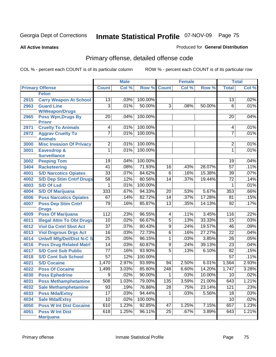#### **All Active Inmates**

#### Produced for **General Distribution**

# Primary offense, detailed offense code

|      |                                            | <b>Male</b>      |       | <b>Female</b> |                 |       | <b>Total</b> |                 |       |
|------|--------------------------------------------|------------------|-------|---------------|-----------------|-------|--------------|-----------------|-------|
|      | <b>Primary Offense</b>                     | <b>Count</b>     | Col % | Row %         | <b>Count</b>    | Col % | Row %        | <b>Total</b>    | Col % |
|      | <b>Felon</b>                               |                  |       |               |                 |       |              |                 |       |
| 2915 | <b>Carry Weapon At School</b>              | 13               | .03%  | 100.00%       |                 |       |              | 13              | .02%  |
| 2963 | <b>Guard Line</b>                          | $\overline{3}$   | .01%  | 50.00%        | $\overline{3}$  | .08%  | 50.00%       | 6               | .01%  |
|      | <b>W/Weapon/Drugs</b>                      |                  |       |               |                 |       |              |                 |       |
| 2965 | <b>Poss Wpn, Drugs By</b>                  | 20               | .04%  | 100.00%       |                 |       |              | 20              | .04%  |
| 2971 | <b>Prisnr</b><br><b>Cruelty To Animals</b> | 4                | .01%  | 100.00%       |                 |       |              | 4               | .01%  |
| 2972 | <b>Aggrav Cruelty To</b>                   | 7                | .01%  | 100.00%       |                 |       |              | $\overline{7}$  | .01%  |
|      | <b>Animals</b>                             |                  |       |               |                 |       |              |                 |       |
| 3000 | <b>Misc Invasion Of Privacy</b>            | $\overline{2}$   | .01%  | 100.00%       |                 |       |              | $\overline{2}$  | .01%  |
| 3001 | Eavesdrop &                                | 1                | .01%  | 100.00%       |                 |       |              | 1               | .01%  |
|      | <b>Surveillance</b>                        |                  |       |               |                 |       |              |                 |       |
| 3002 | <b>Peeping Tom</b>                         | 19               | .04%  | 100.00%       |                 |       |              | 19              | .04%  |
| 3404 | <b>Racketeering</b>                        | 41               | .08%  | 71.93%        | $\overline{16}$ | .43%  | 28.07%       | $\overline{57}$ | .11%  |
| 4001 | <b>S/D Narcotics Opiates</b>               | $\overline{33}$  | .07%  | 84.62%        | $\overline{6}$  | .16%  | 15.38%       | $\overline{39}$ | .07%  |
| 4002 | <b>S/D Dep Stim Cntrf Drugs</b>            | $\overline{58}$  | .12%  | 80.56%        | $\overline{14}$ | .37%  | 19.44%       | $\overline{72}$ | .14%  |
| 4003 | <b>S/D Of Lsd</b>                          | 1                | .01%  | 100.00%       |                 |       |              | 1               | .01%  |
| 4004 | <b>S/D Of Marijuana</b>                    | 333              | .67%  | 94.33%        | $\overline{20}$ | .53%  | 5.67%        | 353             | .66%  |
| 4006 | <b>Poss Narcotics Opiates</b>              | 67               | .14%  | 82.72%        | $\overline{14}$ | .37%  | 17.28%       | 81              | .15%  |
| 4007 | <b>Poss Dep Stim Cntrf</b>                 | 79               | .16%  | 85.87%        | $\overline{13}$ | .35%  | 14.13%       | 92              | .17%  |
|      | <b>Drugs</b>                               |                  |       |               |                 |       |              |                 |       |
| 4009 | <b>Poss Of Marijuana</b>                   | $\overline{112}$ | .23%  | 96.55%        | 4               | .11%  | 3.45%        | 116             | .22%  |
| 4011 | <b>Illegal Attm To Obt Drugs</b>           | $\overline{10}$  | .02%  | 66.67%        | $\overline{5}$  | .13%  | 33.33%       | $\overline{15}$ | .03%  |
| 4012 | <b>Viol Ga Cntrl Sbst Act</b>              | $\overline{37}$  | .07%  | 80.43%        | $\overline{9}$  | .24%  | 19.57%       | 46              | .09%  |
| 4013 | <b>Viol Dngrous Drgs Act</b>               | $\overline{16}$  | .03%  | 72.73%        | $\overline{6}$  | .16%  | 27.27%       | $\overline{22}$ | .04%  |
| 4014 | <b>Uniwfl Mfg/Del/Dist N-C S</b>           | $\overline{25}$  | .05%  | 96.15%        | 1               | .03%  | 3.85%        | $\overline{26}$ | .05%  |
| 4016 | <b>Poss Drug Related Matri</b>             | $\overline{14}$  | .03%  | 60.87%        | $\overline{9}$  | .24%  | 39.13%       | $\overline{23}$ | .04%  |
| 4017 | <b>S/D Cont Sub Public</b>                 | $\overline{77}$  | .16%  | 93.90%        | $\overline{5}$  | .13%  | 6.10%        | $\overline{82}$ | .15%  |
| 4018 | <b>S/D Cont Sub School</b>                 | $\overline{57}$  | .12%  | 100.00%       |                 |       |              | $\overline{57}$ | .11%  |
| 4021 | <b>S/D Cocaine</b>                         | 1,470            | 2.97% | 93.99%        | 94              | 2.50% | 6.01%        | 1,564           | 2.93% |
| 4022 | <b>Poss Of Cocaine</b>                     | 1,499            | 3.03% | 85.80%        | 248             | 6.60% | 14.20%       | 1,747           | 3.28% |
| 4030 | <b>Poss Ephedrine</b>                      | 9                | .02%  | 90.00%        | 1               | .03%  | 10.00%       | 10              | .02%  |
| 4031 | <b>Poss Methamphetamine</b>                | 508              | 1.03% | 79.00%        | 135             | 3.59% | 21.00%       | 643             | 1.21% |
| 4032 | <b>Sale Methamphetamine</b>                | 93               | .19%  | 76.86%        | 28              | .75%  | 23.14%       | 121             | .23%  |
| 4033 | <b>Poss Mda/Extsy</b>                      | $\overline{17}$  | .03%  | 94.44%        | $\mathbf{1}$    | .03%  | 5.56%        | 18              | .03%  |
| 4034 | <b>Sale Mda/Extsy</b>                      | $\overline{10}$  | .02%  | 100.00%       |                 |       |              | 10              | .02%  |
| 4050 | <b>Poss W Int Dist Cocaine</b>             | 610              | 1.23% | 92.85%        | 47              | 1.25% | 7.15%        | 657             | 1.23% |
| 4051 | <b>Poss W Int Dist</b>                     | 618              | 1.25% | 96.11%        | $\overline{25}$ | .67%  | 3.89%        | 643             | 1.21% |
|      | <b>Marijuana</b>                           |                  |       |               |                 |       |              |                 |       |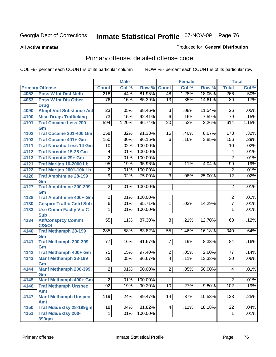**All Active Inmates**

#### Produced for **General Distribution**

# Primary offense, detailed offense code

|      |                                            |                 | <b>Male</b> |                 |                     | <b>Female</b> |        |                 | <b>Total</b> |
|------|--------------------------------------------|-----------------|-------------|-----------------|---------------------|---------------|--------|-----------------|--------------|
|      | <b>Primary Offense</b>                     | <b>Count</b>    | Col %       | Row %           | <b>Count</b>        | Col %         | Row %  | <b>Total</b>    | Col %        |
| 4052 | <b>Poss W Int Dist Meth</b>                | 218             | .44%        | 81.95%          | 48                  | 1.28%         | 18.05% | 266             | .50%         |
| 4053 | <b>Poss W Int Dis Other</b><br><b>Drug</b> | 76              | .15%        | 85.39%          | 13                  | .35%          | 14.61% | 89              | .17%         |
| 4090 | <b>Atmpt Viol Substance Act</b>            | $\overline{23}$ | .05%        | 88.46%          | $\overline{3}$      | .08%          | 11.54% | 26              | .05%         |
| 4100 | <b>Misc Drugs Trafficking</b>              | $\overline{73}$ | .15%        | 92.41%          | $\overline{6}$      | .16%          | 7.59%  | 79              | .15%         |
| 4101 | <b>Traf Cocaine Less 200</b>               | 594             | 1.20%       | 96.74%          | $\overline{20}$     | .53%          | 3.26%  | 614             | 1.15%        |
|      | Gm                                         |                 |             |                 |                     |               |        |                 |              |
| 4102 | <b>Traf Cocaine 201-400 Gm</b>             | 158             | .32%        | 91.33%          | 15                  | .40%          | 8.67%  | 173             | .32%         |
| 4103 | <b>Traf Cocaine 401+ Gm</b>                | 150             | .30%        | 96.15%          | $\overline{6}$      | .16%          | 3.85%  | 156             | .29%         |
| 4111 | <b>Traf Narcotic Less 14 Gm</b>            | 10              | .02%        | 100.00%         |                     |               |        | 10              | .02%         |
| 4112 | <b>Traf Narcotic 15-28 Gm</b>              | $\overline{4}$  | .01%        | 100.00%         |                     |               |        | 4               | .01%         |
| 4113 | <b>Traf Narcotic 29+ Gm</b>                | $\overline{2}$  | .01%        | 100.00%         |                     |               |        | $\overline{2}$  | .01%         |
| 4121 | Traf Marijna 10-2000 Lb                    | $\overline{95}$ | .19%        | 95.96%          | 4                   | .11%          | 4.04%  | 99              | .19%         |
| 4122 | <b>Traf Marijna 2001-10k Lb</b>            | $\overline{2}$  | .01%        | 100.00%         |                     |               |        | $\overline{2}$  | .01%         |
| 4126 | <b>Traf Amphtmine 28-199</b>               | $\overline{9}$  | .02%        | 75.00%          | $\overline{\omega}$ | .08%          | 25.00% | $\overline{12}$ | .02%         |
|      | Gm                                         |                 |             |                 |                     |               |        |                 |              |
| 4127 | <b>Traf Amphtmine 200-399</b>              | $\overline{2}$  | .01%        | 100.00%         |                     |               |        | $\overline{2}$  | .01%         |
|      | Gm                                         |                 |             |                 |                     |               |        |                 |              |
| 4128 | <b>Traf Amphtmine 400+ Gm</b>              | $\overline{2}$  | .01%        | 100.00%         |                     |               |        | $\overline{2}$  | .01%         |
| 4130 | <b>Cnspire Traffic Cntrl Sub</b>           | $\overline{6}$  | .01%        | 85.71%          | $\mathbf 1$         | .03%          | 14.29% | $\overline{7}$  | .01%         |
| 4133 | <b>Use Comm Facity Vio C</b><br><b>Sub</b> | 1               | .01%        | 100.00%         |                     |               |        | 1               | .01%         |
| 4134 | <b>Att/Consprcy Commt</b>                  | 55              | .11%        | 87.30%          | 8 <sup>1</sup>      | .21%          | 12.70% | 63              | .12%         |
|      | C/S/Of                                     |                 |             |                 |                     |               |        |                 |              |
| 4140 | <b>Traf Methamph 28-199</b>                | 285             | .58%        | 83.82%          | 55                  | 1.46%         | 16.18% | 340             | .64%         |
|      | Gm                                         |                 |             |                 |                     |               |        |                 |              |
| 4141 | Traf Methamph 200-399                      | 77              | .16%        | 91.67%          | 7 <sup>1</sup>      | .19%          | 8.33%  | 84              | .16%         |
|      | Gm                                         |                 |             |                 |                     |               |        |                 |              |
| 4142 | Traf Methamph 400+ Gm                      | 75              | .15%        | 97.40%          | $\overline{2}$      | .05%          | 2.60%  | 77              | .14%         |
| 4143 | <b>Manf Methamph 28-199</b>                | $\overline{26}$ | .05%        | 86.67%          | $\overline{4}$      | .11%          | 13.33% | 30              | .06%         |
| 4144 | Gm<br><b>Manf Methamph 200-399</b>         | $\overline{2}$  | .01%        | 50.00%          | $\overline{2}$      | .05%          | 50.00% | 4               | .01%         |
|      | Gm                                         |                 |             |                 |                     |               |        |                 |              |
| 4145 | <b>Manf Methamph 400+ Gm</b>               | $\overline{2}$  |             | $.01\%$ 100.00% |                     |               |        | $\overline{2}$  | .01%         |
| 4146 | <b>Traf Methamph Unspec</b>                | $\overline{92}$ | .19%        | 90.20%          | 10                  | .27%          | 9.80%  | 102             | .19%         |
|      | Amt                                        |                 |             |                 |                     |               |        |                 |              |
| 4147 | <b>Manf Methamph Unspec</b>                | 119             | .24%        | 89.47%          | 14                  | .37%          | 10.53% | 133             | .25%         |
|      | Amt                                        |                 |             |                 |                     |               |        |                 |              |
| 4150 | <b>Traf Mda/Extsy 28-199gm</b>             | $\overline{18}$ | .04%        | 81.82%          | $\vert$             | .11%          | 18.18% | $\overline{22}$ | .04%         |
| 4151 | <b>Traf Mda/Extsy 200-</b>                 | $\mathbf{1}$    | .01%        | 100.00%         |                     |               |        | $\mathbf 1$     | .01%         |
|      | 399gm                                      |                 |             |                 |                     |               |        |                 |              |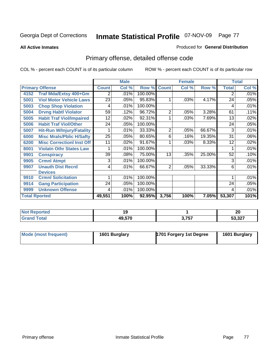#### **All Active Inmates**

#### Produced for **General Distribution**

# Primary offense, detailed offense code

|                      |                                  | <b>Male</b>  |         |         |                | <b>Female</b> |        | <b>Total</b> |       |
|----------------------|----------------------------------|--------------|---------|---------|----------------|---------------|--------|--------------|-------|
|                      | <b>Primary Offense</b>           | <b>Count</b> | Col %   | Row %   | <b>Count</b>   | Col %         | Row %  | <b>Total</b> | Col % |
| 4152                 | Traf Mda/Extsy 400+Gm            | 2            | .01%    | 100.00% |                |               |        | 2            | .01%  |
| 5001                 | <b>Viol Motor Vehicle Laws</b>   | 23           | .05%    | 95.83%  | 1              | .03%          | 4.17%  | 24           | .05%  |
| 5003                 | <b>Chop Shop Violation</b>       | 4            | .01%    | 100.00% |                |               |        | 4            | .01%  |
| 5004                 | <b>Drvng Habtl Violator</b>      | 59           | .12%    | 96.72%  | 2              | .05%          | 3.28%  | 61           | .11%  |
| 5005                 | <b>Habit Traf Viol/Impaired</b>  | 12           | $.02\%$ | 92.31%  |                | .03%          | 7.69%  | 13           | .02%  |
| 5006                 | <b>Habit Traf Viol/Other</b>     | 24           | .05%    | 100.00% |                |               |        | 24           | .05%  |
| 5007                 | <b>Hit-Run W/Injury/Fatality</b> |              | .01%    | 33.33%  | $\overline{2}$ | .05%          | 66.67% | 3            | .01%  |
| 6000                 | <b>Misc Mrals/Pblic H/Safty</b>  | 25           | .05%    | 80.65%  | 6              | .16%          | 19.35% | 31           | .06%  |
| 6200                 | <b>Misc Correctionl Inst Off</b> | 11           | $.02\%$ | 91.67%  |                | .03%          | 8.33%  | 12           | .02%  |
| 8001                 | <b>Violatn Othr States Law</b>   |              | .01%    | 100.00% |                |               |        |              | .01%  |
| 9901                 | <b>Conspiracy</b>                | 39           | .08%    | 75.00%  | 13             | .35%          | 25.00% | 52           | .10%  |
| 9905                 | <b>Crmnl Atmpt</b>               | 3            | .01%    | 100.00% |                |               |        | 3            | .01%  |
| 9907                 | <b>Unauth Dist Recrd</b>         | 4            | .01%    | 66.67%  | $\overline{2}$ | .05%          | 33.33% | 6            | .01%  |
|                      | <b>Devices</b>                   |              |         |         |                |               |        |              |       |
| 9910                 | <b>Crmnl Solicitation</b>        |              | .01%    | 100.00% |                |               |        |              | .01%  |
| 9914                 | <b>Gang Participation</b>        | 24           | .05%    | 100.00% |                |               |        | 24           | .05%  |
| 9999                 | <b>Unknown Offense</b>           | 4            | .01%    | 100.00% |                |               |        | 4            | .01%  |
| <b>Total Rported</b> |                                  | 49,551       | 100%    | 92.95%  | 3,756          | 100%          | 7.05%  | 53,307       | 101%  |

| <b>Not Reported</b> |              |                | or.<br>24 |
|---------------------|--------------|----------------|-----------|
| Total               | <b>49570</b> | ? 757<br>J,IJ. | 53,327    |

| Mode (most frequent) | 1601 Burglary | 1701 Forgery 1st Degree | 1601 Burglary |
|----------------------|---------------|-------------------------|---------------|
|----------------------|---------------|-------------------------|---------------|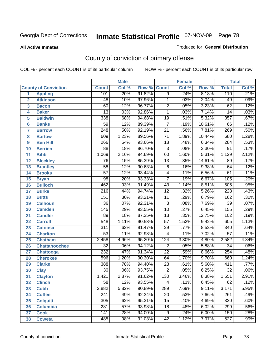#### **All Active Inmates**

#### Produced for **General Distribution**

# County of conviction of primary offense

|                 |                             | <b>Male</b>      |       |        | <b>Female</b>   |       |        | <b>Total</b>     |       |  |
|-----------------|-----------------------------|------------------|-------|--------|-----------------|-------|--------|------------------|-------|--|
|                 | <b>County of Conviction</b> | <b>Count</b>     | Col % | Row %  | <b>Count</b>    | Col % | Row %  | <b>Total</b>     | Col % |  |
| 1               | <b>Appling</b>              | 101              | .20%  | 91.82% | 9               | .24%  | 8.18%  | 110              | .21%  |  |
| $\overline{2}$  | <b>Atkinson</b>             | 48               | .10%  | 97.96% | $\mathbf{1}$    | .03%  | 2.04%  | 49               | .09%  |  |
| 3               | <b>Bacon</b>                | 60               | .12%  | 96.77% | $\overline{2}$  | .05%  | 3.23%  | 62               | .12%  |  |
| 4               | <b>Baker</b>                | $\overline{13}$  | .03%  | 92.86% | $\mathbf{1}$    | .03%  | 7.14%  | $\overline{14}$  | .03%  |  |
| 5               | <b>Baldwin</b>              | 338              | .68%  | 94.68% | $\overline{19}$ | .51%  | 5.32%  | 357              | .67%  |  |
| 6               | <b>Banks</b>                | $\overline{59}$  | .12%  | 89.39% | $\overline{7}$  | .19%  | 10.61% | 66               | .12%  |  |
| $\overline{7}$  | <b>Barrow</b>               | $\overline{248}$ | .50%  | 92.19% | $\overline{21}$ | .56%  | 7.81%  | 269              | .50%  |  |
| 8               | <b>Bartow</b>               | 609              | 1.23% | 89.56% | $\overline{71}$ | 1.89% | 10.44% | 680              | 1.28% |  |
| 9               | <b>Ben Hill</b>             | 266              | .54%  | 93.66% | $\overline{18}$ | .48%  | 6.34%  | 284              | .53%  |  |
| 10              | <b>Berrien</b>              | $\overline{88}$  | .18%  | 96.70% | $\overline{3}$  | .08%  | 3.30%  | $\overline{91}$  | .17%  |  |
| 11              | <b>Bibb</b>                 | 1,069            | 2.16% | 94.69% | 60              | 1.60% | 5.31%  | 1,129            | 2.12% |  |
| 12              | <b>Bleckley</b>             | $\overline{76}$  | .15%  | 85.39% | $\overline{13}$ | .35%  | 14.61% | 89               | .17%  |  |
| $\overline{13}$ | <b>Brantley</b>             | $\overline{58}$  | .12%  | 90.63% | $\overline{6}$  | .16%  | 9.38%  | 64               | .12%  |  |
| $\overline{14}$ | <b>Brooks</b>               | $\overline{57}$  | .12%  | 93.44% | 4               | .11%  | 6.56%  | $\overline{61}$  | .11%  |  |
| 15              | <b>Bryan</b>                | $\overline{98}$  | .20%  | 93.33% | $\overline{7}$  | .19%  | 6.67%  | 105              | .20%  |  |
| 16              | <b>Bulloch</b>              | 462              | .93%  | 91.49% | $\overline{43}$ | 1.14% | 8.51%  | 505              | .95%  |  |
| $\overline{17}$ | <b>Burke</b>                | $\overline{216}$ | .44%  | 94.74% | $\overline{12}$ | .32%  | 5.26%  | $\overline{228}$ | .43%  |  |
| 18              | <b>Butts</b>                | 151              | .30%  | 93.21% | $\overline{11}$ | .29%  | 6.79%  | 162              | .30%  |  |
| 19              | <b>Calhoun</b>              | $\overline{36}$  | .07%  | 92.31% | $\overline{3}$  | .08%  | 7.69%  | $\overline{39}$  | .07%  |  |
| 20              | <b>Camden</b>               | 145              | .29%  | 93.55% | $\overline{10}$ | .27%  | 6.45%  | 155              | .29%  |  |
| 21              | <b>Candler</b>              | $\overline{89}$  | .18%  | 87.25% | $\overline{13}$ | .35%  | 12.75% | 102              | .19%  |  |
| $\overline{22}$ | <b>Carroll</b>              | 548              | 1.11% | 90.58% | $\overline{57}$ | 1.52% | 9.42%  | 605              | 1.13% |  |
| $\overline{23}$ | <b>Catoosa</b>              | $\overline{311}$ | .63%  | 91.47% | $\overline{29}$ | .77%  | 8.53%  | 340              | .64%  |  |
| 24              | <b>Charlton</b>             | $\overline{53}$  | .11%  | 92.98% | $\overline{4}$  | .11%  | 7.02%  | $\overline{57}$  | .11%  |  |
| 25              | <b>Chatham</b>              | 2,458            | 4.96% | 95.20% | 124             | 3.30% | 4.80%  | 2,582            | 4.84% |  |
| 26              | <b>Chattahoochee</b>        | $\overline{32}$  | .06%  | 94.12% | $\overline{2}$  | .05%  | 5.88%  | $\overline{34}$  | .06%  |  |
| 27              | <b>Chattooga</b>            | $\overline{232}$ | .47%  | 91.34% | $\overline{22}$ | .59%  | 8.66%  | 254              | .48%  |  |
| 28              | <b>Cherokee</b>             | 596              | 1.20% | 90.30% | 64              | 1.70% | 9.70%  | 660              | 1.24% |  |
| 29              | <b>Clarke</b>               | 388              | .78%  | 94.40% | $\overline{23}$ | .61%  | 5.60%  | 411              | .77%  |  |
| 30              | <b>Clay</b>                 | $\overline{30}$  | .06%  | 93.75% | $\overline{2}$  | .05%  | 6.25%  | $\overline{32}$  | .06%  |  |
| $\overline{31}$ | <b>Clayton</b>              | 1,421            | 2.87% | 91.62% | 130             | 3.46% | 8.38%  | 1,551            | 2.91% |  |
| 32              | <b>Clinch</b>               | 58               | .12%  | 93.55% | 4               | .11%  | 6.45%  | 62               | .12%  |  |
| 33              | <b>Cobb</b>                 | 2,882            | 5.82% | 90.89% | 289             | 7.69% | 9.11%  | 3,171            | 5.95% |  |
| 34              | <b>Coffee</b>               | 241              | .49%  | 92.34% | $\overline{20}$ | .53%  | 7.66%  | 261              | .49%  |  |
| 35              | <b>Colquitt</b>             | 305              | .62%  | 95.31% | $\overline{15}$ | .40%  | 4.69%  | 320              | .60%  |  |
| 36              | <b>Columbia</b>             | 281              | .57%  | 93.98% | $\overline{18}$ | .48%  | 6.02%  | 299              | .56%  |  |
| 37              | <b>Cook</b>                 | 141              | .28%  | 94.00% | 9               | .24%  | 6.00%  | 150              | .28%  |  |
| 38              | <b>Coweta</b>               | 485              | .98%  | 92.03% | $\overline{42}$ | 1.12% | 7.97%  | 527              | .99%  |  |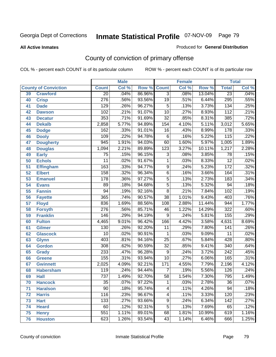#### **All Active Inmates**

#### Produced for **General Distribution**

# County of conviction of primary offense

|                 |                             | <b>Male</b><br><b>Female</b> |       |        |                  | <b>Total</b> |        |                  |       |
|-----------------|-----------------------------|------------------------------|-------|--------|------------------|--------------|--------|------------------|-------|
|                 | <b>County of Conviction</b> | <b>Count</b>                 | Col % | Row %  | <b>Count</b>     | Col %        | Row %  | <b>Total</b>     | Col % |
| 39              | <b>Crawford</b>             | $\overline{20}$              | .04%  | 86.96% | $\overline{3}$   | .08%         | 13.04% | $\overline{23}$  | .04%  |
| 40              | <b>Crisp</b>                | $\overline{276}$             | .56%  | 93.56% | $\overline{19}$  | .51%         | 6.44%  | 295              | .55%  |
| 41              | <b>Dade</b>                 | 129                          | .26%  | 96.27% | $\overline{5}$   | .13%         | 3.73%  | $\overline{134}$ | .25%  |
| 42              | <b>Dawson</b>               | 102                          | .21%  | 91.07% | $\overline{10}$  | .27%         | 8.93%  | $\overline{112}$ | .21%  |
| 43              | <b>Decatur</b>              | 353                          | .71%  | 91.69% | $\overline{32}$  | .85%         | 8.31%  | 385              | .72%  |
| 44              | <b>Dekalb</b>               | 2,858                        | 5.77% | 94.89% | 154              | 4.10%        | 5.11%  | 3,012            | 5.65% |
| 45              | <b>Dodge</b>                | 162                          | .33%  | 91.01% | $\overline{16}$  | .43%         | 8.99%  | $\overline{178}$ | .33%  |
| 46              | <b>Dooly</b>                | 109                          | .22%  | 94.78% | $\overline{6}$   | .16%         | 5.22%  | 115              | .22%  |
| 47              | <b>Dougherty</b>            | $\overline{945}$             | 1.91% | 94.03% | 60               | 1.60%        | 5.97%  | 1,005            | 1.89% |
| 48              | <b>Douglas</b>              | 1,094                        | 2.21% | 89.89% | $\overline{123}$ | 3.27%        | 10.11% | 1,217            | 2.28% |
| 49              | <b>Early</b>                | 75                           | .15%  | 96.15% | 3                | .08%         | 3.85%  | $\overline{78}$  | .15%  |
| 50              | <b>Echols</b>               | $\overline{11}$              | .02%  | 91.67% | 1                | .03%         | 8.33%  | $\overline{12}$  | .02%  |
| $\overline{51}$ | <b>Effingham</b>            | 163                          | .33%  | 94.77% | $\overline{9}$   | .24%         | 5.23%  | $\overline{172}$ | .32%  |
| 52              | <b>Elbert</b>               | 158                          | .32%  | 96.34% | $\overline{6}$   | .16%         | 3.66%  | 164              | .31%  |
| 53              | <b>Emanuel</b>              | $\overline{178}$             | .36%  | 97.27% | $\overline{5}$   | .13%         | 2.73%  | $\overline{183}$ | .34%  |
| $\overline{54}$ | <b>Evans</b>                | 89                           | .18%  | 94.68% | $\overline{5}$   | .13%         | 5.32%  | $\overline{94}$  | .18%  |
| 55              | <b>Fannin</b>               | $\overline{94}$              | .19%  | 92.16% | $\overline{8}$   | .21%         | 7.84%  | 102              | .19%  |
| 56              | <b>Fayette</b>              | 365                          | .74%  | 90.57% | $\overline{38}$  | 1.01%        | 9.43%  | 403              | .76%  |
| 57              | <b>Floyd</b>                | 836                          | 1.69% | 88.56% | 108              | 2.88%        | 11.44% | 944              | 1.77% |
| 58              | <b>Forsyth</b>              | $\overline{276}$             | .56%  | 85.71% | 46               | 1.22%        | 14.29% | 322              | .60%  |
| 59              | <b>Franklin</b>             | 146                          | .29%  | 94.19% | $\overline{9}$   | .24%         | 5.81%  | 155              | .29%  |
| 60              | <b>Fulton</b>               | 4,465                        | 9.01% | 96.42% | 166              | 4.42%        | 3.58%  | 4,631            | 8.69% |
| 61              | Gilmer                      | 130                          | .26%  | 92.20% | $\overline{11}$  | .29%         | 7.80%  | $\overline{141}$ | .26%  |
| 62              | <b>Glascock</b>             | $\overline{10}$              | .02%  | 90.91% | $\mathbf{1}$     | .03%         | 9.09%  | $\overline{11}$  | .02%  |
| 63              | <b>Glynn</b>                | 403                          | .81%  | 94.16% | $\overline{25}$  | .67%         | 5.84%  | 428              | .80%  |
| 64              | <b>Gordon</b>               | 308                          | .62%  | 90.59% | $\overline{32}$  | .85%         | 9.41%  | $\overline{340}$ | .64%  |
| 65              | <b>Grady</b>                | 233                          | .47%  | 96.28% | $\overline{9}$   | .24%         | 3.72%  | $\overline{242}$ | .45%  |
| 66              | <b>Greene</b>               | 155                          | .31%  | 93.94% | $\overline{10}$  | .27%         | 6.06%  | 165              | .31%  |
| 67              | <b>Gwinnett</b>             | 2,025                        | 4.09% | 92.21% | 171              | 4.55%        | 7.79%  | 2,196            | 4.12% |
| 68              | <b>Habersham</b>            | $\overline{119}$             | .24%  | 94.44% | $\overline{7}$   | .19%         | 5.56%  | $\overline{126}$ | .24%  |
| 69              | <b>Hall</b>                 | 737                          | 1.49% | 92.70% | $\overline{58}$  | 1.54%        | 7.30%  | 795              | 1.49% |
| 70              | <b>Hancock</b>              | 35                           | .07%  | 97.22% | 1                | .03%         | 2.78%  | 36               | .07%  |
| 71              | <b>Haralson</b>             | $\overline{90}$              | .18%  | 95.74% | 4                | .11%         | 4.26%  | 94               | .18%  |
| 72              | <b>Harris</b>               | $\overline{116}$             | .23%  | 96.67% | $\overline{4}$   | .11%         | 3.33%  | $\overline{120}$ | .23%  |
| 73              | <b>Hart</b>                 | $\overline{133}$             | .27%  | 93.66% | $\overline{9}$   | .24%         | 6.34%  | 142              | .27%  |
| 74              | <b>Heard</b>                | 60                           | .12%  | 92.31% | $\overline{5}$   | .13%         | 7.69%  | 65               | .12%  |
| 75              | <b>Henry</b>                | 551                          | 1.11% | 89.01% | 68               | 1.81%        | 10.99% | 619              | 1.16% |
| 76              | <b>Houston</b>              | 623                          | 1.26% | 93.54% | $\overline{43}$  | 1.14%        | 6.46%  | 666              | 1.25% |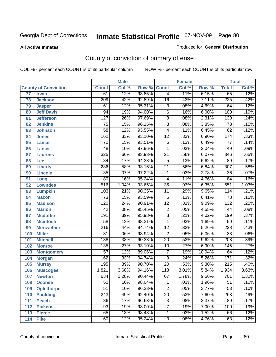#### **All Active Inmates**

#### Produced for **General Distribution**

# County of conviction of primary offense

|                 |                             |                  | <b>Male</b> |        |                 | <b>Female</b> |        |                  | <b>Total</b> |
|-----------------|-----------------------------|------------------|-------------|--------|-----------------|---------------|--------|------------------|--------------|
|                 | <b>County of Conviction</b> | <b>Count</b>     | Col %       | Row %  | <b>Count</b>    | Col %         | Row %  | <b>Total</b>     | Col %        |
| $\overline{77}$ | <b>Irwin</b>                | 61               | .12%        | 93.85% | $\overline{4}$  | .11%          | 6.15%  | 65               | .12%         |
| 78              | <b>Jackson</b>              | 209              | .42%        | 92.89% | 16              | .43%          | 7.11%  | $\overline{225}$ | .42%         |
| 79              | <b>Jasper</b>               | 61               | .12%        | 95.31% | $\overline{3}$  | .08%          | 4.69%  | 64               | .12%         |
| 80              | <b>Jeff Davis</b>           | 94               | .19%        | 94.00% | 6               | .16%          | 6.00%  | 100              | .19%         |
| 81              | <b>Jefferson</b>            | $\overline{127}$ | .26%        | 97.69% | $\overline{3}$  | .08%          | 2.31%  | 130              | .24%         |
| 82              | <b>Jenkins</b>              | $\overline{75}$  | .15%        | 96.15% | $\overline{3}$  | .08%          | 3.85%  | 78               | .15%         |
| 83              | <b>Johnson</b>              | $\overline{58}$  | .12%        | 93.55% | $\overline{4}$  | .11%          | 6.45%  | 62               | .12%         |
| 84              | <b>Jones</b>                | 162              | .33%        | 93.10% | $\overline{12}$ | .32%          | 6.90%  | 174              | .33%         |
| 85              | <b>Lamar</b>                | $\overline{72}$  | .15%        | 93.51% | $\overline{5}$  | .13%          | 6.49%  | $\overline{77}$  | .14%         |
| 86              | <b>Lanier</b>               | 48               | .10%        | 97.96% | 1               | .03%          | 2.04%  | 49               | .09%         |
| 87              | <b>Laurens</b>              | 325              | .66%        | 93.93% | $\overline{21}$ | .56%          | 6.07%  | 346              | .65%         |
| 88              | Lee                         | 84               | .17%        | 94.38% | $\mathbf 5$     | .13%          | 5.62%  | 89               | .17%         |
| 89              | <b>Liberty</b>              | 286              | .58%        | 93.16% | $\overline{21}$ | .56%          | 6.84%  | $\overline{307}$ | .58%         |
| 90              | <b>Lincoln</b>              | $\overline{35}$  | .07%        | 97.22% | 1               | .03%          | 2.78%  | $\overline{36}$  | .07%         |
| 91              | Long                        | $\overline{80}$  | .16%        | 95.24% | 4               | .11%          | 4.76%  | 84               | .16%         |
| 92              | <b>Lowndes</b>              | 516              | 1.04%       | 93.65% | $\overline{35}$ | .93%          | 6.35%  | 551              | 1.03%        |
| 93              | <b>Lumpkin</b>              | 103              | .21%        | 90.35% | $\overline{11}$ | .29%          | 9.65%  | 114              | .21%         |
| 94              | <b>Macon</b>                | $\overline{73}$  | .15%        | 93.59% | $\overline{5}$  | .13%          | 6.41%  | 78               | .15%         |
| 95              | <b>Madison</b>              | 120              | .24%        | 90.91% | $\overline{12}$ | .32%          | 9.09%  | 132              | .25%         |
| 96              | <b>Marion</b>               | $\overline{42}$  | .08%        | 95.45% | $\overline{2}$  | .05%          | 4.55%  | 44               | .08%         |
| 97              | <b>Mcduffie</b>             | 191              | .39%        | 95.98% | $\overline{8}$  | .21%          | 4.02%  | 199              | .37%         |
| 98              | <b>Mcintosh</b>             | $\overline{58}$  | .12%        | 98.31% | $\mathbf{1}$    | .03%          | 1.69%  | 59               | .11%         |
| 99              | <b>Meriwether</b>           | $\overline{216}$ | .44%        | 94.74% | $\overline{12}$ | .32%          | 5.26%  | 228              | .43%         |
| 100             | <b>Miller</b>               | $\overline{31}$  | .06%        | 93.94% | $\overline{2}$  | .05%          | 6.06%  | $\overline{33}$  | .06%         |
| 101             | <b>Mitchell</b>             | 188              | .38%        | 90.38% | $\overline{20}$ | .53%          | 9.62%  | $\overline{208}$ | .39%         |
| 102             | <b>Monroe</b>               | 135              | .27%        | 93.10% | 10              | .27%          | 6.90%  | $\overline{145}$ | .27%         |
| 103             | <b>Montgomery</b>           | $\overline{57}$  | .12%        | 89.06% | $\overline{7}$  | .19%          | 10.94% | 64               | .12%         |
| 104             | <b>Morgan</b>               | 162              | .33%        | 94.74% | 9               | .24%          | 5.26%  | $\overline{171}$ | .32%         |
| 105             | <b>Murray</b>               | 195              | .39%        | 90.70% | $\overline{20}$ | .53%          | 9.30%  | $\overline{215}$ | .40%         |
| 106             | <b>Muscogee</b>             | 1,821            | 3.68%       | 94.16% | 113             | 3.01%         | 5.84%  | 1,934            | 3.63%        |
| 107             | <b>Newton</b>               | 634              | 1.28%       | 90.44% | 67              | 1.78%         | 9.56%  | 701              | 1.32%        |
| 108             | <b>Oconee</b>               | 50               | .10%        | 98.04% | 1               | .03%          | 1.96%  | 51               | $.10\%$      |
| 109             | <b>Oglethorpe</b>           | $\overline{51}$  | .10%        | 96.23% | $\overline{2}$  | .05%          | 3.77%  | $\overline{53}$  | .10%         |
| 110             | <b>Paulding</b>             | $\overline{243}$ | .49%        | 92.40% | $\overline{20}$ | .53%          | 7.60%  | 263              | .49%         |
| 111             | <b>Peach</b>                | 86               | .17%        | 96.63% | 3               | .08%          | 3.37%  | 89               | .17%         |
| 112             | <b>Pickens</b>              | $\overline{93}$  | .19%        | 93.00% | 7               | .19%          | 7.00%  | 100              | .19%         |
| 113             | <b>Pierce</b>               | 65               | .13%        | 98.48% | 1               | .03%          | 1.52%  | 66               | .12%         |
| 114             | <b>Pike</b>                 | 60               | .12%        | 95.24% | $\overline{3}$  | .08%          | 4.76%  | 63               | .12%         |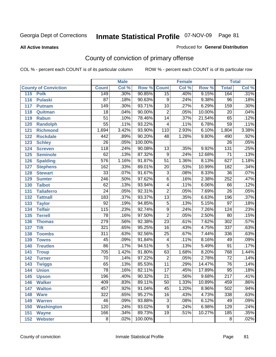#### **All Active Inmates**

#### Produced for **General Distribution**

# County of conviction of primary offense

|     |                             |                  | <b>Male</b> |         | <b>Female</b>           |       |        | <b>Total</b>     |       |  |
|-----|-----------------------------|------------------|-------------|---------|-------------------------|-------|--------|------------------|-------|--|
|     | <b>County of Conviction</b> | <b>Count</b>     | Col %       | Row %   | <b>Count</b>            | Col % | Row %  | <b>Total</b>     | Col % |  |
| 115 | <b>Polk</b>                 | 149              | .30%        | 90.85%  | $\overline{15}$         | .40%  | 9.15%  | 164              | .31%  |  |
| 116 | <b>Pulaski</b>              | $\overline{87}$  | .18%        | 90.63%  | 9                       | .24%  | 9.38%  | $\overline{96}$  | .18%  |  |
| 117 | <b>Putnam</b>               | $\overline{149}$ | .30%        | 93.71%  | 10                      | .27%  | 6.29%  | 159              | .30%  |  |
| 118 | Quitman                     | $\overline{18}$  | .04%        | 90.00%  | $\overline{2}$          | .05%  | 10.00% | 20               | .04%  |  |
| 119 | <b>Rabun</b>                | $\overline{51}$  | .10%        | 78.46%  | $\overline{14}$         | .37%  | 21.54% | 65               | .12%  |  |
| 120 | <b>Randolph</b>             | $\overline{55}$  | .11%        | 93.22%  | 4                       | .11%  | 6.78%  | 59               | .11%  |  |
| 121 | <b>Richmond</b>             | 1,694            | 3.42%       | 93.90%  | 110                     | 2.93% | 6.10%  | 1,804            | 3.38% |  |
| 122 | <b>Rockdale</b>             | 442              | .89%        | 90.20%  | 48                      | 1.28% | 9.80%  | 490              | .92%  |  |
| 123 | <b>Schley</b>               | $\overline{26}$  | .05%        | 100.00% |                         |       |        | $\overline{26}$  | .05%  |  |
| 124 | <b>Screven</b>              | 118              | .24%        | 90.08%  | 13                      | .35%  | 9.92%  | $\overline{131}$ | .25%  |  |
| 125 | <b>Seminole</b>             | 62               | .13%        | 87.32%  | $\overline{9}$          | .24%  | 12.68% | $\overline{71}$  | .13%  |  |
| 126 | <b>Spalding</b>             | 576              | 1.16%       | 91.87%  | 51                      | 1.36% | 8.13%  | 627              | 1.18% |  |
| 127 | <b>Stephens</b>             | 162              | .33%        | 89.01%  | $\overline{20}$         | .53%  | 10.99% | 182              | .34%  |  |
| 128 | <b>Stewart</b>              | $\overline{33}$  | .07%        | 91.67%  | $\overline{3}$          | .08%  | 8.33%  | $\overline{36}$  | .07%  |  |
| 129 | <b>Sumter</b>               | $\overline{246}$ | .50%        | 97.62%  | $\overline{6}$          | .16%  | 2.38%  | 252              | .47%  |  |
| 130 | <b>Talbot</b>               | 62               | .13%        | 93.94%  | 4                       | .11%  | 6.06%  | 66               | .12%  |  |
| 131 | <b>Taliaferro</b>           | $\overline{24}$  | .05%        | 92.31%  | $\overline{2}$          | .05%  | 7.69%  | $\overline{26}$  | .05%  |  |
| 132 | <b>Tattnall</b>             | 183              | .37%        | 93.37%  | $\overline{13}$         | .35%  | 6.63%  | 196              | .37%  |  |
| 133 | <b>Taylor</b>               | $\overline{92}$  | .19%        | 94.85%  | $\overline{5}$          | .13%  | 5.15%  | $\overline{97}$  | .18%  |  |
| 134 | <b>Telfair</b>              | 115              | .23%        | 92.74%  | $\overline{9}$          | .24%  | 7.26%  | 124              | .23%  |  |
| 135 | <b>Terrell</b>              | $\overline{78}$  | .16%        | 97.50%  | $\overline{2}$          | .05%  | 2.50%  | $\overline{80}$  | .15%  |  |
| 136 | <b>Thomas</b>               | 279              | .56%        | 92.38%  | $\overline{23}$         | .61%  | 7.62%  | $\overline{302}$ | .57%  |  |
| 137 | <b>Tift</b>                 | 321              | .65%        | 95.25%  | 16                      | .43%  | 4.75%  | $\overline{337}$ | .63%  |  |
| 138 | <b>Toombs</b>               | $\overline{311}$ | .63%        | 92.56%  | 25                      | .67%  | 7.44%  | 336              | .63%  |  |
| 139 | <b>Towns</b>                | 45               | .09%        | 91.84%  | $\overline{\mathbf{4}}$ | .11%  | 8.16%  | 49               | .09%  |  |
| 140 | <b>Treutlen</b>             | 86               | .17%        | 94.51%  | $\overline{5}$          | .13%  | 5.49%  | 91               | .17%  |  |
| 141 | <b>Troup</b>                | 705              | 1.42%       | 91.80%  | 63                      | 1.68% | 8.20%  | 768              | 1.44% |  |
| 142 | <b>Turner</b>               | 70               | .14%        | 97.22%  | $\overline{2}$          | .05%  | 2.78%  | 72               | .14%  |  |
| 143 | <b>Twiggs</b>               | 65               | .13%        | 85.53%  | $\overline{11}$         | .29%  | 14.47% | $\overline{76}$  | .14%  |  |
| 144 | <b>Union</b>                | $\overline{78}$  | .16%        | 82.11%  | $\overline{17}$         | .45%  | 17.89% | $\overline{95}$  | .18%  |  |
| 145 | <b>Upson</b>                | 196              | .40%        | 90.32%  | $\overline{21}$         | .56%  | 9.68%  | $\overline{217}$ | .41%  |  |
| 146 | <b>Walker</b>               | 409              | .83%        | 89.11%  | 50                      | 1.33% | 10.89% | 459              | .86%  |  |
| 147 | <b>Walton</b>               | 457              | .92%        | 91.04%  | $\overline{45}$         | 1.20% | 8.96%  | 502              | .94%  |  |
| 148 | <b>Ware</b>                 | 322              | .65%        | 95.27%  | 16                      | .43%  | 4.73%  | 338              | .63%  |  |
| 149 | <b>Warren</b>               | 46               | .09%        | 93.88%  | 3                       | .08%  | 6.12%  | 49               | .09%  |  |
| 150 | <b>Washington</b>           | 120              | .24%        | 93.02%  | 9                       | .24%  | 6.98%  | 129              | .24%  |  |
| 151 | <b>Wayne</b>                | 166              | .34%        | 89.73%  | 19                      | .51%  | 10.27% | 185              | .35%  |  |
| 152 | <b>Webster</b>              | 8                | .02%        | 100.00% |                         |       |        | 8                | .02%  |  |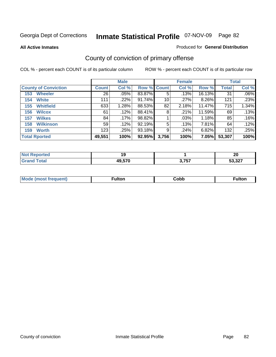**All Active Inmates**

#### Produced for **General Distribution**

# County of conviction of primary offense

|                             | <b>Male</b>  |         |             | <b>Female</b> |         |        | <b>Total</b> |         |
|-----------------------------|--------------|---------|-------------|---------------|---------|--------|--------------|---------|
| <b>County of Conviction</b> | <b>Count</b> | Col %   | Row % Count |               | Col %   | Row %  | <b>Total</b> | Col %   |
| <b>Wheeler</b><br>153       | 26           | .05%    | 83.87%      | 5             | .13%    | 16.13% | 31           | $.06\%$ |
| <b>White</b><br>154         | 111          | .22%    | $91.74\%$   | 10            | .27%    | 8.26%  | 121          | .23%    |
| <b>Whitfield</b><br>155     | 633          | 1.28%   | 88.53%      | 82            | 2.18%   | 11.47% | 715          | 1.34%   |
| <b>Wilcox</b><br>156        | 61           | $.12\%$ | 88.41%      | 8             | .21%    | 11.59% | 69           | .13%    |
| <b>Wilkes</b><br>157        | 84           | .17%    | 98.82%      |               | $.03\%$ | 1.18%  | 85           | .16%    |
| <b>Wilkinson</b><br>158     | 59           | .12%    | 92.19%      | 5             | .13%    | 7.81%  | 64           | .12%    |
| <b>Worth</b><br>159         | 123          | .25%    | $93.18\%$   | 9             | .24%    | 6.82%  | 132          | .25%    |
| <b>Total Rported</b>        | 49,551       | 100%    | 92.95%      | 3,756         | 100%    | 7.05%  | 53,307       | 100%    |

| Reported<br><b>NOT</b> | 1 O    |                              | י ה<br>Zu      |
|------------------------|--------|------------------------------|----------------|
| <b>ota</b>             | 49,570 | 2 757<br>$\mathbf{v}$ . I J. | E0.007<br>، عد |

| <b>Mo</b><br>uent) | ™ulton<br>____ | obb∶ |  |
|--------------------|----------------|------|--|
|                    |                |      |  |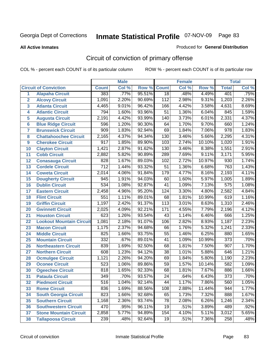#### **All Active Inmates**

#### Produced for **General Distribution**

# Circuit of conviction of primary offense

|                         |                                 |                  | <b>Male</b> |        |                  | <b>Female</b> |        |                  | <b>Total</b> |
|-------------------------|---------------------------------|------------------|-------------|--------|------------------|---------------|--------|------------------|--------------|
|                         | <b>Circuit of Conviction</b>    | <b>Count</b>     | Col %       | Row %  | <b>Count</b>     | Col %         | Row %  | <b>Total</b>     | Col %        |
| 1                       | <b>Alapaha Circuit</b>          | 383              | .77%        | 95.51% | $\overline{18}$  | .48%          | 4.49%  | 401              | .75%         |
| $\overline{2}$          | <b>Alcovy Circuit</b>           | 1,091            | 2.20%       | 90.69% | $\overline{112}$ | 2.98%         | 9.31%  | 1,203            | 2.26%        |
| $\overline{\mathbf{3}}$ | <b>Atlanta Circuit</b>          | 4,465            | 9.01%       | 96.42% | $\overline{166}$ | 4.42%         | 3.58%  | 4,631            | 8.69%        |
| 4                       | <b>Atlantic Circuit</b>         | 794              | 1.60%       | 93.96% | $\overline{51}$  | 1.36%         | 6.04%  | 845              | 1.59%        |
| 5                       | <b>Augusta Circuit</b>          | 2,191            | 4.42%       | 93.99% | 140              | 3.73%         | 6.01%  | 2,331            | 4.37%        |
| $6\phantom{a}$          | <b>Blue Ridge Circuit</b>       | 596              | 1.20%       | 90.30% | 64               | 1.70%         | 9.70%  | 660              | 1.24%        |
| $\overline{7}$          | <b>Brunswick Circuit</b>        | 909              | 1.83%       | 92.94% | 69               | 1.84%         | 7.06%  | $\overline{978}$ | 1.83%        |
| 8                       | <b>Chattahoochee Circuit</b>    | 2,165            | 4.37%       | 94.34% | 130              | 3.46%         | 5.66%  | 2,295            | 4.31%        |
| 9                       | <b>Cherokee Circuit</b>         | $\overline{917}$ | 1.85%       | 89.90% | 103              | 2.74%         | 10.10% | 1,020            | 1.91%        |
| 10                      | <b>Clayton Circuit</b>          | 1,421            | 2.87%       | 91.62% | 130              | 3.46%         | 8.38%  | 1,551            | 2.91%        |
| 11                      | <b>Cobb Circuit</b>             | 2,882            | 5.82%       | 90.89% | 289              | 7.69%         | 9.11%  | 3,171            | 5.95%        |
| 12                      | <b>Conasauga Circuit</b>        | 828              | 1.67%       | 89.03% | 102              | 2.72%         | 10.97% | 930              | 1.74%        |
| 13                      | <b>Cordele Circuit</b>          | $\overline{712}$ | 1.44%       | 93.32% | $\overline{51}$  | 1.36%         | 6.68%  | 763              | 1.43%        |
| 14                      | <b>Coweta Circuit</b>           | 2,014            | 4.06%       | 91.84% | 179              | 4.77%         | 8.16%  | 2,193            | 4.11%        |
| 15                      | <b>Dougherty Circuit</b>        | 945              | 1.91%       | 94.03% | 60               | 1.60%         | 5.97%  | 1,005            | 1.89%        |
| 16                      | <b>Dublin Circuit</b>           | $\overline{534}$ | 1.08%       | 92.87% | 41               | 1.09%         | 7.13%  | $\overline{575}$ | 1.08%        |
| 17                      | <b>Eastern Circuit</b>          | 2,458            | 4.96%       | 95.20% | 124              | 3.30%         | 4.80%  | 2,582            | 4.84%        |
| 18                      | <b>Flint Circuit</b>            | 551              | 1.11%       | 89.01% | 68               | 1.81%         | 10.99% | 619              | 1.16%        |
| 19                      | <b>Griffin Circuit</b>          | 1,197            | 2.42%       | 91.37% | 113              | 3.01%         | 8.63%  | 1,310            | 2.46%        |
| 20                      | <b>Gwinnett Circuit</b>         | 2,025            | 4.09%       | 92.21% | 171              | 4.55%         | 7.79%  | 2,196            | 4.12%        |
| 21                      | <b>Houston Circuit</b>          | 623              | 1.26%       | 93.54% | $\overline{43}$  | 1.14%         | 6.46%  | 666              | 1.25%        |
| 22                      | <b>Lookout Mountain Circuit</b> | 1,081            | 2.18%       | 91.07% | 106              | 2.82%         | 8.93%  | 1,187            | 2.23%        |
| 23                      | <b>Macon Circuit</b>            | 1,175            | 2.37%       | 94.68% | 66               | 1.76%         | 5.32%  | 1,241            | 2.33%        |
| 24                      | <b>Middle Circuit</b>           | 825              | 1.66%       | 93.75% | 55               | 1.46%         | 6.25%  | 880              | 1.65%        |
| 25                      | <b>Mountain Circuit</b>         | 332              | .67%        | 89.01% | 41               | 1.09%         | 10.99% | $\overline{373}$ | .70%         |
| 26                      | <b>Northeastern Circuit</b>     | 839              | 1.69%       | 92.50% | 68               | 1.81%         | 7.50%  | 907              | 1.70%        |
| 27                      | <b>Northern Circuit</b>         | 608              | 1.23%       | 94.12% | $\overline{38}$  | 1.01%         | 5.88%  | 646              | 1.21%        |
| 28                      | <b>Ocmulgee Circuit</b>         | 1,121            | 2.26%       | 94.20% | 69               | 1.84%         | 5.80%  | 1,190            | 2.23%        |
| 29                      | <b>Oconee Circuit</b>           | 523              | 1.06%       | 89.86% | 59               | 1.57%         | 10.14% | 582              | 1.09%        |
| 30                      | <b>Ogeechee Circuit</b>         | 818              | 1.65%       | 92.33% | 68               | 1.81%         | 7.67%  | 886              | 1.66%        |
| 31                      | <b>Pataula Circuit</b>          | 349              | .70%        | 93.57% | 24               | .64%          | 6.43%  | 373              | .70%         |
| 32                      | <b>Piedmont Circuit</b>         | $\overline{516}$ | 1.04%       | 92.14% | 44               | 1.17%         | 7.86%  | 560              | 1.05%        |
| 33                      | <b>Rome Circuit</b>             | 836              | 1.69%       | 88.56% | 108              | 2.88%         | 11.44% | 944              | 1.77%        |
| 34                      | <b>South Georgia Circuit</b>    | 823              | 1.66%       | 92.68% | 65               | 1.73%         | 7.32%  | 888              | 1.67%        |
| 35                      | <b>Southern Circuit</b>         | 1,168            | 2.36%       | 93.74% | 78               | 2.08%         | 6.26%  | 1,246            | 2.34%        |
| 36                      | <b>Southwestern Circuit</b>     | 470              | .95%        | 96.11% | 19               | .51%          | 3.89%  | 489              | .92%         |
| 37                      | <b>Stone Mountain Circuit</b>   | 2,858            | 5.77%       | 94.89% | 154              | 4.10%         | 5.11%  | 3,012            | 5.65%        |
| 38                      | <b>Tallapoosa Circuit</b>       | 239              | .48%        | 92.64% | 19               | .51%          | 7.36%  | 258              | .48%         |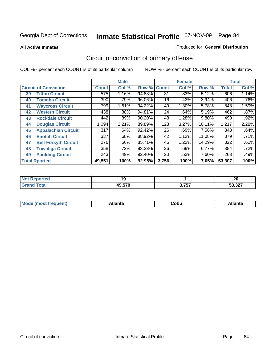**All Active Inmates**

#### Produced for **General Distribution**

# Circuit of conviction of primary offense

|    |                              |              | <b>Male</b> |        |              | <b>Female</b> |          |              | <b>Total</b> |
|----|------------------------------|--------------|-------------|--------|--------------|---------------|----------|--------------|--------------|
|    | <b>Circuit of Conviction</b> | <b>Count</b> | Col %       | Row %  | <b>Count</b> | Col %         | Row %    | <b>Total</b> | Col %        |
| 39 | <b>Tifton Circuit</b>        | 575          | 1.16%       | 94.88% | 31           | .83%          | 5.12%    | 606          | 1.14%        |
| 40 | <b>Toombs Circuit</b>        | 390          | .79%        | 96.06% | 16           | .43%          | 3.94%    | 406          | .76%         |
| 41 | <b>Waycross Circuit</b>      | 799          | 1.61%       | 94.22% | 49           | 1.30%         | 5.78%    | 848          | 1.59%        |
| 42 | <b>Western Circuit</b>       | 438          | .88%        | 94.81% | 24           | .64%          | 5.19%    | 462          | .87%         |
| 43 | <b>Rockdale Circuit</b>      | 442          | .89%        | 90.20% | 48           | 1.28%         | $9.80\%$ | 490          | .92%         |
| 44 | <b>Douglas Circuit</b>       | 1,094        | 2.21%       | 89.89% | 123          | 3.27%         | 10.11%   | 1,217        | 2.28%        |
| 45 | <b>Appalachian Circuit</b>   | 317          | .64%        | 92.42% | 26           | .69%          | 7.58%    | 343          | .64%         |
| 46 | <b>Enotah Circuit</b>        | 337          | .68%        | 88.92% | 42           | 1.12%         | 11.08%   | 379          | .71%         |
| 47 | <b>Bell-Forsyth Circuit</b>  | 276          | $.56\%$     | 85.71% | 46           | 1.22%         | 14.29%   | 322          | .60%         |
| 48 | <b>Towaliga Circuit</b>      | 358          | .72%        | 93.23% | 26           | .69%          | 6.77%    | 384          | .72%         |
| 49 | <b>Paulding Circuit</b>      | 243          | .49%        | 92.40% | 20           | .53%          | 7.60%    | 263          | .49%         |
|    | <b>Total Rported</b>         | 49,551       | 100%        | 92.95% | 3,756        | 100%          | 7.05%    | 53,307       | 100%         |

| тео | . .    |                     | າດ<br>ZU      |
|-----|--------|---------------------|---------------|
|     | 49,570 | 2 757<br>. <u>.</u> | דמפ פ<br>، عد |

| M, | $+1 - - + -$<br>annu -<br>uu | ∶obb<br>- - - - - | .<br>чна<br>- --------- |
|----|------------------------------|-------------------|-------------------------|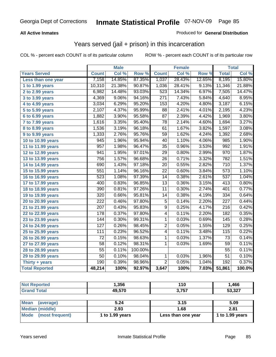### **All Active Inmates**

### Produced for **General Distribution**

## Years served (jail + prison) in this incarceration

|                              |                  | <b>Male</b> |         |                  | <b>Female</b> |        |                  | <b>Total</b> |
|------------------------------|------------------|-------------|---------|------------------|---------------|--------|------------------|--------------|
| <b>Years Served</b>          | <b>Count</b>     | Col %       | Row %   | <b>Count</b>     | Col %         | Row %  | <b>Total</b>     | Col %        |
| Less than one year           | 7,158            | 14.85%      | 87.35%  | 1,037            | 28.43%        | 12.65% | 8,195            | 15.80%       |
| 1 to 1.99 years              | 10,310           | 21.38%      | 90.87%  | 1,036            | 28.41%        | 9.13%  | 11,346           | 21.88%       |
| 2 to 2.99 years              | 6,982            | 14.48%      | 93.03%  | 523              | 14.34%        | 6.97%  | 7,505            | 14.47%       |
| 3 to 3.99 years              | 4,369            | 9.06%       | 94.16%  | $\overline{271}$ | 7.43%         | 5.84%  | 4,640            | 8.95%        |
| 4 to 4.99 years              | 3,034            | 6.29%       | 95.20%  | 153              | 4.20%         | 4.80%  | 3,187            | 6.15%        |
| 5 to 5.99 years              | 2,107            | 4.37%       | 95.99%  | 88               | 2.41%         | 4.01%  | 2,195            | 4.23%        |
| 6 to 6.99 years              | 1,882            | 3.90%       | 95.58%  | $\overline{87}$  | 2.39%         | 4.42%  | 1,969            | 3.80%        |
| 7 to 7.99 years              | 1,616            | 3.35%       | 95.40%  | $\overline{78}$  | 2.14%         | 4.60%  | 1,694            | 3.27%        |
| $\overline{8}$ to 8.99 years | 1,536            | 3.19%       | 96.18%  | 61               | 1.67%         | 3.82%  | 1,597            | 3.08%        |
| 9 to 9.99 years              | 1,333            | 2.76%       | 95.76%  | $\overline{59}$  | 1.62%         | 4.24%  | 1,392            | 2.68%        |
| 10 to 10.99 years            | 945              | 1.96%       | 95.94%  | 40               | 1.10%         | 4.06%  | 985              | 1.90%        |
| 11 to 11.99 years            | $\overline{957}$ | 1.98%       | 96.47%  | 35               | 0.96%         | 3.53%  | 992              | 1.91%        |
| 12 to 12.99 years            | 941              | 1.95%       | 97.01%  | $\overline{29}$  | 0.80%         | 2.99%  | $\overline{970}$ | 1.87%        |
| 13 to 13.99 years            | 756              | 1.57%       | 96.68%  | $\overline{26}$  | 0.71%         | 3.32%  | 782              | 1.51%        |
| 14 to 14.99 years            | 690              | 1.43%       | 97.18%  | 20               | 0.55%         | 2.82%  | 710              | 1.37%        |
| 15 to 15.99 years            | 551              | 1.14%       | 96.16%  | $\overline{22}$  | 0.60%         | 3.84%  | $\overline{573}$ | 1.10%        |
| 16 to 16.99 years            | $\overline{523}$ | 1.08%       | 97.39%  | 14               | 0.38%         | 2.61%  | $\overline{537}$ | 1.04%        |
| 17 to 17.99 years            | 400              | 0.83%       | 96.85%  | $\overline{13}$  | 0.36%         | 3.15%  | 413              | 0.80%        |
| 18 to 18.99 years            | 390              | 0.81%       | 97.26%  | $\overline{11}$  | 0.30%         | 2.74%  | 401              | 0.77%        |
| 19 to 19.99 years            | 320              | 0.66%       | 95.81%  | 14               | 0.38%         | 4.19%  | $\frac{1}{334}$  | 0.64%        |
| 20 to 20.99 years            | $\overline{222}$ | 0.46%       | 97.80%  | $\overline{5}$   | 0.14%         | 2.20%  | $\overline{227}$ | 0.44%        |
| 21 to 21.99 years            | $\overline{207}$ | 0.43%       | 95.83%  | $\overline{9}$   | 0.25%         | 4.17%  | $\overline{216}$ | 0.42%        |
| 22 to 22.99 years            | 178              | 0.37%       | 97.80%  | 4                | 0.11%         | 2.20%  | 182              | 0.35%        |
| 23 to 23.99 years            | 144              | 0.30%       | 99.31%  | $\mathbf{1}$     | 0.03%         | 0.69%  | 145              | 0.28%        |
| 24 to 24.99 years            | $\overline{127}$ | 0.26%       | 98.45%  | $\overline{2}$   | 0.05%         | 1.55%  | 129              | 0.25%        |
| 25 to 25.99 years            | 111              | 0.23%       | 96.52%  | 4                | 0.11%         | 3.48%  | 115              | 0.22%        |
| 26 to 26.99 years            | $\overline{72}$  | 0.15%       | 98.63%  | $\overline{1}$   | 0.03%         | 1.37%  | $\overline{73}$  | 0.14%        |
| 27 to 27.99 years            | $\overline{58}$  | 0.12%       | 98.31%  | 1                | 0.03%         | 1.69%  | $\overline{59}$  | 0.11%        |
| 28 to 28.99 years            | $\overline{55}$  | 0.11%       | 100.00% |                  |               |        | $\overline{55}$  | 0.11%        |
| 29 to 29.99 years            | $\overline{50}$  | 0.10%       | 98.04%  | $\mathbf{1}$     | 0.03%         | 1.96%  | $\overline{51}$  | 0.10%        |
| Thirty $+$ years             | 190              | 0.39%       | 98.96%  | $\overline{2}$   | 0.05%         | 1.04%  | 192              | 0.37%        |
| <b>Total Reported</b>        | 48,214           | 100%        | 92.97%  | 3,647            | 100%          | 7.03%  | 51,861           | 100.0%       |

| <b>Not Reported</b>            | 1,356           | 110                | 1,466           |
|--------------------------------|-----------------|--------------------|-----------------|
| <b>Grand Total</b>             | 49,570          | 3,757              | 53,327          |
|                                |                 |                    |                 |
| <b>Mean</b><br>(average)       | 5.24            | 3.15               | 5.09            |
| <b>Median (middle)</b>         | 2.93            | 1.68               | 2.81            |
| <b>Mode</b><br>(most frequent) | 1 to 1.99 years | Less than one year | 1 to 1.99 years |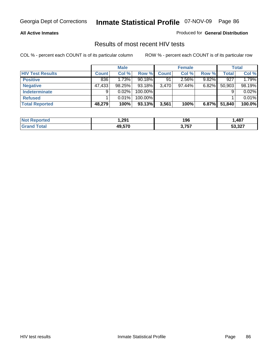#### **All Active Inmates**

Produced for **General Distribution**

### Results of most recent HIV tests

|                         |              | <b>Male</b> |         |              | <b>Female</b> |          |        | <b>Total</b> |
|-------------------------|--------------|-------------|---------|--------------|---------------|----------|--------|--------------|
| <b>HIV Test Results</b> | <b>Count</b> | Col %       | Row %   | <b>Count</b> | Col %         | Row %    | Total  | Col %        |
| <b>Positive</b>         | 836          | 1.73%       | 90.18%  | 91           | 2.56%         | $9.82\%$ | 927    | 1.79%        |
| <b>Negative</b>         | 47,433       | 98.25%      | 93.18%  | 3.470        | $97.44\%$     | $6.82\%$ | 50,903 | 98.19%       |
| Indeterminate           | 9            | 0.02%       | 100.00% |              |               |          |        | 0.02%        |
| <b>Refused</b>          |              | 0.01%       | 100.00% |              |               |          |        | 0.01%        |
| <b>Total Reported</b>   | 48,279       | 100%        | 93.13%  | 3,561        | 100%          | 6.87%    | 51,840 | 100.0%       |

| <b>Not</b><br><b>rted</b><br>xeno. | 291. ا | 196   | ,487   |
|------------------------------------|--------|-------|--------|
| ⊺otal<br><b>Grand</b>              | 49,570 | 3,757 | 53,327 |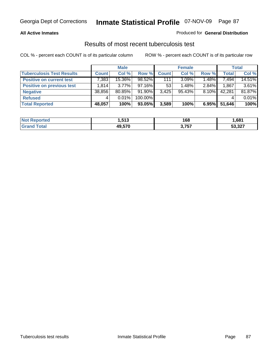#### **All Active Inmates**

#### Produced for **General Distribution**

### Results of most recent tuberculosis test

|                                  |              | <b>Male</b> |           |              | <b>Female</b> |          |              | Total  |
|----------------------------------|--------------|-------------|-----------|--------------|---------------|----------|--------------|--------|
| <b>Tuberculosis Test Results</b> | <b>Count</b> | Col %       | Row %     | <b>Count</b> | Col %         | Row %    | <b>Total</b> | Col %  |
| <b>Positive on current test</b>  | 7.383        | 15.36%      | 98.52%    | 111          | $3.09\%$      | $1.48\%$ | 7,494        | 14.51% |
| <b>Positive on previous test</b> | .814         | $3.77\%$    | $97.16\%$ | 53           | 1.48%         | $2.84\%$ | 1,867        | 3.61%  |
| <b>Negative</b>                  | 38,856       | 80.85%      | $91.90\%$ | 3,425        | $95.43\%$     | $8.10\%$ | 42,281       | 81.87% |
| <b>Refused</b>                   | 4            | $0.01\%$    | 100.00%   |              |               |          |              | 0.01%  |
| <b>Total Reported</b>            | 48,057       | 100%        | 93.05%    | 3,589        | 100%          | 6.95%    | 51,646       | 100%   |

| <b>Not Reported</b>   | E42<br>⊦.o ⊺ J | 168   | 681.ا  |
|-----------------------|----------------|-------|--------|
| <b>Grand</b><br>Total | 49,570         | 3,757 | 53,327 |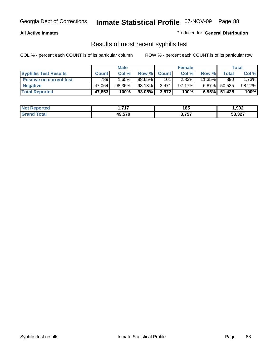#### **All Active Inmates**

Produced for **General Distribution**

### Results of most recent syphilis test

|                                 | <b>Male</b>  |        |        | <b>Female</b> |        |           | Total           |        |
|---------------------------------|--------------|--------|--------|---------------|--------|-----------|-----------------|--------|
| <b>Syphilis Test Results</b>    | <b>Count</b> | Col %  | Row %  | <b>Count</b>  | Col %  | Row %     | Total           | Col %  |
| <b>Positive on current test</b> | 789          | 1.65%  | 88.65% | 101           | 2.83%  | $11.35\%$ | 890             | 1.73%  |
| <b>Negative</b>                 | 47.064       | 98.35% | 93.13% | 3,471         | 97.17% | $6.87\%$  | 50,535          | 98.27% |
| <b>Total Reported</b>           | 47,853       | 100%   | 93.05% | 3,572         | 100%   |           | $6.95\%$ 51,425 | 100%   |

| <b>Not Reported</b> | ライフ<br>. | 185   | 902,ا  |
|---------------------|----------|-------|--------|
| Total<br>' Grand    | 49,570   | 3,757 | 53,327 |